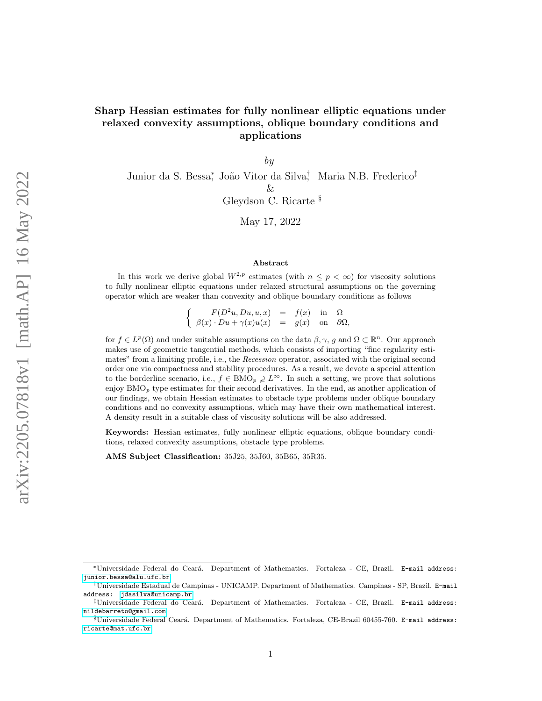# Sharp Hessian estimates for fully nonlinear elliptic equations under relaxed convexity assumptions, oblique boundary conditions and applications

by

Junior da S. Bessa<sup>\*</sup>, João Vitor da Silva<sup>†</sup>, Maria N.B. Frederico<sup>‡</sup> & Gleydson C. Ricarte §

May 17, 2022

#### Abstract

In this work we derive global  $W^{2,p}$  estimates (with  $n \leq p < \infty$ ) for viscosity solutions to fully nonlinear elliptic equations under relaxed structural assumptions on the governing operator which are weaker than convexity and oblique boundary conditions as follows

> $\int$   $F(D^2u, Du, u, x) = f(x)$  in  $\Omega$  $\beta(x) \cdot Du + \gamma(x)u(x) = g(x)$  on  $\partial \Omega$ ,

for  $f \in L^p(\Omega)$  and under suitable assumptions on the data  $\beta, \gamma, g$  and  $\Omega \subset \mathbb{R}^n$ . Our approach makes use of geometric tangential methods, which consists of importing "fine regularity estimates" from a limiting profile, i.e., the Recession operator, associated with the original second order one via compactness and stability procedures. As a result, we devote a special attention to the borderline scenario, i.e.,  $f \in BMO_p \supsetneq L^{\infty}$ . In such a setting, we prove that solutions enjoy  $BMO<sub>p</sub>$  type estimates for their second derivatives. In the end, as another application of our findings, we obtain Hessian estimates to obstacle type problems under oblique boundary conditions and no convexity assumptions, which may have their own mathematical interest. A density result in a suitable class of viscosity solutions will be also addressed.

Keywords: Hessian estimates, fully nonlinear elliptic equations, oblique boundary conditions, relaxed convexity assumptions, obstacle type problems.

AMS Subject Classification: 35J25, 35J60, 35B65, 35R35.

<sup>∗</sup>Universidade Federal do Cear´a. Department of Mathematics. Fortaleza - CE, Brazil. E-mail address: <junior.bessa@alu.ufc.br>

<sup>†</sup>Universidade Estadual de Campinas - UNICAMP. Department of Mathematics. Campinas - SP, Brazil. E-mail address:<jdasilva@unicamp.br>

 $\overline{z}^{\dagger}$ Universidade Federal do Ceará. Department of Mathematics. Fortaleza - CE, Brazil. E-mail address: <nildebarreto@gmail.com>

<sup>§</sup>Universidade Federal Ceará. Department of Mathematics. Fortaleza, CE-Brazil 60455-760. E-mail address: <ricarte@mat.ufc.br>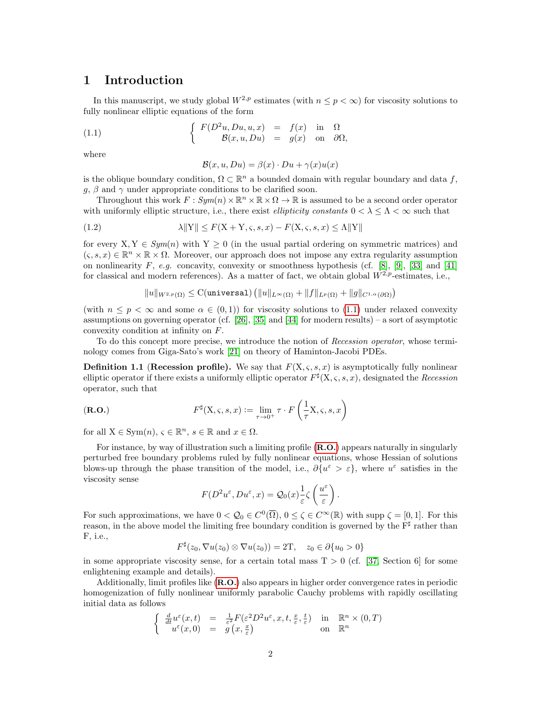# 1 Introduction

In this manuscript, we study global  $W^{2,p}$  estimates (with  $n \leq p < \infty$ ) for viscosity solutions to fully nonlinear elliptic equations of the form

(1.1) 
$$
\begin{cases} F(D^2u, Du, u, x) = f(x) & \text{in } \Omega \\ B(x, u, Du) = g(x) & \text{on } \partial\Omega, \end{cases}
$$

where

<span id="page-1-0"></span>
$$
\mathcal{B}(x, u, Du) = \beta(x) \cdot Du + \gamma(x)u(x)
$$

is the oblique boundary condition,  $\Omega \subset \mathbb{R}^n$  a bounded domain with regular boundary and data f,  $g, \beta$  and  $\gamma$  under appropriate conditions to be clarified soon.

Throughout this work  $F: Sym(n) \times \mathbb{R}^n \times \mathbb{R} \times \Omega \to \mathbb{R}$  is assumed to be a second order operator with uniformly elliptic structure, i.e., there exist *ellipticity constants*  $0 < \lambda < \Lambda < \infty$  such that

(1.2) 
$$
\lambda \|Y\| \le F(X+Y,\varsigma,s,x) - F(X,\varsigma,s,x) \le \Lambda \|Y\|
$$

for every  $X, Y \in Sym(n)$  with  $Y \geq 0$  (in the usual partial ordering on symmetric matrices) and  $(s, s, x) \in \mathbb{R}^n \times \mathbb{R} \times \Omega$ . Moreover, our approach does not impose any extra regularity assumption on nonlinearity F, e.g. concavity, convexity or smoothness hypothesis (cf. [\[8\]](#page-31-0), [\[9\]](#page-31-1), [\[33\]](#page-32-0) and [\[41\]](#page-33-0) for classical and modern references). As a matter of fact, we obtain global  $W^{2,p}$ -estimates, i.e.,

$$
\|u\|_{W^{2,p}(\Omega)} \leq \mathrm{C}(\verb"universal") \left( \|u\|_{L^{\infty}(\Omega)} + \|f\|_{L^p(\Omega)} + \|g\|_{C^{1,\alpha}(\partial\Omega)} \right)
$$

(with  $n \leq p \leq \infty$  and some  $\alpha \in (0,1)$ ) for viscosity solutions to [\(1.1\)](#page-1-0) under relaxed convexity assumptions on governing operator (cf. [\[26\]](#page-32-1), [\[35\]](#page-32-2) and [\[44\]](#page-33-1) for modern results) – a sort of asymptotic convexity condition at infinity on F.

To do this concept more precise, we introduce the notion of Recession operator, whose terminology comes from Giga-Sato's work [\[21\]](#page-32-3) on theory of Haminton-Jacobi PDEs.

<span id="page-1-3"></span>**Definition 1.1 (Recession profile).** We say that  $F(X, \varsigma, s, x)$  is asymptotically fully nonlinear elliptic operator if there exists a uniformly elliptic operator  $F^{\sharp}(\mathbf{X}, \varsigma, s, x)$ , designated the *Recession* operator, such that

<span id="page-1-1"></span>
$$
(R.O.)\qquad \qquad F^{\sharp}(X,\varsigma,s,x) := \lim_{\tau \to 0^+} \tau \cdot F\left(\frac{1}{\tau}X,\varsigma,s,x\right)
$$

for all  $X \in \text{Sym}(n)$ ,  $\varsigma \in \mathbb{R}^n$ ,  $s \in \mathbb{R}$  and  $x \in \Omega$ .

For instance, by way of illustration such a limiting profile ([R.O.](#page-1-1)) appears naturally in singularly perturbed free boundary problems ruled by fully nonlinear equations, whose Hessian of solutions blows-up through the phase transition of the model, i.e.,  $\partial \{u^{\varepsilon} > \varepsilon\}$ , where  $u^{\varepsilon}$  satisfies in the viscosity sense

<span id="page-1-2"></span>
$$
F(D^2u^{\varepsilon}, Du^{\varepsilon}, x) = \mathcal{Q}_0(x) \frac{1}{\varepsilon} \zeta \left(\frac{u^{\varepsilon}}{\varepsilon}\right).
$$

For such approximations, we have  $0 < Q_0 \in C^0(\overline{\Omega})$ ,  $0 \le \zeta \in C^{\infty}(\mathbb{R})$  with supp  $\zeta = [0,1]$ . For this reason, in the above model the limiting free boundary condition is governed by the  $F^{\sharp}$  rather than F, i.e.,

$$
F^{\sharp}(z_0, \nabla u(z_0) \otimes \nabla u(z_0)) = 2\mathbf{T}, \quad z_0 \in \partial \{u_0 > 0\}
$$

in some appropriate viscosity sense, for a certain total mass  $T > 0$  (cf. [\[37,](#page-32-4) Section 6] for some enlightening example and details).

Additionally, limit profiles like ([R.O.](#page-1-1)) also appears in higher order convergence rates in periodic homogenization of fully nonlinear uniformly parabolic Cauchy problems with rapidly oscillating initial data as follows

$$
\begin{cases} \n\frac{d}{dt} u^{\varepsilon}(x,t) = \frac{1}{\varepsilon^{2}} F(\varepsilon^{2} D^{2} u^{\varepsilon}, x, t, \frac{x}{\varepsilon}, \frac{t}{\varepsilon}) & \text{in } \mathbb{R}^{n} \times (0, T) \\
u^{\varepsilon}(x, 0) = g(x, \frac{x}{\varepsilon}) & \text{on } \mathbb{R}^{n}\n\end{cases}
$$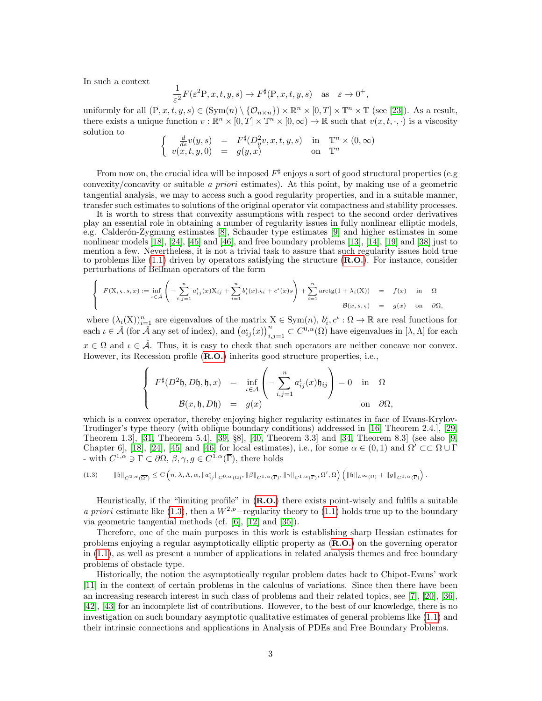In such a context

$$
\frac{1}{\varepsilon^2} F(\varepsilon^2 P, x, t, y, s) \to F^{\sharp}(\mathcal{P}, x, t, y, s) \quad \text{as} \quad \varepsilon \to 0^+,
$$

uniformly for all  $(P, x, t, y, s) \in (\text{Sym}(n) \setminus \{O_{n \times n}\}) \times \mathbb{R}^n \times [0, T] \times \mathbb{T}^n \times \mathbb{T}$  (see [\[23\]](#page-32-5)). As a result, there exists a unique function  $v : \mathbb{R}^n \times [0,T] \times \mathbb{T}^n \times [0,\infty) \to \mathbb{R}$  such that  $v(x,t,\cdot,\cdot)$  is a viscosity solution to

$$
\begin{cases}\n\frac{d}{ds}v(y,s) = F^{\sharp}(D_y^2v, x, t, y, s) & \text{in } \mathbb{T}^n \times (0, \infty) \\
v(x, t, y, 0) = g(y, x) & \text{on } \mathbb{T}^n\n\end{cases}
$$

From now on, the crucial idea will be imposed  $F^{\sharp}$  enjoys a sort of good structural properties (e.g convexity/concavity or suitable a priori estimates). At this point, by making use of a geometric tangential analysis, we may to access such a good regularity properties, and in a suitable manner, transfer such estimates to solutions of the original operator via compactness and stability processes.

It is worth to stress that convexity assumptions with respect to the second order derivatives play an essential role in obtaining a number of regularity issues in fully nonlinear elliptic models, e.g. Calderón-Zygmung estimates [\[8\]](#page-31-0), Schauder type estimates [\[9\]](#page-31-1) and higher estimates in some nonlinear models [\[18\]](#page-31-2), [\[24\]](#page-32-6), [\[45\]](#page-33-2) and [\[46\]](#page-33-3), and free boundary problems [\[13\]](#page-31-3), [\[14\]](#page-31-4), [\[19\]](#page-31-5) and [\[38\]](#page-32-7) just to mention a few. Nevertheless, it is not a trivial task to assure that such regularity issues hold true to problems like [\(1.1\)](#page-1-0) driven by operators satisfying the structure ([R.O.](#page-1-1)). For instance, consider perturbations of Bellman operators of the form

$$
\begin{cases}\nF(X,\varsigma,s,x) := \inf_{\iota \in \mathcal{A}} \left( -\sum_{i,j=1}^n a_{ij}^{\iota}(x) X_{ij} + \sum_{i=1}^n b_i^{\iota}(x) . \varsigma_i + c^{\iota}(x) s \right) + \sum_{i=1}^n \arctg(1 + \lambda_i(X)) = f(x) & \text{in} \quad \Omega \\
0 & \mathcal{B}(x,s,\varsigma) = g(x) & \text{on} \quad \partial \Omega,\n\end{cases}
$$

where  $(\lambda_i(X))_{i=1}^n$  are eigenvalues of the matrix  $X \in \text{Sym}(n)$ ,  $b_i, c^i : \Omega \to \mathbb{R}$  are real functions for each  $\iota \in \hat{\mathcal{A}}$  (for  $\hat{\mathcal{A}}$  any set of index), and  $(a_{ij}^{\iota}(x))_{i,j=1}^{n} \subset C^{0,\alpha}(\Omega)$  have eigenvalues in  $[\lambda, \Lambda]$  for each  $x \in \Omega$  and  $\iota \in \hat{\mathcal{A}}$ . Thus, it is easy to check that such operators are neither concave nor convex. However, its Recession profile ([R.O.](#page-1-1)) inherits good structure properties, i.e.,

$$
\begin{cases}\nF^{\sharp}(D^2\mathfrak{h}, D\mathfrak{h}, \mathfrak{h}, x) = \inf_{\iota \in \mathcal{A}} \left( -\sum_{i,j=1}^n a_{ij}^{\iota}(x)\mathfrak{h}_{ij} \right) = 0 & \text{in } \Omega \\
B(x, \mathfrak{h}, D\mathfrak{h}) = g(x) & \text{on } \partial\Omega,\n\end{cases}
$$

which is a convex operator, thereby enjoying higher regularity estimates in face of Evans-Krylov-Trudinger's type theory (with oblique boundary conditions) addressed in [\[16,](#page-31-6) Theorem 2.4.], [\[29,](#page-32-8) Theorem 1.3], [\[31,](#page-32-9) Theorem 5.4], [\[39,](#page-32-10) §8], [\[40,](#page-33-4) Theorem 3.3] and [\[34,](#page-32-11) Theorem 8.3] (see also [\[9,](#page-31-1) Chapter 6], [\[18\]](#page-31-2), [\[24\]](#page-32-6), [\[45\]](#page-33-2) and [\[46\]](#page-33-3) for local estimates), i.e., for some  $\alpha \in (0,1)$  and  $\Omega' \subset\subset \Omega \cup \Gamma$ - with  $C^{1,\alpha} \ni \Gamma \subset \partial \Omega, \beta, \gamma, g \in C^{1,\alpha}(\overline{\Gamma}),$  there holds

$$
(1.3) \qquad \|\mathfrak{h}\|_{C^{2,\alpha}(\overline{\Omega'})}\leq \mathrm{C}\left(n,\lambda,\Lambda,\alpha,\|a_{ij}^{\iota}\|_{C^{0,\alpha}(\Omega)},\|\beta\|_{C^{1,\alpha}(\overline{\Gamma})},\|\gamma\|_{C^{1,\alpha}(\overline{\Gamma})},\Omega',\Omega\right)\left(\|\mathfrak{h}\|_{L^{\infty}(\Omega)}+\|g\|_{C^{1,\alpha}(\overline{\Gamma})}\right).
$$

Heuristically, if the "limiting profile" in  $(R.O.)$  $(R.O.)$  $(R.O.)$  there exists point-wisely and fulfils a suitable a priori estimate like [\(1.3\)](#page-1-2), then a  $W^{2,p}$ –regularity theory to [\(1.1\)](#page-1-0) holds true up to the boundary via geometric tangential methods (cf. [\[6\]](#page-31-7), [\[12\]](#page-31-8) and [\[35\]](#page-32-2)).

Therefore, one of the main purposes in this work is establishing sharp Hessian estimates for problems enjoying a regular asymptotically elliptic property as ([R.O.](#page-1-1)) on the governing operator in [\(1.1\)](#page-1-0), as well as present a number of applications in related analysis themes and free boundary problems of obstacle type.

Historically, the notion the asymptotically regular problem dates back to Chipot-Evans' work [\[11\]](#page-31-9) in the context of certain problems in the calculus of variations. Since then there have been an increasing research interest in such class of problems and their related topics, see [\[7\]](#page-31-10), [\[20\]](#page-31-11), [\[36\]](#page-32-12), [\[42\]](#page-33-5), [\[43\]](#page-33-6) for an incomplete list of contributions. However, to the best of our knowledge, there is no investigation on such boundary asymptotic qualitative estimates of general problems like [\(1.1\)](#page-1-0) and their intrinsic connections and applications in Analysis of PDEs and Free Boundary Problems.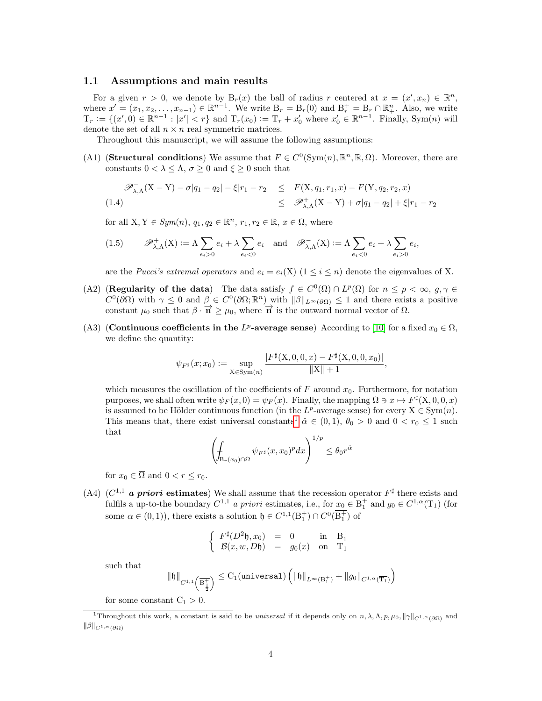#### 1.1 Assumptions and main results

For a given  $r > 0$ , we denote by  $B_r(x)$  the ball of radius r centered at  $x = (x', x_n) \in \mathbb{R}^n$ , where  $x' = (x_1, x_2, \ldots, x_{n-1}) \in \mathbb{R}^{n-1}$ . We write  $B_r = B_r(0)$  and  $B_r^+ = B_r \cap \mathbb{R}_+^n$ . Also, we write  $T_r := \{(x', 0) \in \mathbb{R}^{n-1} : |x'| < r\}$  and  $T_r(x_0) := T_r + x'_0$  where  $x'_0 \in \mathbb{R}^{n-1}$ . Finally, Sym $(n)$  will denote the set of all  $n \times n$  real symmetric matrices.

Throughout this manuscript, we will assume the following assumptions:

(A1) (**Structural conditions**) We assume that  $F \in C^0(\text{Sym}(n), \mathbb{R}^n, \mathbb{R}, \Omega)$ . Moreover, there are constants  $0 < \lambda \leq \Lambda$ ,  $\sigma \geq 0$  and  $\xi \geq 0$  such that

$$
\mathscr{P}_{\lambda,\Lambda}^{-}(X-Y) - \sigma|q_1 - q_2| - \xi|r_1 - r_2| \leq F(X, q_1, r_1, x) - F(Y, q_2, r_2, x)
$$
  
(1.4) 
$$
\leq \mathscr{P}_{\lambda,\Lambda}^{+}(X-Y) + \sigma|q_1 - q_2| + \xi|r_1 - r_2|
$$

for all  $X, Y \in Sym(n)$ ,  $q_1, q_2 \in \mathbb{R}^n$ ,  $r_1, r_2 \in \mathbb{R}$ ,  $x \in \Omega$ , where

$$
(1.5) \qquad \mathscr{P}_{\lambda,\Lambda}^{+}(X) := \Lambda \sum_{e_i > 0} e_i + \lambda \sum_{e_i < 0} e_i \quad \text{and} \quad \mathscr{P}_{\lambda,\Lambda}^{-}(X) := \Lambda \sum_{e_i < 0} e_i + \lambda \sum_{e_i > 0} e_i,
$$

are the *Pucci's extremal operators* and  $e_i = e_i(X)$   $(1 \leq i \leq n)$  denote the eigenvalues of X.

- (A2) (Regularity of the data) The data satisfy  $f \in C^{0}(\Omega) \cap L^{p}(\Omega)$  for  $n \leq p < \infty$ ,  $g, \gamma \in$  $C^0(\partial\Omega)$  with  $\gamma \leq 0$  and  $\beta \in C^0(\partial\Omega;\mathbb{R}^n)$  with  $\|\beta\|_{L^{\infty}(\partial\Omega)} \leq 1$  and there exists a positive constant  $\mu_0$  such that  $\beta \cdot \overrightarrow{n} \geq \mu_0$ , where  $\overrightarrow{n}$  is the outward normal vector of  $\Omega$ .
- (A3) (Continuous coefficients in the  $L^p$ -average sense) According to [\[10\]](#page-31-12) for a fixed  $x_0 \in \Omega$ , we define the quantity:

$$
\psi_{F^{\sharp}}(x; x_0) := \sup_{\mathbf{X} \in \text{Sym}(n)} \frac{|F^{\sharp}(\mathbf{X}, 0, 0, x) - F^{\sharp}(\mathbf{X}, 0, 0, x_0)|}{\|\mathbf{X}\| + 1},
$$

which measures the oscillation of the coefficients of  $F$  around  $x_0$ . Furthermore, for notation purposes, we shall often write  $\psi_F(x,0) = \psi_F(x)$ . Finally, the mapping  $\Omega \ni x \mapsto F^{\sharp}(X,0,0,x)$ is assumed to be Hölder continuous function (in the  $L^p$ -average sense) for every  $X \in Sym(n)$ . This means that, there exist universal constants<sup>[1](#page-3-0)</sup>  $\hat{\alpha} \in (0,1)$ ,  $\theta_0 > 0$  and  $0 < r_0 \leq 1$  such that

$$
\left(\oint_{\mathcal{B}_r(x_0)\cap\Omega} \psi_{F^\sharp}(x,x_0)^p dx\right)^{1/p} \leq \theta_0 r^{\hat{\alpha}}
$$

for  $x_0 \in \overline{\Omega}$  and  $0 < r \leq r_0$ .

(A4) ( $C^{1,1}$  a priori estimates) We shall assume that the recession operator  $F^{\sharp}$  there exists and fulfils a up-to-the boundary  $C^{1,1}$  a priori estimates, i.e., for  $x_0 \in B_1^+$  and  $g_0 \in C^{1,\alpha}(\mathcal{T}_1)$  (for some  $\alpha \in (0,1)$ , there exists a solution  $\mathfrak{h} \in C^{1,1}(\mathbb{B}_1^+) \cap C^0(\mathbb{B}_1^+)$  of

$$
\left\{\begin{array}{ccc}F^{\sharp}(D^2\mathfrak{h},x_0)&=&0&\text{in}&\mathrm{B}_1^+\\ \mathcal{B}(x,w,D\mathfrak{h})&=&g_0(x)&\text{on}&\mathrm{T}_1\end{array}\right.
$$

such that

$$
\|\mathfrak{h}\|_{C^{1,1}\left(\overline{\mathrm{B}^{+}_{\frac{1}{2}}}\right)} \le \mathrm{C}_1(\verb"universal") \left(\|\mathfrak{h}\|_{L^{\infty}(\mathrm{B}^+_1)} + \|g_0\|_{C^{1,\alpha}(\overline{\mathrm{T}_1})}\right)
$$

for some constant  $C_1 > 0$ .

<span id="page-3-0"></span><sup>&</sup>lt;sup>1</sup>Throughout this work, a constant is said to be *universal* if it depends only on  $n, \lambda, \Lambda, p, \mu_0, ||\gamma||_{C^{1,\alpha}(\partial\Omega)}$  and  $\|\beta\|_{C^{1,\alpha}(\partial\Omega)}$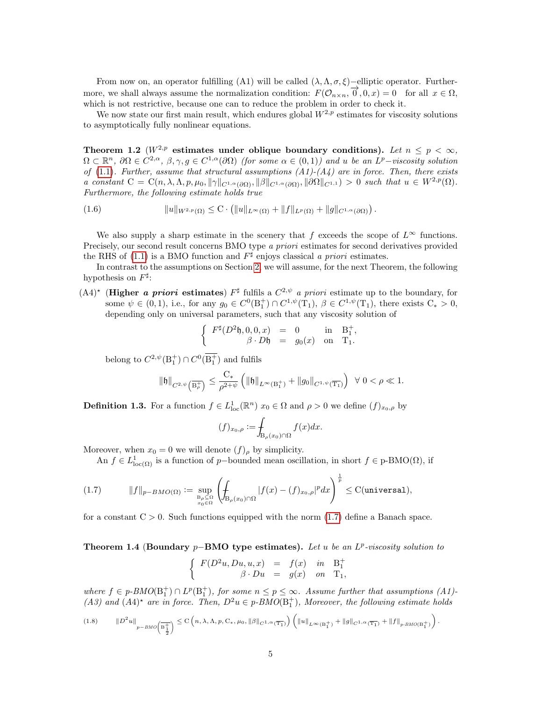From now on, an operator fulfilling (A1) will be called  $(\lambda, \Lambda, \sigma, \xi)$ −elliptic operator. Furthermore, we shall always assume the normalization condition:  $F(\mathcal{O}_{n\times n}, \vec{O}, 0, x) = 0$  for all  $x \in \Omega$ , which is not restrictive, because one can to reduce the problem in order to check it.

We now state our first main result, which endures global  $W^{2,p}$  estimates for viscosity solutions to asymptotically fully nonlinear equations.

<span id="page-4-1"></span>Theorem 1.2 ( $W^{2,p}$  estimates under oblique boundary conditions). Let  $n \leq p < \infty$ ,  $\Omega \subset \mathbb{R}^n$ ,  $\partial \Omega \in C^{2,\alpha}, \beta, \gamma, g \in C^{1,\alpha}(\partial \Omega)$  (for some  $\alpha \in (0,1)$ ) and u be an  $L^p$ -viscosity solution of [\(1.1\)](#page-1-0). Further, assume that structural assumptions  $(A1)-(A4)$  are in force. Then, there exists a constant  $C = C(n, \lambda, \Lambda, p, \mu_0, \|\gamma\|_{C^{1,\alpha}(\partial\Omega)}, \|\beta\|_{C^{1,\alpha}(\partial\Omega)}, \|\partial\Omega\|_{C^{1,1}}) > 0$  such that  $u \in W^{2,p}(\Omega)$ . Furthermore, the following estimate holds true

<span id="page-4-3"></span>
$$
(1.6) \t\t\t ||u||_{W^{2,p}(\Omega)} \leq C \cdot (||u||_{L^{\infty}(\Omega)} + ||f||_{L^{p}(\Omega)} + ||g||_{C^{1,\alpha}(\partial\Omega)}).
$$

We also supply a sharp estimate in the scenery that f exceeds the scope of  $L^{\infty}$  functions. Precisely, our second result concerns BMO type a priori estimates for second derivatives provided the RHS of [\(1.1\)](#page-1-0) is a BMO function and  $F^{\sharp}$  enjoys classical a priori estimates.

In contrast to the assumptions on Section [2,](#page-9-0) we will assume, for the next Theorem, the following hypothesis on  $F^{\sharp}$ :

 $(A4)^*$  (**Higher a priori estimates**)  $F^{\sharp}$  fulfils a  $C^{2,\psi}$  a priori estimate up to the boundary, for some  $\psi \in (0, 1)$ , i.e., for any  $g_0 \in C^0(\mathbb{B}^+_1) \cap C^{1,\psi}(\mathbb{T}_1)$ ,  $\beta \in C^{1,\psi}(\mathbb{T}_1)$ , there exists  $C_* > 0$ , depending only on universal parameters, such that any viscosity solution of

$$
\left\{ \begin{array}{rcll} F^\sharp(D^2\mathfrak{h},0,0,x)&=&0&\text{in}&\mathrm{B}_1^+,\\ \beta\cdot D\mathfrak{h}&=&g_0(x)&\text{on}&\mathrm{T}_1. \end{array} \right.
$$

belong to  $C^{2,\psi}(\mathbf{B}_1^+) \cap C^0(\overline{\mathbf{B}_1^+})$  and fulfils

$$
\|\mathfrak{h}\|_{C^{2,\psi}\left(\overline{\mathrm{B}^{+}_{\rho}}\right)} \leq \frac{\mathrm{C}_{*}}{\rho^{2+\psi}} \left( \|\mathfrak{h}\|_{L^{\infty}(\mathrm{B}^{+}_{1})} + \|g_{0}\|_{C^{1,\psi}(\overline{\mathrm{T}_{1}})} \right) \ \ \forall \ 0 < \rho \ll 1.
$$

**Definition 1.3.** For a function  $f \in L^1_{loc}(\mathbb{R}^n)$   $x_0 \in \Omega$  and  $\rho > 0$  we define  $(f)_{x_0,\rho}$  by

$$
(f)_{x_0,\rho} := \int_{\mathcal{B}_{\rho}(x_0)\cap\Omega} f(x)dx.
$$

Moreover, when  $x_0 = 0$  we will denote  $(f)_{\rho}$  by simplicity.

<span id="page-4-0"></span>An  $f \in L^1_{loc(\Omega)}$  is a function of p-bounded mean oscillation, in short  $f \in p-BMO(\Omega)$ , if

$$
(1.7) \t\t ||f||_{p-BMO(\Omega)} := \sup_{\substack{\mathcal{B}_\rho \subseteq \Omega \\ x_0 \in \Omega}} \left( \int_{\mathcal{B}_\rho(x_0) \cap \Omega} |f(x) - (f)_{x_0, \rho}|^p dx \right)^{\frac{1}{p}} \leq C(\text{universal}),
$$

for a constant  $C > 0$ . Such functions equipped with the norm  $(1.7)$  define a Banach space.

### <span id="page-4-2"></span>Theorem 1.4 (Boundary  $p$ -BMO type estimates). Let u be an  $L^p$ -viscosity solution to

$$
\left\{\begin{array}{rcl} F(D^2u,Du,u,x)&=&f(x) \quad in\quad \mathcal{B}_1^+ \\ \beta \cdot Du&=&g(x) \quad on\quad \mathcal{T}_1, \end{array}\right.
$$

where  $f \in p\text{-}BMO(\mathbb{B}_1^+) \cap L^p(\mathbb{B}_1^+)$ , for some  $n \leq p \leq \infty$ . Assume further that assumptions (A1)-(A3) and  $(A4)^*$  are in force. Then,  $D^2u \in p\text{-}BMO(\mathbb{B}_1^+)$ , Moreover, the following estimate holds

<span id="page-4-4"></span>
$$
(1.8)\qquad \left\|D^{2}u\right\|_{p-BMO\left(\overline{\mathbf{B}^{+}_{\frac{1}{2}}}\right)} \leq \mathcal{C}\left(n,\lambda,\Lambda,p,\mathcal{C}_{*},\mu_{0},\left\|\beta\right\|_{C^{1,\alpha}(\overline{\mathbf{T}_{1}})}\right)\left(\left\|u\right\|_{L^{\infty}(\mathbf{B}^{+}_{1})}+\left\|g\right\|_{C^{1,\alpha}(\overline{\mathbf{T}_{1}})}+\left\|f\right\|_{p-BMO\left(\mathbf{B}^{+}_{1}\right)}\right).
$$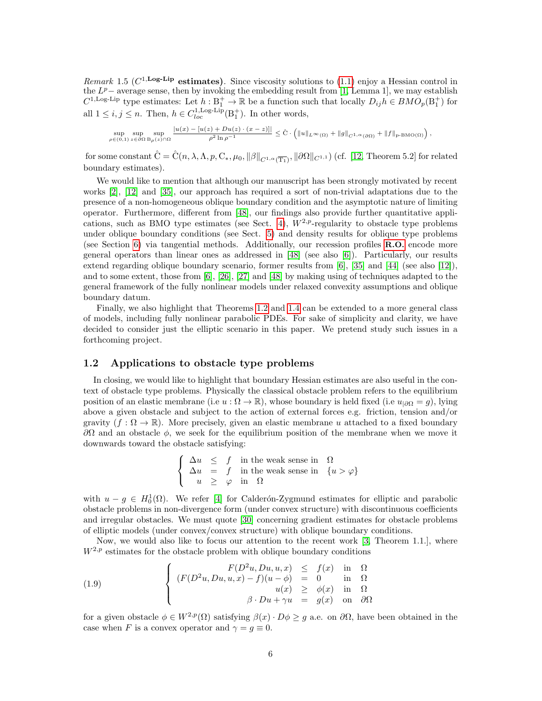Remark 1.5 ( $C^{1,\text{Log-Lip}}$  estimates). Since viscosity solutions to [\(1.1\)](#page-1-0) enjoy a Hessian control in the  $L^p$  – average sense, then by invoking the embedding result from [\[1,](#page-30-0) Lemma 1], we may establish  $C^{1,\text{Log-Lip}}$  type estimates: Let  $h: \text{B}_1^+ \to \mathbb{R}$  be a function such that locally  $D_{ij}h \in BMO_p(\text{B}_1^+)$  for all  $1 \leq i, j \leq n$ . Then,  $h \in C_{loc}^{1, \text{Log-Lip}}(\mathcal{B}_1^+)$ . In other words,

$$
\sup_{\rho\in(0,1)}\sup_{z\in\partial\Omega}\sup_{\mathrm{B}_\rho(z)\cap\Omega}\frac{|u(x)-[u(z)+Du(z)\cdot(x-z)]|}{\rho^2\ln\rho^{-1}}\leq \hat{\mathrm{C}}\cdot\Big(\|u\|_{L^\infty(\Omega)}+\|g\|_{C^{1,\alpha}(\partial\Omega)}+\|f\|_{\mathrm{p-BMO}(\Omega)}\Big)\,,
$$

for some constant  $\hat{C} = \hat{C}(n, \lambda, \Lambda, p, C_*, \mu_0, \|\beta\|_{C^{1,\alpha}(\overline{T_1})}, \|\partial\Omega\|_{C^{1,1}})$  (cf. [\[12,](#page-31-8) Theorem 5.2] for related boundary estimates).

We would like to mention that although our manuscript has been strongly motivated by recent works [\[2\]](#page-30-1), [\[12\]](#page-31-8) and [\[35\]](#page-32-2), our approach has required a sort of non-trivial adaptations due to the presence of a non-homogeneous oblique boundary condition and the asymptotic nature of limiting operator. Furthermore, different from [\[48\]](#page-33-7), our findings also provide further quantitative appli-cations, such as BMO type estimates (see Sect. [4\)](#page-22-0),  $W^{2,p}$ -regularity to obstacle type problems under oblique boundary conditions (see Sect. [5\)](#page-26-0) and density results for oblique type problems (see Section [6\)](#page-28-0) via tangential methods. Additionally, our recession profiles [R.O.](#page-1-1) encode more general operators than linear ones as addressed in [\[48\]](#page-33-7) (see also [\[6\]](#page-31-7)). Particularly, our results extend regarding oblique boundary scenario, former results from [\[6\]](#page-31-7), [\[35\]](#page-32-2) and [\[44\]](#page-33-1) (see also [\[12\]](#page-31-8)), and to some extent, those from [\[6\]](#page-31-7), [\[26\]](#page-32-1), [\[27\]](#page-32-13) and [\[48\]](#page-33-7) by making using of techniques adapted to the general framework of the fully nonlinear models under relaxed convexity assumptions and oblique boundary datum.

Finally, we also highlight that Theorems [1.2](#page-4-1) and [1.4](#page-4-2) can be extended to a more general class of models, including fully nonlinear parabolic PDEs. For sake of simplicity and clarity, we have decided to consider just the elliptic scenario in this paper. We pretend study such issues in a forthcoming project.

### 1.2 Applications to obstacle type problems

In closing, we would like to highlight that boundary Hessian estimates are also useful in the context of obstacle type problems. Physically the classical obstacle problem refers to the equilibrium position of an elastic membrane (i.e  $u : \Omega \to \mathbb{R}$ ), whose boundary is held fixed (i.e  $u_{|\partial\Omega} = q$ ), lying above a given obstacle and subject to the action of external forces e.g. friction, tension and/or gravity  $(f : \Omega \to \mathbb{R})$ . More precisely, given an elastic membrane u attached to a fixed boundary  $\partial Ω$  and an obstacle  $φ$ , we seek for the equilibrium position of the membrane when we move it downwards toward the obstacle satisfying:

$$
\left\{\begin{array}{rcl} \Delta u & \leq & f & \text{in the weak sense in} & \Omega \\ \Delta u & = & f & \text{in the weak sense in} & \{u > \varphi\} \\ u & \geq & \varphi & \text{in} & \Omega \end{array}\right.
$$

with  $u - g \in H_0^1(\Omega)$ . We refer [\[4\]](#page-31-13) for Calderón-Zygmund estimates for elliptic and parabolic obstacle problems in non-divergence form (under convex structure) with discontinuous coefficients and irregular obstacles. We must quote [\[30\]](#page-32-14) concerning gradient estimates for obstacle problems of elliptic models (under convex/convex structure) with oblique boundary conditions.

Now, we would also like to focus our attention to the recent work [\[3,](#page-31-14) Theorem 1.1.], where  $W^{2,p}$  estimates for the obstacle problem with oblique boundary conditions

<span id="page-5-0"></span>(1.9) 
$$
\begin{cases}\nF(D^2u, Du, u, x) \leq f(x) & \text{in } \Omega \\
(F(D^2u, Du, u, x) - f)(u - \phi) = 0 & \text{in } \Omega \\
u(x) \geq \phi(x) & \text{in } \Omega \\
\beta \cdot Du + \gamma u = g(x) & \text{on } \partial\Omega\n\end{cases}
$$

for a given obstacle  $\phi \in W^{2,p}(\Omega)$  satisfying  $\beta(x) \cdot D\phi \geq g$  a.e. on  $\partial\Omega$ , have been obtained in the case when F is a convex operator and  $\gamma = g \equiv 0$ .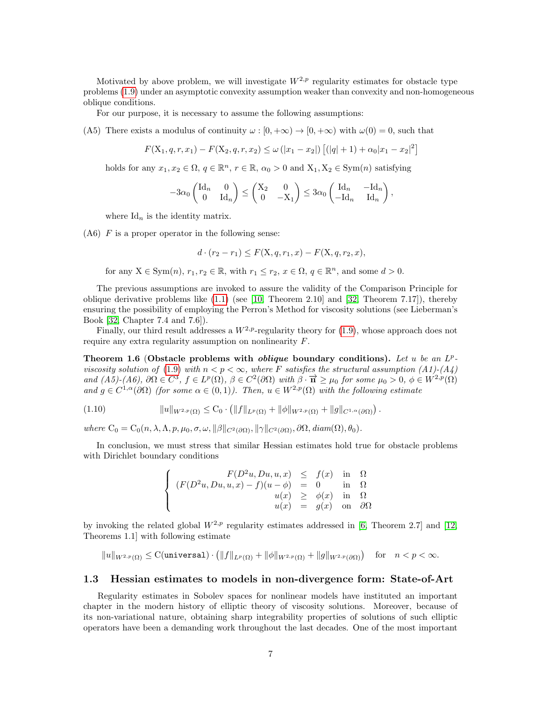Motivated by above problem, we will investigate  $W^{2,p}$  regularity estimates for obstacle type problems [\(1.9\)](#page-5-0) under an asymptotic convexity assumption weaker than convexity and non-homogeneous oblique conditions.

For our purpose, it is necessary to assume the following assumptions:

(A5) There exists a modulus of continuity  $\omega : [0, +\infty) \to [0, +\infty)$  with  $\omega(0) = 0$ , such that

$$
F(X_1, q, r, x_1) - F(X_2, q, r, x_2) \le \omega (|x_1 - x_2|) [(|q| + 1) + \alpha_0 |x_1 - x_2|^2]
$$

holds for any  $x_1, x_2 \in \Omega$ ,  $q \in \mathbb{R}^n$ ,  $r \in \mathbb{R}$ ,  $\alpha_0 > 0$  and  $X_1, X_2 \in \text{Sym}(n)$  satisfying

$$
-3\alpha_0 \begin{pmatrix} \mathrm{Id}_n & 0 \\ 0 & \mathrm{Id}_n \end{pmatrix} \leq \begin{pmatrix} \mathrm{X}_2 & 0 \\ 0 & -\mathrm{X}_1 \end{pmatrix} \leq 3\alpha_0 \begin{pmatrix} \mathrm{Id}_n & -\mathrm{Id}_n \\ -\mathrm{Id}_n & \mathrm{Id}_n \end{pmatrix},
$$

where  $\mathrm{Id}_n$  is the identity matrix.

 $(A6)$  F is a proper operator in the following sense:

$$
d \cdot (r_2 - r_1) \le F(\mathbf{X}, q, r_1, x) - F(\mathbf{X}, q, r_2, x),
$$

for any  $X \in \text{Sym}(n)$ ,  $r_1, r_2 \in \mathbb{R}$ , with  $r_1 \leq r_2$ ,  $x \in \Omega$ ,  $q \in \mathbb{R}^n$ , and some  $d > 0$ .

The previous assumptions are invoked to assure the validity of the Comparison Principle for oblique derivative problems like  $(1.1)$  (see [\[10,](#page-31-12) Theorem 2.10] and [\[32,](#page-32-15) Theorem 7.17]), thereby ensuring the possibility of employing the Perron's Method for viscosity solutions (see Lieberman's Book [\[32,](#page-32-15) Chapter 7.4 and 7.6]).

Finally, our third result addresses a  $W^{2,p}$ -regularity theory for [\(1.9\)](#page-5-0), whose approach does not require any extra regularity assumption on nonlinearity F.

<span id="page-6-0"></span>Theorem 1.6 (Obstacle problems with *oblique* boundary conditions). Let u be an  $L^p$ -viscosity solution of [\(1.9\)](#page-5-0) with  $n < p < \infty$ , where F satisfies the structural assumption (A1)-(A4) and  $(A5)-(A6)$ ,  $\partial\Omega \in C^3$ ,  $f \in L^p(\Omega)$ ,  $\beta \in C^2(\partial\Omega)$  with  $\beta \cdot \overrightarrow{n} \ge \mu_0$  for some  $\mu_0 > 0$ ,  $\phi \in W^{2,p}(\Omega)$ and  $g \in C^{1,\alpha}(\partial\Omega)$  (for some  $\alpha \in (0,1)$ ). Then,  $u \in W^{2,p}(\Omega)$  with the following estimate

$$
(1.10) \t\t\t ||u||_{W^{2,p}(\Omega)} \leq C_0 \cdot (||f||_{L^p(\Omega)} + ||\phi||_{W^{2,p}(\Omega)} + ||g||_{C^{1,\alpha}(\partial\Omega)}).
$$

where  $C_0 = C_0(n, \lambda, \Lambda, p, \mu_0, \sigma, \omega, \|\beta\|_{C^2(\partial\Omega)}, \|\gamma\|_{C^2(\partial\Omega)}, \partial\Omega, \text{diam}(\Omega), \theta_0).$ 

In conclusion, we must stress that similar Hessian estimates hold true for obstacle problems with Dirichlet boundary conditions

$$
\begin{cases}\nF(D^2u, Du, u, x) \leq f(x) & \text{in } \Omega \\
(F(D^2u, Du, u, x) - f)(u - \phi) = 0 & \text{in } \Omega \\
u(x) \geq \phi(x) & \text{in } \Omega \\
u(x) = g(x) & \text{on } \partial\Omega\n\end{cases}
$$

by invoking the related global  $W^{2,p}$  regularity estimates addressed in [\[6,](#page-31-7) Theorem 2.7] and [\[12,](#page-31-8) Theorems 1.1] with following estimate

 $\|u\|_{W^{2,p}(\Omega)} \leq \mathrm{C}(\verb"universal")\cdot\big(\|f\|_{L^p(\Omega)}+\|\phi\|_{W^{2,p}(\Omega)}+\|g\|_{W^{2,p}(\partial\Omega)}\big)\quad\text{for}\quad n$ 

### 1.3 Hessian estimates to models in non-divergence form: State-of-Art

Regularity estimates in Sobolev spaces for nonlinear models have instituted an important chapter in the modern history of elliptic theory of viscosity solutions. Moreover, because of its non-variational nature, obtaining sharp integrability properties of solutions of such elliptic operators have been a demanding work throughout the last decades. One of the most important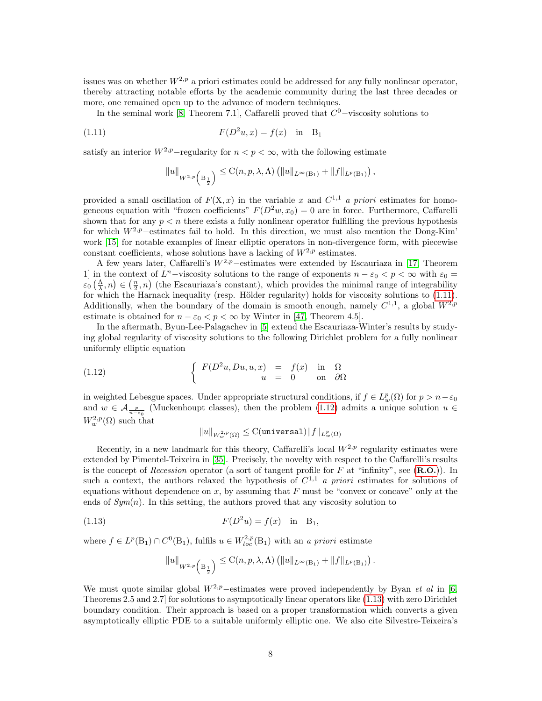issues was on whether  $W^{2,p}$  a priori estimates could be addressed for any fully nonlinear operator, thereby attracting notable efforts by the academic community during the last three decades or more, one remained open up to the advance of modern techniques.

In the seminal work [\[8,](#page-31-0) Theorem 7.1], Caffarelli proved that  $C<sup>0</sup>$ -viscosity solutions to

(1.11) 
$$
F(D^2u, x) = f(x) \text{ in } B_1
$$

satisfy an interior  $W^{2,p}$ –regularity for  $n < p < \infty$ , with the following estimate

<span id="page-7-0"></span>
$$
||u||_{W^{2,p}\left(\mathrm{B}_{\frac{1}{2}}\right)} \leq \mathrm{C}(n,p,\lambda,\Lambda)\left(||u||_{L^{\infty}(\mathrm{B}_{1})}+||f||_{L^{p}(\mathrm{B}_{1})}\right),
$$

provided a small oscillation of  $F(X, x)$  in the variable x and  $C^{1,1}$  a priori estimates for homogeneous equation with "frozen coefficients"  $F(D^2w, x_0) = 0$  are in force. Furthermore, Caffarelli shown that for any  $p \leq n$  there exists a fully nonlinear operator fulfilling the previous hypothesis for which  $W^{2,p}$ –estimates fail to hold. In this direction, we must also mention the Dong-Kim' work [\[15\]](#page-31-15) for notable examples of linear elliptic operators in non-divergence form, with piecewise constant coefficients, whose solutions have a lacking of  $W^{2,p}$  estimates.

A few years later, Caffarelli's  $W^{2,p}$ –estimates were extended by Escauriaza in [\[17,](#page-31-16) Theorem 1] in the context of  $L^n$ -viscosity solutions to the range of exponents  $n - \varepsilon_0 < p < \infty$  with  $\varepsilon_0 =$  $\varepsilon_0\left(\frac{\Lambda}{\lambda},n\right) \in \left(\frac{n}{2},n\right)$  (the Escauriaza's constant), which provides the minimal range of integrability for which the Harnack inequality (resp. Hölder regularity) holds for viscosity solutions to  $(1.11)$ . Additionally, when the boundary of the domain is smooth enough, namely  $C^{1,1}$ , a global  $W^{2,p}$ estimate is obtained for  $n - \varepsilon_0 < p < \infty$  by Winter in [\[47,](#page-33-8) Theorem 4.5].

In the aftermath, Byun-Lee-Palagachev in [\[5\]](#page-31-17) extend the Escauriaza-Winter's results by studying global regularity of viscosity solutions to the following Dirichlet problem for a fully nonlinear uniformly elliptic equation

(1.12) 
$$
\begin{cases} F(D^2u, Du, u, x) = f(x) & \text{in } \Omega \\ u = 0 & \text{on } \partial\Omega \end{cases}
$$

in weighted Lebesgue spaces. Under appropriate structural conditions, if  $f \in L^p_w(\Omega)$  for  $p > n - \varepsilon_0$ and  $w \in \mathcal{A}_{\frac{p}{n-\epsilon_0}}$  (Muckenhoupt classes), then the problem [\(1.12\)](#page-7-1) admits a unique solution  $u \in$  $W_w^{2,p}(\Omega)$  such that

<span id="page-7-1"></span>
$$
\|u\|_{W^{2,p}_{w}(\Omega)}\leq \text{C}(\text{universal})\|f\|_{L^p_{w}(\Omega)}
$$

Recently, in a new landmark for this theory, Caffarelli's local  $W^{2,p}$  regularity estimates were extended by Pimentel-Teixeira in [\[35\]](#page-32-2). Precisely, the novelty with respect to the Caffarelli's results is the concept of Recession operator (a sort of tangent profile for F at "infinity", see  $(R.O.)$  $(R.O.)$  $(R.O.)$ ). In such a context, the authors relaxed the hypothesis of  $C^{1,1}$  a priori estimates for solutions of equations without dependence on  $x$ , by assuming that  $F$  must be "convex or concave" only at the ends of  $Sym(n)$ . In this setting, the authors proved that any viscosity solution to

(1.13) 
$$
F(D^2u) = f(x) \text{ in } B_1,
$$

where  $f \in L^p(\mathcal{B}_1) \cap C^0(\mathcal{B}_1)$ , fulfils  $u \in W_{loc}^{2,p}(\mathcal{B}_1)$  with an a priori estimate

<span id="page-7-2"></span>
$$
||u||_{W^{2,p}\left(\mathrm{B}_{\frac{1}{2}}\right)} \leq \mathrm{C}(n,p,\lambda,\Lambda) \left( ||u||_{L^{\infty}(\mathrm{B}_{1})} + ||f||_{L^{p}(\mathrm{B}_{1})} \right).
$$

We must quote similar global  $W^{2,p}$ –estimates were proved independently by Byan et al in [\[6,](#page-31-7) Theorems 2.5 and 2.7] for solutions to asymptotically linear operators like [\(1.13\)](#page-7-2) with zero Dirichlet boundary condition. Their approach is based on a proper transformation which converts a given asymptotically elliptic PDE to a suitable uniformly elliptic one. We also cite Silvestre-Teixeira's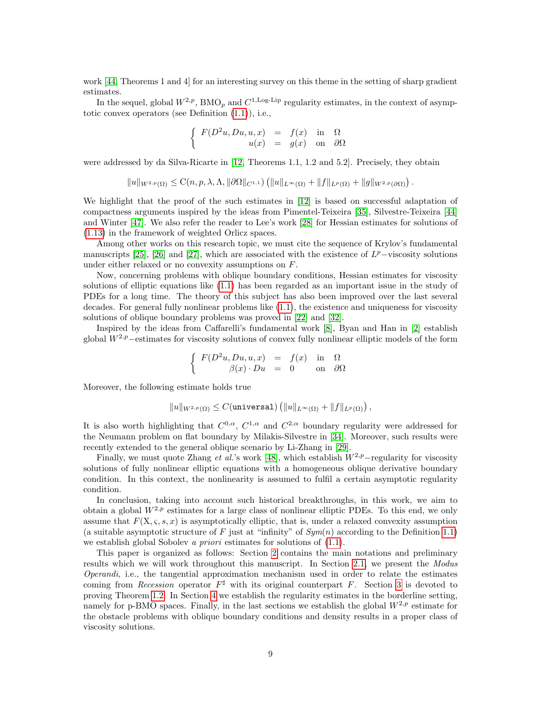work [\[44,](#page-33-1) Theorems 1 and 4] for an interesting survey on this theme in the setting of sharp gradient estimates.

In the sequel, global  $W^{2,p}$ , BMO<sub>p</sub> and  $C^{1,\text{Log-Lip}}$  regularity estimates, in the context of asymptotic convex operators (see Definition [\(1.1\)](#page-1-3)), i.e.,

$$
\begin{cases}\nF(D^2u, Du, u, x) = f(x) & \text{in} \quad \Omega \\
u(x) = g(x) & \text{on} \quad \partial\Omega\n\end{cases}
$$

were addressed by da Silva-Ricarte in [\[12,](#page-31-8) Theorems 1.1, 1.2 and 5.2]. Precisely, they obtain

$$
||u||_{W^{2,p}(\Omega)} \leq C(n,p,\lambda,\Lambda, ||\partial\Omega||_{C^{1,1}}) (||u||_{L^{\infty}(\Omega)} + ||f||_{L^{p}(\Omega)} + ||g||_{W^{2,p}(\partial\Omega)}).
$$

We highlight that the proof of the such estimates in [\[12\]](#page-31-8) is based on successful adaptation of compactness arguments inspired by the ideas from Pimentel-Teixeira [\[35\]](#page-32-2), Silvestre-Teixeira [\[44\]](#page-33-1) and Winter [\[47\]](#page-33-8). We also refer the reader to Lee's work [\[28\]](#page-32-16) for Hessian estimates for solutions of [\(1.13\)](#page-7-2) in the framework of weighted Orlicz spaces.

Among other works on this research topic, we must cite the sequence of Krylov's fundamental manuscripts [\[25\]](#page-32-17), [\[26\]](#page-32-1) and [\[27\]](#page-32-13), which are associated with the existence of  $L^p$ -viscosity solutions under either relaxed or no convexity assumptions on F.

Now, concerning problems with oblique boundary conditions, Hessian estimates for viscosity solutions of elliptic equations like [\(1.1\)](#page-1-0) has been regarded as an important issue in the study of PDEs for a long time. The theory of this subject has also been improved over the last several decades. For general fully nonlinear problems like [\(1.1\)](#page-1-0), the existence and uniqueness for viscosity solutions of oblique boundary problems was proved in [\[22\]](#page-32-18) and [\[32\]](#page-32-15).

Inspired by the ideas from Caffarelli's fundamental work [\[8\]](#page-31-0), Byan and Han in [\[2\]](#page-30-1) establish global  $W^{2,p}$ –estimates for viscosity solutions of convex fully nonlinear elliptic models of the form

$$
\left\{\begin{array}{rcl} F(D^2u,Du,u,x) & = & f(x) & \text{in} & \Omega \\ \beta(x)\cdot Du & = & 0 & \text{on} & \partial\Omega \end{array}\right.
$$

Moreover, the following estimate holds true

$$
||u||_{W^{2,p}(\Omega)} \leq C(\text{universal}) \left( ||u||_{L^{\infty}(\Omega)} + ||f||_{L^p(\Omega)} \right),
$$

It is also worth highlighting that  $C^{0,\alpha}$ ,  $C^{1,\alpha}$  and  $C^{2,\alpha}$  boundary regularity were addressed for the Neumann problem on flat boundary by Milakis-Silvestre in [\[34\]](#page-32-11). Moreover, such results were recently extended to the general oblique scenario by Li-Zhang in [\[29\]](#page-32-8).

Finally, we must quote Zhang et al.'s work [\[48\]](#page-33-7), which establish  $W^{2,p}$ −regularity for viscosity solutions of fully nonlinear elliptic equations with a homogeneous oblique derivative boundary condition. In this context, the nonlinearity is assumed to fulfil a certain asymptotic regularity condition.

In conclusion, taking into account such historical breakthroughs, in this work, we aim to obtain a global  $W^{2,p}$  estimates for a large class of nonlinear elliptic PDEs. To this end, we only assume that  $F(X, \varsigma, s, x)$  is asymptotically elliptic, that is, under a relaxed convexity assumption (a suitable asymptotic structure of F just at "infinity" of  $Sym(n)$  according to the Definition [1.1\)](#page-1-3) we establish global Sobolev *a priori* estimates for solutions of  $(1.1)$ .

This paper is organized as follows: Section [2](#page-9-0) contains the main notations and preliminary results which we will work throughout this manuscript. In Section [2.1,](#page-11-0) we present the Modus Operandi, i.e., the tangential approximation mechanism used in order to relate the estimates coming from *Recession* operator  $F^{\sharp}$  with its original counterpart F. Section [3](#page-13-0) is devoted to proving Theorem [1.2.](#page-4-1) In Section [4](#page-22-0) we establish the regularity estimates in the borderline setting, namely for p-BMO spaces. Finally, in the last sections we establish the global  $W^{2,p}$  estimate for the obstacle problems with oblique boundary conditions and density results in a proper class of viscosity solutions.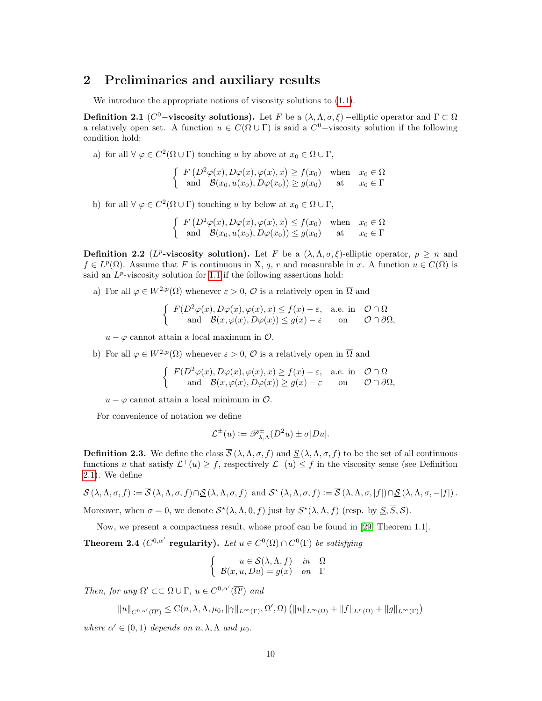### <span id="page-9-0"></span>2 Preliminaries and auxiliary results

We introduce the appropriate notions of viscosity solutions to  $(1.1)$ .

<span id="page-9-1"></span>Definition 2.1 (C<sup>0</sup>-viscosity solutions). Let F be a  $(\lambda, \Lambda, \sigma, \xi)$  –elliptic operator and  $\Gamma \subset \Omega$ a relatively open set. A function  $u \in C(\Omega \cup \Gamma)$  is said a  $C^0$ -viscosity solution if the following condition hold:

a) for all  $\forall \varphi \in C^2(\Omega \cup \Gamma)$  touching u by above at  $x_0 \in \Omega \cup \Gamma$ ,

$$
\begin{cases}\nF\left(D^2\varphi(x), D\varphi(x), \varphi(x), x\right) \ge f(x_0) & \text{when } x_0 \in \Omega \\
\text{and } \mathcal{B}(x_0, u(x_0), D\varphi(x_0)) \ge g(x_0) & \text{at } x_0 \in \Gamma\n\end{cases}
$$

b) for all  $\forall \varphi \in C^2(\Omega \cup \Gamma)$  touching u by below at  $x_0 \in \Omega \cup \Gamma$ ,

$$
\begin{cases}\nF(D^2\varphi(x), D\varphi(x), \varphi(x), x) \le f(x_0) & \text{when } x_0 \in \Omega \\
\text{and } \mathcal{B}(x_0, u(x_0), D\varphi(x_0)) \le g(x_0) & \text{at } x_0 \in \Gamma\n\end{cases}
$$

**Definition 2.2** (*L<sup>p</sup>*-viscosity solution). Let F be a  $(\lambda, \Lambda, \sigma, \xi)$ -elliptic operator,  $p \geq n$  and  $f \in L^p(\Omega)$ . Assume that F is continuous in X, q, r and measurable in x. A function  $u \in C(\overline{\Omega})$  is said an  $L^p$ -viscosity solution for [1](#page-1-0).1 if the following assertions hold:

a) For all  $\varphi \in W^{2,p}(\Omega)$  whenever  $\varepsilon > 0$ ,  $\mathcal O$  is a relatively open in  $\overline{\Omega}$  and

$$
\begin{cases}\nF(D^2\varphi(x), D\varphi(x), \varphi(x), x) \le f(x) - \varepsilon, & \text{a.e. in } \mathcal{O} \cap \Omega \\
\text{and } \mathcal{B}(x, \varphi(x), D\varphi(x)) \le g(x) - \varepsilon \quad \text{on } \mathcal{O} \cap \partial\Omega,\n\end{cases}
$$

 $u - \varphi$  cannot attain a local maximum in  $\mathcal{O}$ .

b) For all  $\varphi \in W^{2,p}(\Omega)$  whenever  $\varepsilon > 0$ ,  $\mathcal O$  is a relatively open in  $\overline{\Omega}$  and

$$
\begin{cases}\nF(D^2\varphi(x), D\varphi(x), \varphi(x), x) \ge f(x) - \varepsilon, & \text{a.e. in } \mathcal{O} \cap \Omega \\
\text{and } \mathcal{B}(x, \varphi(x), D\varphi(x)) \ge g(x) - \varepsilon \quad \text{on } \mathcal{O} \cap \partial\Omega,\n\end{cases}
$$

 $u - \varphi$  cannot attain a local minimum in  $\mathcal{O}$ .

For convenience of notation we define

$$
\mathcal{L}^{\pm}(u) := \mathscr{P}_{\lambda,\Lambda}^{\pm}(D^2u) \pm \sigma|Du|.
$$

**Definition 2.3.** We define the class  $\overline{S}(\lambda, \Lambda, \sigma, f)$  and  $S(\lambda, \Lambda, \sigma, f)$  to be the set of all continuous functions u that satisfy  $\mathcal{L}^+(u) \geq f$ , respectively  $\mathcal{L}^-(u) \leq f$  in the viscosity sense (see Definition [2.1\)](#page-9-1). We define

$$
\mathcal{S}(\lambda, \Lambda, \sigma, f) := \overline{\mathcal{S}}(\lambda, \Lambda, \sigma, f) \cap \underline{\mathcal{S}}(\lambda, \Lambda, \sigma, f) \text{ and } \mathcal{S}^*(\lambda, \Lambda, \sigma, f) := \overline{\mathcal{S}}(\lambda, \Lambda, \sigma, |f|) \cap \underline{\mathcal{S}}(\lambda, \Lambda, \sigma, -|f|).
$$

Moreover, when  $\sigma = 0$ , we denote  $S^*(\lambda, \Lambda, 0, f)$  just by  $S^*(\lambda, \Lambda, f)$  (resp. by  $\underline{S}, \overline{S}, S$ ).

Now, we present a compactness result, whose proof can be found in [\[29,](#page-32-8) Theorem 1.1].

<span id="page-9-2"></span>**Theorem 2.4**  $(C^{0,\alpha'}$  regularity). Let  $u \in C^0(\Omega) \cap C^0(\Gamma)$  be satisfying

$$
\begin{cases}\n u \in \mathcal{S}(\lambda, \Lambda, f) & \text{in} \quad \Omega \\
 \mathcal{B}(x, u, Du) = g(x) & \text{on} \quad \Gamma\n\end{cases}
$$

Then, for any  $\Omega' \subset\subset \Omega \cup \Gamma$ ,  $u \in C^{0,\alpha'}(\overline{\Omega'})$  and

$$
||u||_{C^{0,\alpha'}(\overline{\Omega'})}\leq \mathrm{C}(n,\lambda,\Lambda,\mu_0,\|\gamma\|_{L^\infty(\Gamma)},\Omega',\Omega)\left(||u||_{L^\infty(\Omega)}+||f||_{L^n(\Omega)}+||g||_{L^\infty(\Gamma)}\right)
$$

where  $\alpha' \in (0,1)$  depends on  $n, \lambda, \Lambda$  and  $\mu_0$ .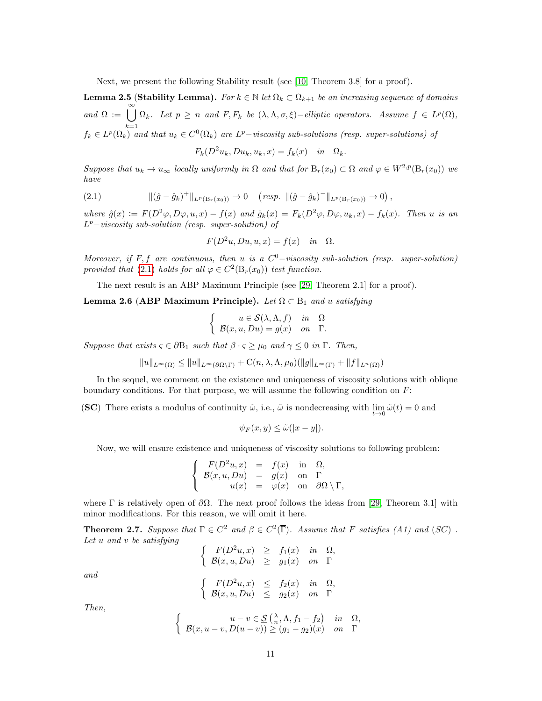Next, we present the following Stability result (see [\[10,](#page-31-12) Theorem 3.8] for a proof).

<span id="page-10-3"></span>**Lemma 2.5 (Stability Lemma).** For  $k \in \mathbb{N}$  let  $\Omega_k \subset \Omega_{k+1}$  be an increasing sequence of domains and  $\Omega := \bigcup_{n=0}^{\infty}$  $k=1$  $\Omega_k$ . Let  $p \geq n$  and  $F, F_k$  be  $(\lambda, \Lambda, \sigma, \xi)$  –elliptic operators. Assume  $f \in L^p(\Omega)$ ,  $f_k \in L^p(\Omega_k)$  and that  $u_k \in C^0(\Omega_k)$  are  $L^p-\nu is$ cosity sub-solutions (resp. super-solutions) of

<span id="page-10-0"></span>
$$
F_k(D^2u_k, Du_k, u_k, x) = f_k(x) \quad in \quad \Omega_k.
$$

Suppose that  $u_k \to u_\infty$  locally uniformly in  $\Omega$  and that for  $B_r(x_0) \subset \Omega$  and  $\varphi \in W^{2,p}(B_r(x_0))$  we have

$$
(2.1) \t\t\t ||(\hat{g} - \hat{g}_k)^+||_{L^p(B_r(x_0))} \to 0 \t (resp. ||(\hat{g} - \hat{g}_k)^-||_{L^p(B_r(x_0))} \to 0),
$$

where  $\hat{g}(x) := F(D^2\varphi, D\varphi, u, x) - f(x)$  and  $\hat{g}_k(x) = F_k(D^2\varphi, D\varphi, u_k, x) - f_k(x)$ . Then u is an  $L^p$ -viscosity sub-solution (resp. super-solution) of

$$
F(D^2u, Du, u, x) = f(x) \quad in \quad \Omega.
$$

Moreover, if F, f are continuous, then u is a  $C^0$ -viscosity sub-solution (resp. super-solution) provided that [\(2.1\)](#page-10-0) holds for all  $\varphi \in C^2(\mathcal{B}_r(x_0))$  test function.

The next result is an ABP Maximum Principle (see [\[29,](#page-32-8) Theorem 2.1] for a proof).

<span id="page-10-2"></span>Lemma 2.6 (ABP Maximum Principle). Let  $\Omega \subset B_1$  and u satisfying

$$
\begin{cases}\n u \in \mathcal{S}(\lambda, \Lambda, f) & \text{in} \quad \Omega \\
 \mathcal{B}(x, u, Du) = g(x) & \text{on} \quad \Gamma.\n\end{cases}
$$

Suppose that exists  $\varsigma \in \partial B_1$  such that  $\beta \cdot \varsigma \geq \mu_0$  and  $\gamma \leq 0$  in  $\Gamma$ . Then,

$$
||u||_{L^{\infty}(\Omega)} \leq ||u||_{L^{\infty}(\partial\Omega \setminus \Gamma)} + C(n,\lambda,\Lambda,\mu_0)(||g||_{L^{\infty}(\Gamma)} + ||f||_{L^{n}(\Omega)})
$$

In the sequel, we comment on the existence and uniqueness of viscosity solutions with oblique boundary conditions. For that purpose, we will assume the following condition on  $F$ :

(SC) There exists a modulus of continuity  $\tilde{\omega}$ , i.e.,  $\tilde{\omega}$  is nondecreasing with  $\lim_{t\to 0} \tilde{\omega}(t) = 0$  and

$$
\psi_F(x, y) \le \tilde{\omega}(|x - y|).
$$

Now, we will ensure existence and uniqueness of viscosity solutions to following problem:

$$
\begin{cases}\nF(D^2u,x) = f(x) & \text{in } \Omega, \\
B(x,u,Du) = g(x) & \text{on } \Gamma \\
u(x) = \varphi(x) & \text{on } \partial\Omega \setminus \Gamma,\n\end{cases}
$$

where  $\Gamma$  is relatively open of  $\partial\Omega$ . The next proof follows the ideas from [\[29,](#page-32-8) Theorem 3.1] with minor modifications. For this reason, we will omit it here.

<span id="page-10-1"></span>**Theorem 2.7.** Suppose that  $\Gamma \in C^2$  and  $\beta \in C^2(\overline{\Gamma})$ . Assume that F satisfies (A1) and (SC). Let u and v be satisfying  $\frac{e^{t}}{x}$ 

$$
\begin{cases}\nF(D^2u, x) & \geq f_1(x) \quad in \quad \Omega \\
B(x, u, Du) & \geq g_1(x) \quad on \quad \Gamma\n\end{cases}
$$

and

$$
\begin{cases}\nF(D^2u,x) \leq f_2(x) & \text{in } \Omega, \\
B(x,u,Du) \leq g_2(x) & \text{on } \Gamma\n\end{cases}
$$

Then,

$$
\begin{cases}\n u - v \in \mathcal{S}\left(\frac{\lambda}{n}, \Lambda, f_1 - f_2\right) & \text{in } \Omega, \\
 \mathcal{B}(x, u - v, D(u - v)) \ge (g_1 - g_2)(x) & \text{on } \Gamma\n\end{cases}
$$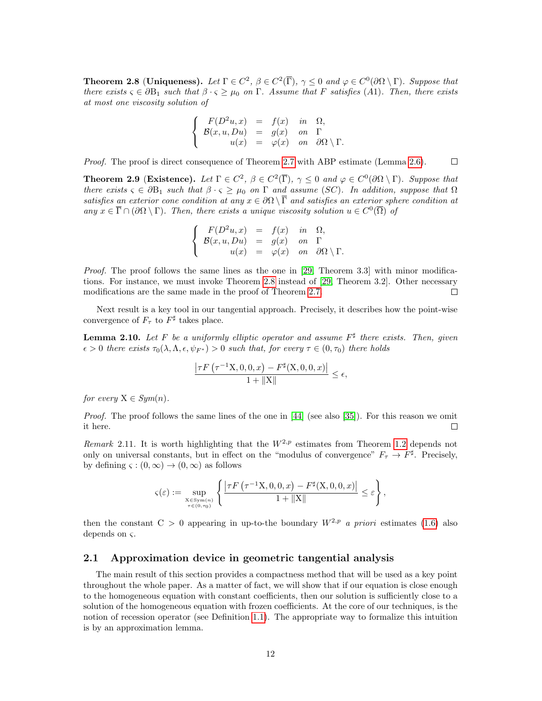<span id="page-11-1"></span>**Theorem 2.8 (Uniqueness).** Let  $\Gamma \in C^2$ ,  $\beta \in C^2(\overline{\Gamma})$ ,  $\gamma \leq 0$  and  $\varphi \in C^0(\partial \Omega \setminus \Gamma)$ . Suppose that there exists  $\varsigma \in \partial B_1$  such that  $\beta \cdot \varsigma \geq \mu_0$  on  $\Gamma$ . Assume that F satisfies (A1). Then, there exists at most one viscosity solution of

$$
\begin{cases}\nF(D^2u,x) = f(x) & \text{in } \Omega, \\
B(x,u,Du) = g(x) & \text{on } \Gamma \\
u(x) = \varphi(x) & \text{on } \partial\Omega \setminus \Gamma.\n\end{cases}
$$

Proof. The proof is direct consequence of Theorem [2.7](#page-10-1) with ABP estimate (Lemma [2.6\)](#page-10-2).  $\Box$ 

<span id="page-11-2"></span>**Theorem 2.9** (Existence). Let  $\Gamma \in C^2$ ,  $\beta \in C^2(\overline{\Gamma})$ ,  $\gamma \leq 0$  and  $\varphi \in C^0(\partial \Omega \setminus \Gamma)$ . Suppose that there exists  $\varsigma \in \partial B_1$  such that  $\beta \cdot \varsigma \geq \mu_0$  on  $\Gamma$  and assume (SC). In addition, suppose that  $\Omega$ satisfies an exterior cone condition at any  $x \in \partial\Omega \setminus \overline{\Gamma}$  and satisfies an exterior sphere condition at any  $x \in \overline{\Gamma} \cap (\partial \Omega \setminus \Gamma)$ . Then, there exists a unique viscosity solution  $u \in C^0(\overline{\Omega})$  of

$$
\begin{cases}\nF(D^2u,x) = f(x) & \text{in } \Omega, \\
B(x,u,Du) = g(x) & \text{on } \Gamma \\
u(x) = \varphi(x) & \text{on } \partial\Omega \setminus \Gamma.\n\end{cases}
$$

Proof. The proof follows the same lines as the one in [\[29,](#page-32-8) Theorem 3.3] with minor modifications. For instance, we must invoke Theorem [2.8](#page-11-1) instead of [\[29,](#page-32-8) Theorem 3.2]. Other necessary modifications are the same made in the proof of Theorem [2.7.](#page-10-1)  $\Box$ 

Next result is a key tool in our tangential approach. Precisely, it describes how the point-wise convergence of  $F_{\tau}$  to  $F^{\sharp}$  takes place.

**Lemma 2.10.** Let F be a uniformly elliptic operator and assume  $F^{\sharp}$  there exists. Then, given  $\epsilon > 0$  there exists  $\tau_0(\lambda, \Lambda, \epsilon, \psi_{F^*}) > 0$  such that, for every  $\tau \in (0, \tau_0)$  there holds

$$
\frac{\left|\tau F\left(\tau^{-1} \mathrm{X}, 0, 0, x\right) - F^{\sharp}\left(\mathrm{X}, 0, 0, x\right)\right|}{1 + \| \mathrm{X} \|} \le \epsilon,
$$

for every  $X \in Sym(n)$ .

Proof. The proof follows the same lines of the one in [\[44\]](#page-33-1) (see also [\[35\]](#page-32-2)). For this reason we omit it here.  $\Box$ 

Remark 2.11. It is worth highlighting that the  $W^{2,p}$  estimates from Theorem [1.2](#page-4-1) depends not only on universal constants, but in effect on the "modulus of convergence"  $F_{\tau} \to F^{\sharp}$ . Precisely, by defining  $\varsigma : (0, \infty) \to (0, \infty)$  as follows

$$
\varsigma(\varepsilon):=\sup_{\substack{\mathbf{X}\in \mathrm{Sym}(n)\\ \tau\in(0,\tau_0)}}\left\{\frac{\left|\tau F\left(\tau^{-1}\mathbf{X},0,0,x\right)-F^{\sharp}(\mathbf{X},0,0,x)\right|}{1+\|\mathbf{X}\|}\leq \varepsilon\right\},
$$

then the constant  $C > 0$  appearing in up-to-the boundary  $W^{2,p}$  a priori estimates [\(1.6\)](#page-4-3) also depends on ς.

#### <span id="page-11-0"></span>2.1 Approximation device in geometric tangential analysis

The main result of this section provides a compactness method that will be used as a key point throughout the whole paper. As a matter of fact, we will show that if our equation is close enough to the homogeneous equation with constant coefficients, then our solution is sufficiently close to a solution of the homogeneous equation with frozen coefficients. At the core of our techniques, is the notion of recession operator (see Definition [1.1\)](#page-1-3). The appropriate way to formalize this intuition is by an approximation lemma.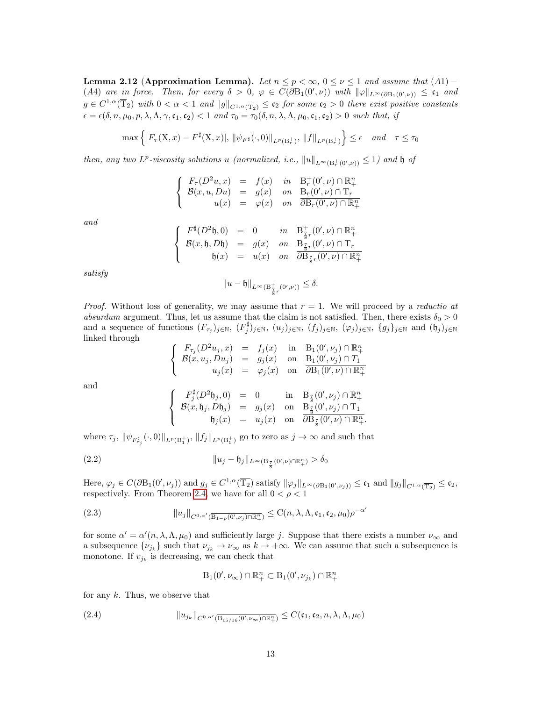<span id="page-12-3"></span>Lemma 2.12 (Approximation Lemma). Let  $n \leq p < \infty$ ,  $0 \leq \nu \leq 1$  and assume that  $(A1)$ (A4) are in force. Then, for every  $\delta > 0$ ,  $\varphi \in C(\partial B_1(0', \nu))$  with  $\|\varphi\|_{L^{\infty}(\partial B_1(0', \nu))} \leq \mathfrak{c}_1$  and  $g \in C^{1,\alpha}(\overline{T}_2)$  with  $0 < \alpha < 1$  and  $||g||_{C^{1,\alpha}(\overline{T}_2)} \leq \mathfrak{c}_2$  for some  $\mathfrak{c}_2 > 0$  there exist positive constants  $\epsilon = \epsilon(\delta, n, \mu_0, p, \lambda, \Lambda, \gamma, \mathfrak{c}_1, \mathfrak{c}_2) < 1$  and  $\tau_0 = \tau_0(\delta, n, \lambda, \Lambda, \mu_0, \mathfrak{c}_1, \mathfrak{c}_2) > 0$  such that, if

$$
\max\left\{|F_{\tau}(X,x) - F^{\sharp}(X,x)|, \|\psi_{F^{\sharp}}(\cdot,0)\|_{L^{p}(B_{r}^{+})}, \|f\|_{L^{p}(B_{r}^{+})}\right\} \leq \epsilon \quad and \quad \tau \leq \tau_{0}
$$

then, any two  $L^p$ -viscosity solutions u (normalized, i.e.,  $||u||_{L^{\infty}(\mathcal{B}^+_r(0',\nu))} \leq 1$ ) and h of

$$
\left\{\begin{array}{rcll} F_{\tau}(D^2u,x)&=&f(x)∈&\mathrm{B}^+_{\tau}(0',\nu)\cap\mathbb{R}^n_+\\ \mathcal{B}(x,u,Du)&=&g(x)&on&\mathrm{B}^-_{\tau}(0',\nu)\cap\mathrm{T}_r\\ u(x)&=&\varphi(x)&on&\overline{\partial\mathrm{B}^-_{\tau}(0',\nu)\cap\mathbb{R}^n_+} \end{array}\right.
$$

and

$$
\begin{cases}\nF^{\sharp}(D^2\mathfrak{h},0) = 0 & \text{in} \quad \mathcal{B}^+_{\frac{7}{8}r}(0',\nu) \cap \mathbb{R}^n_+ \\
\mathcal{B}(x,\mathfrak{h},D\mathfrak{h}) = g(x) & \text{on} \quad \mathcal{B}^-_{\frac{7}{8}r}(0',\nu) \cap \mathcal{T}_r \\
\mathfrak{h}(x) = u(x) & \text{on} \quad \frac{7}{\partial \mathcal{B}^-_{\frac{7}{8}r}(0',\nu) \cap \mathbb{R}^n_+}\n\end{cases}
$$

satisfy

$$
||u - \mathfrak{h}||_{L^{\infty}(\mathcal{B}^+_{\frac{7}{8}r}(0',\nu))} \leq \delta.
$$

*Proof.* Without loss of generality, we may assume that  $r = 1$ . We will proceed by a *reductio at* absurdum argument. Thus, let us assume that the claim is not satisfied. Then, there exists  $\delta_0 > 0$ and a sequence of functions  $(F_{\tau_j})_{j\in\mathbb{N}}$ ,  $(F_j^{\sharp})_{j\in\mathbb{N}}$ ,  $(u_j)_{j\in\mathbb{N}}$ ,  $(f_j)_{j\in\mathbb{N}}$ ,  $(g_j)_{j\in\mathbb{N}}$  and  $(\mathfrak{h}_j)_{j\in\mathbb{N}}$ linked through

$$
\begin{array}{rcl}\nF_{\tau_j}(D^2u_j,x) & = & f_j(x) \quad \text{in} \quad B_1(0',\nu_j) \cap \mathbb{R}^n_+ \\
\mathcal{B}(x,u_j,Du_j) & = & g_j(x) \quad \text{on} \quad B_1(0',\nu_j) \cap T_1 \\
u_j(x) & = & \varphi_j(x) \quad \text{on} \quad \overline{\partial B_1(0',\nu) \cap \mathbb{R}^n_+}\n\end{array}
$$

and

$$
F_j^{\sharp}(D^2\mathfrak{h}_j,0) = 0 \quad \text{in} \quad B_{\frac{7}{8}}(0',\nu_j) \cap \mathbb{R}^n_+
$$
  

$$
\mathcal{B}(x,\mathfrak{h}_j,D\mathfrak{h}_j) = g_j(x) \quad \text{on} \quad B_{\frac{7}{8}}(0',\nu_j) \cap T_1
$$
  

$$
\mathfrak{h}_j(x) = u_j(x) \quad \text{on} \quad \frac{\partial B_{\frac{7}{8}}(0',\nu_j) \cap \mathbb{R}^n_+}{\partial B_{\frac{7}{8}}(0',\nu) \cap \mathbb{R}^n_+}.
$$

where  $\tau_j$ ,  $\|\psi_{F_{\tau_j}^{\sharp}}(\cdot,0)\|_{L^p(\mathcal{B}_1^+)}$ ,  $\|f_j\|_{L^p(\mathcal{B}_1^+)}$  go to zero as  $j \to \infty$  and such that

(2.2) 
$$
||u_j - \mathfrak{h}_j||_{L^{\infty}(\mathcal{B}_{\frac{7}{8}}(0',\nu)\cap\mathbb{R}^n_+)} > \delta_0
$$

 $\sqrt{ }$ J  $\mathcal{L}$ 

 $\sqrt{ }$  $\int$ 

<span id="page-12-2"></span> $\overline{a}$ 

Here,  $\varphi_j \in C(\partial B_1(0',\nu_j))$  and  $g_j \in C^{1,\alpha}(\overline{T_2})$  satisfy  $\|\varphi_j\|_{L^{\infty}(\partial B_1(0',\nu_j))} \leq \mathfrak{c}_1$  and  $\|g_j\|_{C^{1,\alpha}(\overline{T_2})} \leq \mathfrak{c}_2$ , respectively. From Theorem [2](#page-9-2).4, we have for all  $0 < \rho < 1$ 

(2.3) 
$$
||u_j||_{C^{0,\alpha'}(\overline{\mathrm{B}_{1-\rho}(0',\nu_j)\cap\mathbb{R}^n_+})}\leq \mathrm{C}(n,\lambda,\Lambda,\mathfrak{c}_1,\mathfrak{c}_2,\mu_0)\rho^{-\alpha'}
$$

for some  $\alpha' = \alpha'(n, \lambda, \Lambda, \mu_0)$  and sufficiently large j. Suppose that there exists a number  $\nu_{\infty}$  and a subsequence  $\{\nu_{j_k}\}\$  such that  $\nu_{j_k}\to\nu_{\infty}$  as  $k\to+\infty$ . We can assume that such a subsequence is monotone. If  $v_{j_k}$  is decreasing, we can check that

<span id="page-12-1"></span><span id="page-12-0"></span>
$$
\mathrm{B}_1(0',\nu_{\infty}) \cap \mathbb{R}^n_+ \subset \mathrm{B}_1(0',\nu_{j_k}) \cap \mathbb{R}^n_+
$$

for any  $k$ . Thus, we observe that

(2.4) 
$$
||u_{j_k}||_{C^{0,\alpha'}(\overline{B_{15/16}(0',\nu_\infty)\cap\mathbb{R}^n_+})}\leq C(\mathfrak{c}_1,\mathfrak{c}_2,n,\lambda,\Lambda,\mu_0)
$$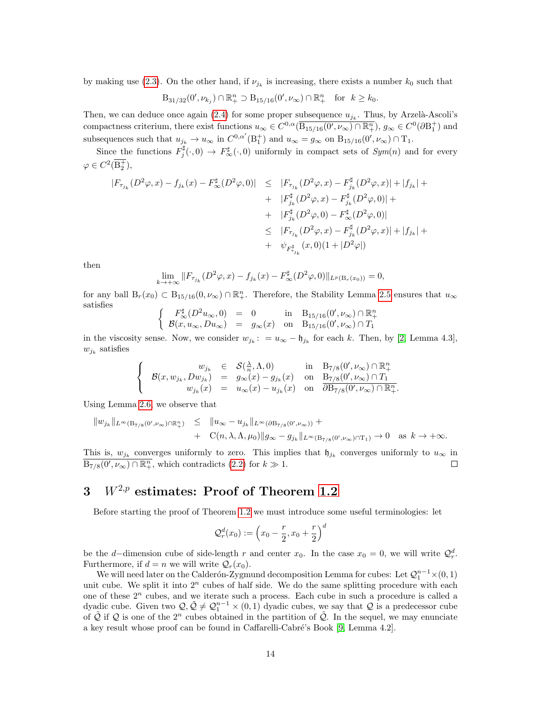by making use [\(2.3\)](#page-12-0). On the other hand, if  $\nu_{j_k}$  is increasing, there exists a number  $k_0$  such that

$$
B_{31/32}(0',\nu_{k_j}) \cap \mathbb{R}^n_+ \supset B_{15/16}(0',\nu_{\infty}) \cap \mathbb{R}^n_+
$$
 for  $k \geq k_0$ .

Then, we can deduce once again [\(2.4\)](#page-12-1) for some proper subsequence  $u_{j_k}$ . Thus, by Arzelà-Ascoli's compactness criterium, there exist functions  $u_{\infty} \in C^{0,\alpha}(\overline{B_{15/16}(0',\nu_{\infty}) \cap \mathbb{R}^n_+}), g_{\infty} \in C^0(\partial B_1^+)$  and subsequences such that  $u_{j_k} \to u_\infty$  in  $C^{0,\alpha'}(\mathcal{B}_1^+)$  and  $u_\infty = g_\infty$  on  $\mathcal{B}_{15/16}(0', \nu_\infty) \cap \mathcal{T}_1$ .

Since the functions  $F_j^{\sharp}(\cdot,0) \to F_{\infty}^{\sharp}(\cdot,0)$  uniformly in compact sets of  $Sym(n)$  and for every  $\varphi \in C^2(\overline{\mathbf{B}_2^+}),$ 

$$
|F_{\tau_{j_k}}(D^2\varphi, x) - f_{j_k}(x) - F_{\infty}^{\sharp}(D^2\varphi, 0)| \leq |F_{\tau_{j_k}}(D^2\varphi, x) - F_{j_k}^{\sharp}(D^2\varphi, x)| + |f_{j_k}| +
$$
  
+  $|F_{j_k}^{\sharp}(D^2\varphi, x) - F_{j_k}^{\sharp}(D^2\varphi, 0)| +$   
+  $|F_{j_k}^{\sharp}(D^2\varphi, 0) - F_{\infty}^{\sharp}(D^2\varphi, 0)|$   
 $\leq |F_{\tau_{j_k}}(D^2\varphi, x) - F_{j_k}^{\sharp}(D^2\varphi, x)| + |f_{j_k}| +$   
+  $\psi_{F_{j_k}^{\sharp}}(x, 0)(1 + |D^2\varphi|)$ 

then

$$
\lim_{k \to +\infty} ||F_{\tau_{j_k}}(D^2 \varphi, x) - f_{j_k}(x) - F_{\infty}^{\sharp}(D^2 \varphi, 0)||_{L^p(\mathcal{B}_r(x_0))} = 0,
$$

for any ball  $B_r(x_0) \subset B_{15/16}(0,\nu_\infty) \cap \mathbb{R}^n_+$ . Therefore, the Stability Lemma [2.5](#page-10-3) ensures that  $u_\infty$ satisfies

$$
\left\{\begin{array}{ccc} F_\infty^\sharp(D^2 u_\infty, 0) & = & 0 & \text{in} & B_{15/16}(0', \nu_\infty) \cap \mathbb{R}^n_+ \\ \mathcal{B}(x, u_\infty, Du_\infty) & = & g_\infty(x) & \text{on} & B_{15/16}(0', \nu_\infty) \cap T_1 \end{array}\right.
$$

in the viscosity sense. Now, we consider  $w_{j_k}$ :  $= u_{\infty} - \mathfrak{h}_{j_k}$  for each k. Then, by [\[2,](#page-30-1) Lemma 4.3],  $w_{j_k}$  satisfies

$$
\label{eq:11} \left\{ \begin{array}{rcll} \displaystyle w_{j_k} & \in & \mathcal{S}(\frac{\lambda}{n},\Lambda,0) & \text{in} & \mathrm{B}_{7/8}(0',\nu_{\infty})\cap \mathbb{R}^n_+ \\ \mathcal{B}(x,w_{j_k},Dw_{j_k}) & = & g_{\infty}(x)-g_{j_k}(x) & \text{on} & \mathrm{B}_{7/8}(0',\nu_{\infty})\cap T_1 \\ w_{j_k}(x) & = & u_{\infty}(x)-u_{j_k}(x) & \text{on} & \overline{\partial \mathrm{B}_{7/8}(0',\nu_{\infty})\cap \mathbb{R}^n_+}. \end{array} \right.
$$

Using Lemma [2.6,](#page-10-2) we observe that

$$
\|w_{j_k}\|_{L^{\infty}(\mathcal{B}_{7/8}(0',\nu_{\infty})\cap\mathbb{R}^n_+)} \leq \|u_{\infty}-u_{j_k}\|_{L^{\infty}(\partial\mathcal{B}_{7/8}(0',\nu_{\infty}))} + \n\qquad\n\qquad + C(n,\lambda,\Lambda,\mu_0)\|g_{\infty}-g_{j_k}\|_{L^{\infty}(\mathcal{B}_{7/8}(0',\nu_{\infty})\cap\mathcal{T}_1)} \to 0 \quad \text{as } k \to +\infty.
$$

This is,  $w_{j_k}$  converges uniformly to zero. This implies that  $\mathfrak{h}_{j_k}$  converges uniformly to  $u_{\infty}$  in  $\overline{B_{7/8}(0',\nu_{\infty}) \cap \mathbb{R}^n_+}$ , which contradicts  $(2.2)$  for  $k \gg 1$ .  $\Box$ 

# <span id="page-13-0"></span>3  $W^{2,p}$  estimates: Proof of Theorem [1.2](#page-4-1)

Before starting the proof of Theorem [1.2](#page-4-1) we must introduce some useful terminologies: let

$$
Q_r^d(x_0) := \left(x_0 - \frac{r}{2}, x_0 + \frac{r}{2}\right)^d
$$

be the d–dimension cube of side-length r and center  $x_0$ . In the case  $x_0 = 0$ , we will write  $\mathcal{Q}_r^d$ . Furthermore, if  $d = n$  we will write  $\mathcal{Q}_r(x_0)$ .

We will need later on the Calderón-Zygmund decomposition Lemma for cubes: Let  $\mathcal{Q}_1^{n-1} \times (0,1)$ unit cube. We split it into  $2^n$  cubes of half side. We do the same splitting procedure with each one of these  $2<sup>n</sup>$  cubes, and we iterate such a process. Each cube in such a procedure is called a dyadic cube. Given two  $\mathcal{Q}, \tilde{\mathcal{Q}} \neq \mathcal{Q}_1^{n-1} \times (0,1)$  dyadic cubes, we say that  $\mathcal Q$  is a predecessor cube of Q if Q is one of the  $2^n$  cubes obtained in the partition of Q. In the sequel, we may enunciate a key result whose proof can be found in Caffarelli-Cabré's Book [\[9,](#page-31-1) Lemma 4.2].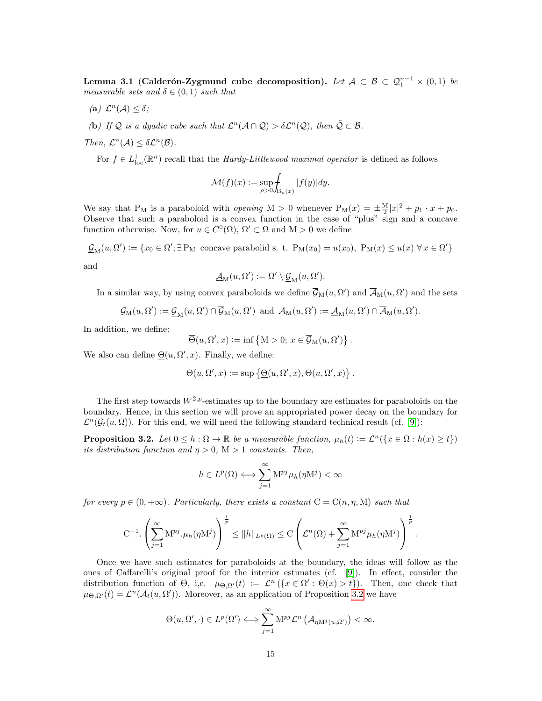<span id="page-14-1"></span>Lemma 3.1 (Calderón-Zygmund cube decomposition). Let  $\mathcal{A} \subset \mathcal{B} \subset \mathcal{Q}_1^{n-1} \times (0,1)$  be measurable sets and  $\delta \in (0,1)$  such that

- (a)  $\mathcal{L}^n(\mathcal{A}) \leq \delta$ ;
- (b) If Q is a dyadic cube such that  $\mathcal{L}^n(\mathcal{A} \cap \mathcal{Q}) > \delta \mathcal{L}^n(\mathcal{Q})$ , then  $\tilde{\mathcal{Q}} \subset \mathcal{B}$ .
- Then,  $\mathcal{L}^n(\mathcal{A}) \leq \delta \mathcal{L}^n(\mathcal{B})$ .

For  $f \in L^1_{loc}(\mathbb{R}^n)$  recall that the *Hardy-Littlewood maximal operator* is defined as follows

$$
\mathcal{M}(f)(x) := \sup_{\rho > 0} \int_{\mathcal{B}_{\rho}(x)} |f(y)| dy.
$$

We say that P<sub>M</sub> is a paraboloid with *opening* M > 0 whenever  $P_M(x) = \pm \frac{M}{2}|x|^2 + p_1 \cdot x + p_0$ . Observe that such a paraboloid is a convex function in the case of "plus" sign and a concave function otherwise. Now, for  $u \in C^{0}(\Omega)$ ,  $\Omega' \subset \overline{\Omega}$  and  $M > 0$  we define

 $\underline{\mathcal{G}}_{\mathrm{M}}(u,\Omega') := \{x_0 \in \Omega'; \exists \, P_{\mathrm{M}} \text{ concave parabolid s. t. } P_{\mathrm{M}}(x_0) = u(x_0), \, P_{\mathrm{M}}(x) \le u(x) \,\forall x \in \Omega'\}$ 

and

$$
\underline{\mathcal{A}}_{M}(u,\Omega') := \Omega' \setminus \underline{\mathcal{G}}_{M}(u,\Omega').
$$

In a similar way, by using convex paraboloids we define  $\overline{\mathcal{G}}_M(u, \Omega')$  and  $\overline{\mathcal{A}}_M(u, \Omega')$  and the sets

$$
\mathcal{G}_{\mathrm{M}}(u,\Omega'):=\underline{\mathcal{G}}_{\mathrm{M}}(u,\Omega')\cap\overline{\mathcal{G}}_{\mathrm{M}}(u,\Omega')\ \text{ and }\ \mathcal{A}_{\mathrm{M}}(u,\Omega'):=\underline{\mathcal{A}}_{\mathrm{M}}(u,\Omega')\cap\overline{\mathcal{A}}_{\mathrm{M}}(u,\Omega').
$$

In addition, we define:

$$
\overline{\Theta}(u,\Omega',x) := \inf \{ M > 0; x \in \overline{\mathcal{G}}_M(u,\Omega') \}.
$$

We also can define  $\Theta(u, \Omega', x)$ . Finally, we define:

$$
\Theta(u, \Omega', x) := \sup \left\{ \underline{\Theta}(u, \Omega', x), \overline{\Theta}(u, \Omega', x) \right\}.
$$

The first step towards  $W^{2,p}$ -estimates up to the boundary are estimates for paraboloids on the boundary. Hence, in this section we will prove an appropriated power decay on the boundary for  $\mathcal{L}^n(\mathcal{G}_t(u,\Omega))$ . For this end, we will need the following standard technical result (cf. [\[9\]](#page-31-1)):

<span id="page-14-0"></span>**Proposition 3.2.** Let  $0 \leq h : \Omega \to \mathbb{R}$  be a measurable function,  $\mu_h(t) := \mathcal{L}^n(\{x \in \Omega : h(x) \geq t\})$ its distribution function and  $\eta > 0$ , M  $> 1$  constants. Then,

$$
h\in L^p(\Omega)\Longleftrightarrow \sum_{j=1}^\infty \mathbf{M}^{pj}\mu_h(\eta\mathbf{M}^j)<\infty
$$

for every  $p \in (0, +\infty)$ . Particularly, there exists a constant  $C = C(n, \eta, M)$  such that

$$
C^{-1} \cdot \left(\sum_{j=1}^{\infty} M^{pj} \cdot \mu_h(\eta M^j)\right)^{\frac{1}{p}} \leq ||h||_{L^p(\Omega)} \leq C \left(\mathcal{L}^n(\Omega) + \sum_{j=1}^{\infty} M^{pj} \mu_h(\eta M^j)\right)^{\frac{1}{p}}.
$$

Once we have such estimates for paraboloids at the boundary, the ideas will follow as the ones of Caffarelli's original proof for the interior estimates (cf. [\[9\]](#page-31-1)). In effect, consider the distribution function of  $\Theta$ , i,e.  $\mu_{\Theta,\Omega'}(t) := \mathcal{L}^n(\{x \in \Omega' : \Theta(x) > t\})$ . Then, one check that  $\mu_{\Theta,\Omega'}(t) = \mathcal{L}^n(\mathcal{A}_t(u,\Omega'))$ . Moreover, as an application of Proposition [3.2](#page-14-0) we have

$$
\Theta(u,\Omega',\cdot)\in L^p(\Omega')\Longleftrightarrow \sum_{j=1}^\infty \mathcal{M}^{pj}\mathcal{L}^n\left(\mathcal{A}_{\eta\mathcal{M}^j(u,\Omega')}\right)<\infty.
$$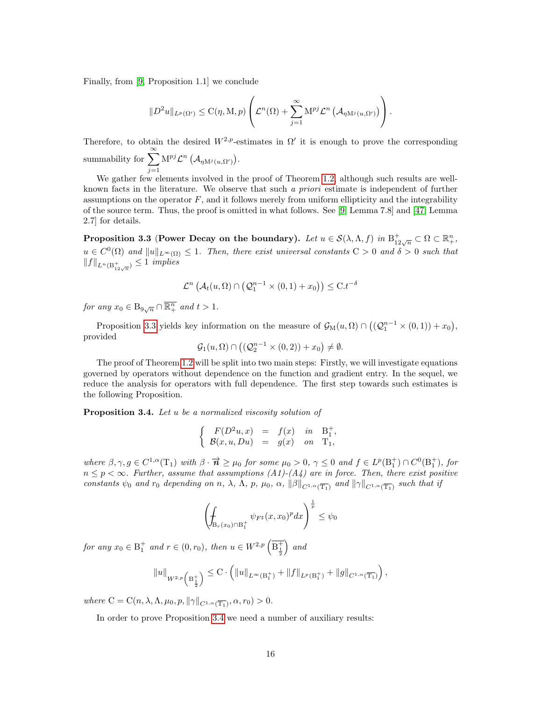Finally, from [\[9,](#page-31-1) Proposition 1.1] we conclude

$$
||D^2u||_{L^p(\Omega')}\leq C(\eta,M,p)\left(\mathcal{L}^n(\Omega)+\sum_{j=1}^{\infty}M^{pj}\mathcal{L}^n\left(\mathcal{A}_{\eta M^j(u,\Omega')}\right)\right).
$$

Therefore, to obtain the desired  $W^{2,p}$ -estimates in  $\Omega'$  it is enough to prove the corresponding summability for  $\sum_{n=1}^{\infty}$  $j=1$  $\mathrm{M}^{pj} \mathcal{L}^n \left( \mathcal{A}_{\eta \mathrm{M}^j(u,\Omega')}\right).$ 

We gather few elements involved in the proof of Theorem [1.2,](#page-4-1) although such results are wellknown facts in the literature. We observe that such a priori estimate is independent of further assumptions on the operator  $F$ , and it follows merely from uniform ellipticity and the integrability of the source term. Thus, the proof is omitted in what follows. See [\[9,](#page-31-1) Lemma 7.8] and [\[47,](#page-33-8) Lemma 2.7] for details.

<span id="page-15-0"></span>Proposition 3.3 (Power Decay on the boundary). Let  $u \in \mathcal{S}(\lambda, \Lambda, f)$  in  $\mathrm{B}^+_{12\sqrt{n}} \subset \Omega \subset \mathbb{R}^n_+$ ,  $u \in C^0(\Omega)$  and  $||u||_{L^{\infty}(\Omega)} \leq 1$ . Then, there exist universal constants  $C > 0$  and  $\delta > 0$  such that  $||f||_{L^n(\mathcal{B}^+_{12\sqrt{n}})} \leq 1$  implies

$$
\mathcal{L}^n\left(\mathcal{A}_t(u,\Omega)\cap\left(\mathcal{Q}_1^{n-1}\times(0,1)+x_0\right)\right)\leq\mathrm{C}.t^{-\delta}
$$

for any  $x_0 \in B_{9\sqrt{n}} \cap \overline{\mathbb{R}^n_+}$  and  $t > 1$ .

Proposition [3.3](#page-15-0) yields key information on the measure of  $\mathcal{G}_{M}(u,\Omega) \cap ((\mathcal{Q}_{1}^{n-1} \times (0,1)) + x_{0}),$ provided

$$
\mathcal{G}_1(u,\Omega)\cap \big((\mathcal{Q}_2^{n-1}\times(0,2))+x_0\big)\neq\emptyset.
$$

The proof of Theorem [1.2](#page-4-1) will be split into two main steps: Firstly, we will investigate equations governed by operators without dependence on the function and gradient entry. In the sequel, we reduce the analysis for operators with full dependence. The first step towards such estimates is the following Proposition.

<span id="page-15-1"></span>Proposition 3.4. Let u be a normalized viscosity solution of

$$
\begin{cases}\nF(D^2u, x) = f(x) & \text{in} \quad B_1^+, \\
B(x, u, Du) = g(x) & \text{on} \quad T_1,\n\end{cases}
$$

where  $\beta, \gamma, g \in C^{1,\alpha}(\mathbb{T}_1)$  with  $\beta \cdot \overrightarrow{n} \geq \mu_0$  for some  $\mu_0 > 0$ ,  $\gamma \leq 0$  and  $f \in L^p(\mathbb{B}_1^+) \cap C^0(\mathbb{B}_1^+)$ , for  $n \leq p < \infty$ . Further, assume that assumptions (A1)-(A4) are in force. Then, there exist positive constants  $\psi_0$  and  $r_0$  depending on n,  $\lambda$ ,  $\Lambda$ ,  $p$ ,  $\mu_0$ ,  $\alpha$ ,  $\|\beta\|_{C^{1,\alpha}(\overline{T_1})}$  and  $\|\gamma\|_{C^{1,\alpha}(\overline{T_1})}$  such that if

$$
\left(\oint_{\mathcal{B}_r(x_0)\cap\mathcal{B}_1^+} \psi_{F^\sharp}(x,x_0)^p dx\right)^{\frac{1}{p}} \leq \psi_0
$$

for any  $x_0 \in B_1^+$  and  $r \in (0, r_0)$ , then  $u \in W^{2,p}(\overline{B_{\frac{1}{2}}}$  $\big)$  and

$$
||u||_{W^{2,p}\left(\mathrm{B}_{\frac{1}{2}}^+\right)} \leq \mathrm{C} \cdot \left( ||u||_{L^{\infty}(\mathrm{B}_{1}^+)} + ||f||_{L^p(\mathrm{B}_{1}^+)} + ||g||_{C^{1,\alpha}(\overline{\mathrm{T}_{1}})} \right),
$$

where  $C = C(n, \lambda, \Lambda, \mu_0, p, \|\gamma\|_{C^{1,\alpha}(\overline{T_1})}, \alpha, r_0) > 0.$ 

In order to prove Proposition [3.4](#page-15-1) we need a number of auxiliary results: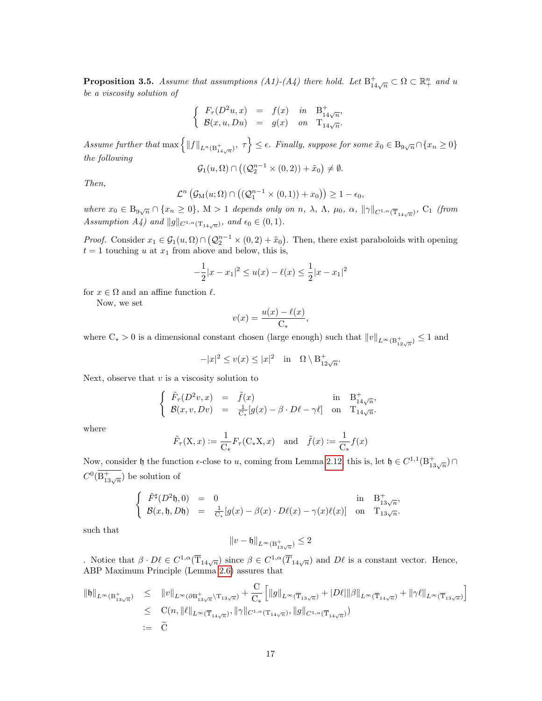<span id="page-16-0"></span>**Proposition 3.5.** Assume that assumptions  $(A1)-(A4)$  there hold. Let  $B^+_{14\sqrt{n}} \subset \Omega \subset \mathbb{R}^n_+$  and u be a viscosity solution of

$$
\left\{\begin{array}{rcl} F_{\tau}(D^2u,x) & = & f(x) & in & \mathcal{B}^+_{14\sqrt{n}}, \\ \mathcal{B}(x,u,Du) & = & g(x) & on & \mathcal{T}_{14\sqrt{n}}. \end{array}\right.
$$

Assume further that  $\max\left\{\|f\|_{L^n(\textbf{B}^+_{14\sqrt{n}})},\ \tau\right\} \leq \epsilon$ . Finally, suppose for some  $\tilde{x}_0 \in \textbf{B}_{9\sqrt{n}} \cap \{x_n \geq 0\}$ the following

$$
\mathcal{G}_1(u,\Omega)\cap \big((\mathcal{Q}_2^{n-1}\times(0,2))+\tilde{x}_0\big)\neq\emptyset.
$$

Then,

$$
\mathcal{L}^n\left(\mathcal{G}_M(u;\Omega)\cap\left(\left(\mathcal{Q}_1^{n-1}\times(0,1)\right)+x_0\right)\right)\geq 1-\epsilon_0,
$$

where  $x_0 \in B_{9\sqrt{n}} \cap \{x_n \geq 0\}$ ,  $M > 1$  depends only on n,  $\lambda$ ,  $\Lambda$ ,  $\mu_0$ ,  $\alpha$ ,  $\|\gamma\|_{C^{1,\alpha}(\overline{T}_{14\sqrt{n}})}$ ,  $C_1$  (from Assumption A4) and  $||g||_{C^{1,\alpha}(\mathrm{T}_{14\sqrt{n}})}$ , and  $\epsilon_0 \in (0,1)$ .

*Proof.* Consider  $x_1 \in \mathcal{G}_1(u,\Omega) \cap (\mathcal{Q}_2^{n-1} \times (0,2) + \tilde{x}_0)$ . Then, there exist paraboloids with opening  $t = 1$  touching u at  $x_1$  from above and below, this is,

$$
-\frac{1}{2}|x - x_1|^2 \le u(x) - \ell(x) \le \frac{1}{2}|x - x_1|^2
$$

for  $x \in \Omega$  and an affine function  $\ell$ .

Now, we set

$$
v(x) = \frac{u(x) - \ell(x)}{C_*},
$$

where  $C_* > 0$  is a dimensional constant chosen (large enough) such that  $||v||_{L^{\infty}(\mathcal{B}^+_{12\sqrt{n}})} \leq 1$  and

$$
-|x|^2 \le v(x) \le |x|^2 \quad \text{in} \quad \Omega \setminus \mathcal{B}^+_{12\sqrt{n}}.
$$

Next, observe that  $v$  is a viscosity solution to

$$
\begin{cases}\n\tilde{F}_{\tau}(D^2v, x) = \tilde{f}(x) & \text{in} \quad B_{14\sqrt{n}}^+, \\
\mathcal{B}(x, v, Dv) = \frac{1}{C_*}[g(x) - \beta \cdot D\ell - \gamma \ell] & \text{on} \quad T_{14\sqrt{n}}.\n\end{cases}
$$

where

$$
\tilde{F}_{\tau}(\mathbf{X}, x) := \frac{1}{\mathbf{C}_{*}} F_{\tau}(\mathbf{C}_{*}\mathbf{X}, x)
$$
 and  $\tilde{f}(x) := \frac{1}{\mathbf{C}_{*}} f(x)$ 

Now, consider  $\mathfrak h$  the function  $\epsilon$ -close to u, coming from Lemma [2.12,](#page-12-3) this is, let  $\mathfrak h \in C^{1,1}(\mathbb{B}^+_{13\sqrt{n}}) \cap$  $C^0(\mathcal{B}^+_{13\sqrt{n}})$  be solution of

$$
\begin{cases}\n\tilde{F}^{\sharp}(D^2\mathfrak{h},0) = 0 & \text{in} \quad \mathcal{B}_{13\sqrt{n}}^+ \\
\mathcal{B}(x,\mathfrak{h},D\mathfrak{h}) = \frac{1}{C_*}[g(x)-\beta(x)\cdot D\ell(x)-\gamma(x)\ell(x)] & \text{on} \quad T_{13\sqrt{n}}.\n\end{cases}
$$

such that

$$
||v-\mathfrak{h}||_{L^{\infty}(\mathcal{B}^+_{13\sqrt{n}})}\leq 2
$$

. Notice that  $\beta \cdot D\ell \in C^{1,\alpha}(\overline{T}_{14\sqrt{n}})$  since  $\beta \in C^{1,\alpha}(\overline{T}_{14\sqrt{n}})$  and  $D\ell$  is a constant vector. Hence, ABP Maximum Principle (Lemma [2.6\)](#page-10-2) assures that

$$
\begin{array}{rcl}\|\mathfrak{h}\|_{L^{\infty}(\mathcal{B}^+_{13\sqrt{n}})} & \leq & \|v\|_{L^{\infty}(\partial \mathcal{B}^+_{13\sqrt{n}}\backslash \mathrm{T}_{13\sqrt{n}})} + \frac{\mathrm{C}}{\mathrm{C}_{*}} \left[ \|g\|_{L^{\infty}(\overline{\mathrm{T}}_{13\sqrt{n}})} + |D\ell| \|\beta\|_{L^{\infty}(\overline{\mathrm{T}}_{14\sqrt{n}})} + \|\gamma\ell\|_{L^{\infty}(\overline{\mathrm{T}}_{13\sqrt{n}})} \right] \\
& \leq & \mathrm{C}(n, \|\ell\|_{L^{\infty}(\overline{\mathrm{T}}_{14\sqrt{n}})}, \|\gamma\|_{C^{1,\alpha}(\mathrm{T}_{14\sqrt{n}})}, \|g\|_{C^{1,\alpha}(\overline{\mathrm{T}}_{14\sqrt{n}})}) \\
&:= & \widetilde{\mathrm{C}}\n\end{array}
$$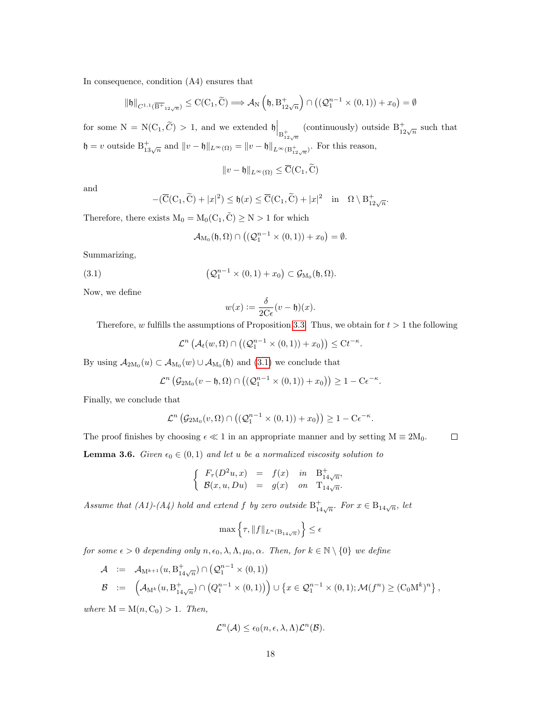In consequence, condition (A4) ensures that

$$
\|\mathfrak{h}\|_{C^{1,1}(\overline{\mathbf{B}^+}_{12\sqrt{n}})} \leq \mathrm{C}(\mathrm{C}_1, \widetilde{\mathrm{C}}) \Longrightarrow \mathcal{A}_N\left(\mathfrak{h}, \mathrm{B}^+_{12\sqrt{n}}\right) \cap \left((\mathcal{Q}_1^{n-1} \times (0,1)) + x_0\right) = \emptyset
$$

for some  $N = N(C_1, \widetilde{C}) > 1$ , and we extended  $\mathfrak{h} \Big|_{B_{12\sqrt{n}}}$ (continuously) outside  $B_{12\sqrt{n}}^{+}$  such that  $\mathfrak{h} = v$  outside  $B^+_{13\sqrt{n}}$  and  $||v - \mathfrak{h}||_{L^{\infty}(\Omega)} = ||v - \mathfrak{h}||_{L^{\infty}(B^+_{12\sqrt{n}})}$ . For this reason,

$$
||v - \mathfrak{h}||_{L^{\infty}(\Omega)} \leq \overline{\mathrm{C}}(\mathrm{C}_1, \widetilde{\mathrm{C}})
$$

and

$$
-(\overline{C}(C_1, \widetilde{C}) + |x|^2) \le \mathfrak{h}(x) \le \overline{C}(C_1, \widetilde{C}) + |x|^2 \quad \text{in} \quad \Omega \setminus B_{12\sqrt{n}}^+.
$$

Therefore, there exists  $M_0 = M_0(C_1, \tilde{C}) \geq N > 1$  for which

<span id="page-17-0"></span>
$$
\mathcal{A}_{M_0}(\mathfrak{h},\Omega)\cap \big((\mathcal{Q}_1^{n-1}\times(0,1))+x_0\big)=\emptyset.
$$

Summarizing,

(3.1) 
$$
\left(\mathcal{Q}_1^{n-1}\times(0,1)+x_0\right)\subset\mathcal{G}_{M_0}(\mathfrak{h},\Omega).
$$

Now, we define

$$
w(x) := \frac{\delta}{2C\epsilon}(v - \mathfrak{h})(x).
$$

Therefore, w fulfills the assumptions of Proposition [3.3.](#page-15-0) Thus, we obtain for  $t > 1$  the following

$$
\mathcal{L}^n\left(\mathcal{A}_t(w,\Omega)\cap\left((\mathcal{Q}_1^{n-1}\times(0,1))+x_0\right)\right)\leq Ct^{-\kappa}.
$$

By using  $A_{2M_0}(u) \subset A_{M_0}(w) \cup A_{M_0}(\mathfrak{h})$  and  $(3.1)$  we conclude that

$$
\mathcal{L}^n\left(\mathcal{G}_{2M_0}(v-\mathfrak{h},\Omega)\cap\left((\mathcal{Q}_1^{n-1}\times(0,1))+x_0\right)\right)\geq 1-C\epsilon^{-\kappa}.
$$

Finally, we conclude that

$$
\mathcal{L}^n\left(\mathcal{G}_{2M_0}(v,\Omega)\cap\left((\mathcal{Q}_1^{n-1}\times(0,1))+x_0\right)\right)\geq 1-C\epsilon^{-\kappa}.
$$

<span id="page-17-1"></span>The proof finishes by choosing  $\epsilon \ll 1$  in an appropriate manner and by setting  $M \equiv 2M_0$ .  $\Box$ **Lemma 3.6.** Given  $\epsilon_0 \in (0,1)$  and let u be a normalized viscosity solution to

$$
\begin{cases}\nF_{\tau}(D^2u, x) = f(x) & \text{in} \quad B_{14\sqrt{n}}^{+}, \\
B(x, u, Du) = g(x) & \text{on} \quad T_{14\sqrt{n}}.\n\end{cases}
$$

Assume that (A1)-(A4) hold and extend f by zero outside  $B_{14\sqrt{n}}^+$ . For  $x \in B_{14\sqrt{n}}$ , let

$$
\max\left\{\tau, \|f\|_{L^n(\mathcal{B}_{14\sqrt{n}})}\right\} \le \epsilon
$$

for some  $\epsilon > 0$  depending only  $n, \epsilon_0, \lambda, \Lambda, \mu_0, \alpha$ . Then, for  $k \in \mathbb{N} \setminus \{0\}$  we define

$$
\begin{array}{rcl} \mathcal{A} & := & \mathcal{A}_{\mathrm{M}^{k+1}}(u,\mathrm{B}^+_{14\sqrt{n}}) \cap \left( \mathcal{Q}^{n-1}_1 \times (0,1) \right) \\ \mathcal{B} & := & \left( \mathcal{A}_{\mathrm{M}^k}(u,\mathrm{B}^+_{14\sqrt{n}}) \cap \left( Q^{n-1}_1 \times (0,1) \right) \right) \cup \left\{ x \in \mathcal{Q}^{n-1}_1 \times (0,1) ; \mathcal{M}(f^n) \geq (\mathrm{C}_0 \mathrm{M}^k)^n \right\}, \end{array}
$$

where  $M = M(n, C_0) > 1$ . Then,

$$
\mathcal{L}^n(\mathcal{A}) \leq \epsilon_0(n,\epsilon,\lambda,\Lambda)\mathcal{L}^n(\mathcal{B}).
$$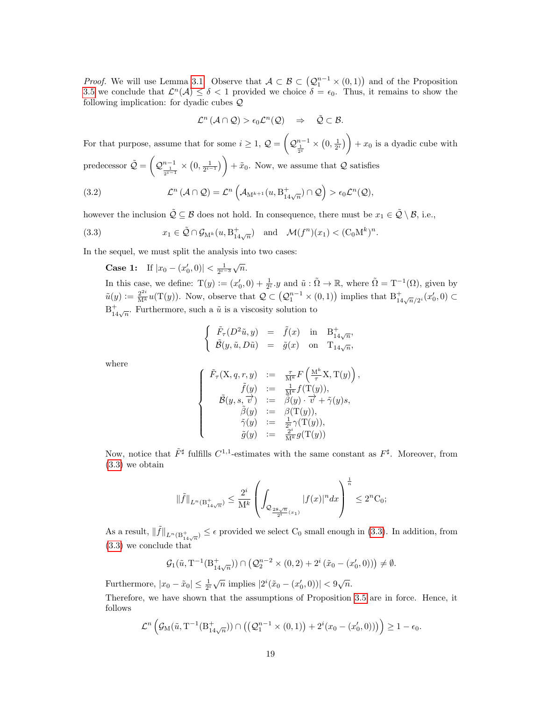*Proof.* We will use Lemma [3.1.](#page-14-1) Observe that  $A \subset B \subset (Q_1^{n-1} \times (0,1))$  and of the Proposition [3.5](#page-16-0) we conclude that  $\mathcal{L}^n(\mathcal{A}) \leq \delta < 1$  provided we choice  $\delta = \epsilon_0$ . Thus, it remains to show the following implication: for dyadic cubes Q

<span id="page-18-1"></span>
$$
\mathcal{L}^n(\mathcal{A}\cap\mathcal{Q})>\epsilon_0\mathcal{L}^n(\mathcal{Q})\quad\Rightarrow\quad\tilde{\mathcal{Q}}\subset\mathcal{B}.
$$

For that purpose, assume that for some  $i \geq 1$ ,  $\mathcal{Q} = \left(\mathcal{Q}_{\frac{1}{2}i}^{n-1} \times (0, \frac{1}{2}i)\right) + x_0$  is a dyadic cube with

predecessor  $\tilde{Q} = \left(Q_{\frac{1}{2^{i-1}}}^{n-1} \times (0, \frac{1}{2^{i-1}})\right) + \tilde{x}_0$ . Now, we assume that  $Q$  satisfies

(3.2) 
$$
\mathcal{L}^n(\mathcal{A} \cap \mathcal{Q}) = \mathcal{L}^n\left(\mathcal{A}_{M^{k+1}}(u, B^+_{14\sqrt{n}}) \cap \mathcal{Q}\right) > \epsilon_0 \mathcal{L}^n(\mathcal{Q}),
$$

however the inclusion  $\tilde{Q} \subseteq \mathcal{B}$  does not hold. In consequence, there must be  $x_1 \in \tilde{Q} \setminus \mathcal{B}$ , i.e.,

(3.3) 
$$
x_1 \in \tilde{\mathcal{Q}} \cap \mathcal{G}_{\mathcal{M}^k}(u, \mathcal{B}_{14\sqrt{n}}^+) \quad \text{and} \quad \mathcal{M}(f^n)(x_1) < (\mathcal{C}_0 \mathcal{M}^k)^n.
$$

In the sequel, we must split the analysis into two cases:

<span id="page-18-0"></span>Case 1: If  $|x_0 - (x'_0, 0)| < \frac{1}{2^{i-3}}\sqrt{n}$ .

In this case, we define:  $T(y) := (x'_0, 0) + \frac{1}{2^i} y$  and  $\tilde{u} : \tilde{\Omega} \to \mathbb{R}$ , where  $\tilde{\Omega} = T^{-1}(\Omega)$ , given by  $\tilde{u}(y) := \frac{2^{2i}}{M^k} u(T(y))$ . Now, observe that  $\mathcal{Q} \subset (\mathcal{Q}_1^{n-1} \times (0,1))$  implies that  $B^+_{14\sqrt{n}/2^i}(x'_0,0) \subset$  $B_{14\sqrt{n}}^{+}$ . Furthermore, such a  $\tilde{u}$  is a viscosity solution to

$$
\begin{cases}\n\tilde{F}_{\tau}(D^2\tilde{u}, y) = \tilde{f}(x) & \text{in} \quad \mathcal{B}_{14\sqrt{n}}^+,\n\\ \tilde{\mathcal{B}}(y, \tilde{u}, D\tilde{u}) = \tilde{g}(x) & \text{on} \quad \mathcal{T}_{14\sqrt{n}},\n\end{cases}
$$

where

$$
\left\{\begin{array}{rcl} \tilde{F}_{\tau}(\mathrm{X},q,r,y) &:=& \frac{\tau}{\mathrm{M}^k}F\left(\frac{\mathrm{M}^k}{\tau}\mathrm{X},\mathrm{T}(y)\right),\\qquad \qquad \tilde{f}(y) &:=& \frac{1}{\mathrm{M}^k}f(\mathrm{T}(y)),\\ \tilde{\mathcal{B}}(y,s,\overrightarrow{v}) &:=& \beta(y)\cdot \overrightarrow{v}+\tilde{\gamma}(y)s,\\ \tilde{\beta}(y) &:=& \beta(\mathrm{T}(y)),\\ \tilde{\gamma}(y) &:=& \frac{1}{2^i}\gamma(\mathrm{T}(y)),\\ \tilde{g}(y) &:=& \frac{2^i}{\mathrm{M}^k}g(\mathrm{T}(y))\end{array}\right.
$$

Now, notice that  $\tilde{F}^{\sharp}$  fulfills  $C^{1,1}$ -estimates with the same constant as  $F^{\sharp}$ . Moreover, from [\(3.3\)](#page-18-0) we obtain

$$
\|\tilde{f}\|_{L^n({\bf B}_{14\sqrt{n}}^+)}\leq \frac{2^i}{\bf M}^k\left(\int_{{\cal Q}_{\frac{28\sqrt{n}}{2^{i}}(x_1)}}|f(x)|^ndx\right)^{\frac{1}{n}}\leq 2^n{\bf C}_0;
$$

As a result,  $\|\tilde{f}\|_{L^n(B_{14\sqrt{n}}^+)} \leq \epsilon$  provided we select C<sub>0</sub> small enough in [\(3.3\)](#page-18-0). In addition, from [\(3.3\)](#page-18-0) we conclude that

$$
\mathcal{G}_1(\tilde{u}, T^{-1}(B_{14\sqrt{n}}^+)) \cap \left(\mathcal{Q}_2^{n-2} \times (0,2) + 2^i \left(\tilde{x}_0 - (x_0', 0)\right)\right) \neq \emptyset.
$$

Furthermore,  $|x_0 - \tilde{x}_0| \le \frac{1}{2^i} \sqrt{n}$  implies  $|2^i(\tilde{x}_0 - (x'_0, 0))| < 9\sqrt{n}$ .

Therefore, we have shown that the assumptions of Proposition [3.5](#page-16-0) are in force. Hence, it follows

$$
\mathcal{L}^n\left(\mathcal{G}_M(\tilde{u}, T^{-1}(B_{14\sqrt{n}}^+)) \cap \left(\left(\mathcal{Q}_1^{n-1} \times (0,1)\right) + 2^i(x_0 - (x'_0,0))\right)\right) \ge 1 - \epsilon_0.
$$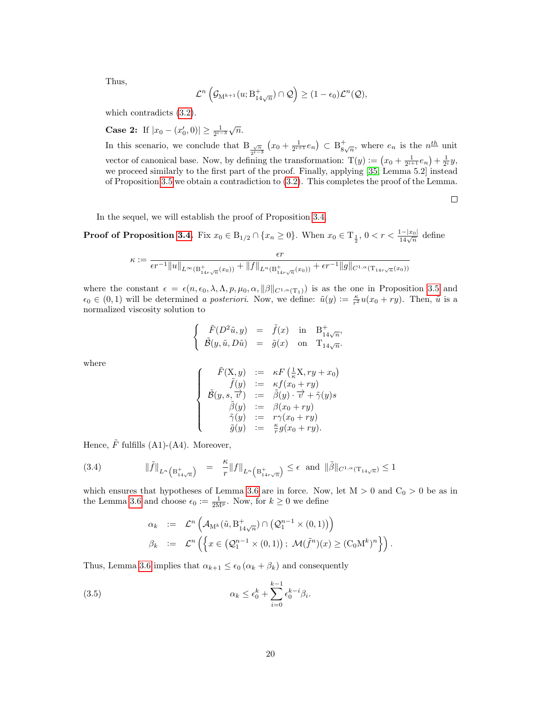Thus,

$$
\mathcal{L}^n\left(\mathcal{G}_{\mathbf{M}^{k+1}}(u;\mathbf{B}^+_{14\sqrt{n}})\cap \mathcal{Q}\right)\geq (1-\epsilon_0)\mathcal{L}^n(\mathcal{Q}),
$$

which contradicts [\(3.2\)](#page-18-1).

**Case 2:** If  $|x_0 - (x'_0, 0)| \ge \frac{1}{2^{i-3}}\sqrt{n}$ .

In this scenario, we conclude that  $B_{\frac{\sqrt{n}}{2^{i-3}}}(x_0 + \frac{1}{2^{i+1}}e_n) \subset B_{8}^+$  $\frac{1}{8\sqrt{n}}$ , where  $e_n$  is the  $n^{\underline{th}}$  unit vector of canonical base. Now, by defining the transformation:  $T(y) := (x_0 + \frac{1}{2^{i+1}}e_n) + \frac{1}{2^i}y$ , we proceed similarly to the first part of the proof. Finally, applying [\[35,](#page-32-2) Lemma 5.2] instead of Proposition [3.5](#page-16-0) we obtain a contradiction to [\(3.2\)](#page-18-1). This completes the proof of the Lemma.

 $\Box$ 

In the sequel, we will establish the proof of Proposition [3.4.](#page-15-1)

**Proof of Proposition [3.4.](#page-15-1)** Fix  $x_0 \in B_{1/2} \cap \{x_n \ge 0\}$ . When  $x_0 \in T_{\frac{1}{2}}$ ,  $0 < r < \frac{1-|x_0|}{14\sqrt{n}}$  define

$$
\kappa := \frac{\epsilon r}{\epsilon r^{-1} ||u||_{L^{\infty}(\mathcal{B}^+_{14r\sqrt{n}}(x_0))} + ||f||_{L^{n}(\mathcal{B}^+_{14r\sqrt{n}}(x_0))} + \epsilon r^{-1} ||g||_{C^{1,\alpha}(\mathcal{T}_{14r\sqrt{n}}(x_0))}
$$

where the constant  $\epsilon = \epsilon(n, \epsilon_0, \lambda, \Lambda, p, \mu_0, \alpha, \|\beta\|_{C^{1,\alpha}(\mathrm{T}_1)})$  is as the one in Proposition [3.5](#page-16-0) and  $\epsilon_0 \in (0,1)$  will be determined a posteriori. Now, we define:  $\tilde{u}(y) := \frac{\kappa}{r^2} u(x_0 + ry)$ . Then,  $\tilde{u}$  is a normalized viscosity solution to

$$
\begin{cases}\n\tilde{F}(D^2\tilde{u}, y) = \tilde{f}(x) & \text{in} \quad \mathcal{B}_{14\sqrt{n}}^+, \\
\tilde{\mathcal{B}}(y, \tilde{u}, D\tilde{u}) = \tilde{g}(x) & \text{on} \quad \mathcal{T}_{14\sqrt{n}}^-. \n\end{cases}
$$

where

$$
\left\{\begin{array}{rcl} \tilde{F}(\mathrm{X},y) &:=& \kappa F\left(\frac{1}{\kappa}\mathrm{X},ry+x_0\right) \\ \tilde{f}(y) &:=& \kappa f(x_0+ry) \\ \tilde{\mathcal{B}}(y,s,\overrightarrow{v}) &:=& \tilde{\beta}(y)\cdot\overrightarrow{v}+\tilde{\gamma}(y)s \\ \tilde{\beta}(y) &:=& \beta(x_0+ry) \\ \tilde{\gamma}(y) &:=& r\gamma(x_0+ry) \\ \tilde{g}(y) &:=& \frac{\kappa}{r}g(x_0+ry). \end{array}\right.
$$

Hence,  $\tilde{F}$  fulfills (A1)-(A4). Moreover,

(3.4) 
$$
\|\tilde{f}\|_{L^{n}\left(\mathcal{B}^{+}_{14\sqrt{n}}\right)} = \frac{\kappa}{r} \|f\|_{L^{n}\left(\mathcal{B}^{+}_{14r\sqrt{n}}\right)} \leq \epsilon \text{ and } \|\tilde{\beta}\|_{C^{1,\alpha}(\mathcal{T}_{14\sqrt{n}})} \leq 1
$$

which ensures that hypotheses of Lemma [3.6](#page-17-1) are in force. Now, let  $M > 0$  and  $C_0 > 0$  be as in the Lemma [3.6](#page-17-1) and choose  $\epsilon_0 := \frac{1}{2M^p}$ . Now, for  $k \geq 0$  we define

<span id="page-19-1"></span><span id="page-19-0"></span>
$$
\alpha_k \quad := \quad \mathcal{L}^n \left( \mathcal{A}_{\mathcal{M}^k}(\tilde{u}, \mathcal{B}_{14\sqrt{n}}^+) \cap \left( \mathcal{Q}_1^{n-1} \times (0, 1) \right) \right) \n\beta_k \quad := \quad \mathcal{L}^n \left( \left\{ x \in \left( \mathcal{Q}_1^{n-1} \times (0, 1) \right) ; \ \mathcal{M}(\tilde{f}^n)(x) \geq (\mathcal{C}_0 \mathcal{M}^k)^n \right\} \right).
$$

Thus, Lemma [3.6](#page-17-1) implies that  $\alpha_{k+1} \leq \epsilon_0 (\alpha_k + \beta_k)$  and consequently

(3.5) 
$$
\alpha_k \le \epsilon_0^k + \sum_{i=0}^{k-1} \epsilon_0^{k-i} \beta_i.
$$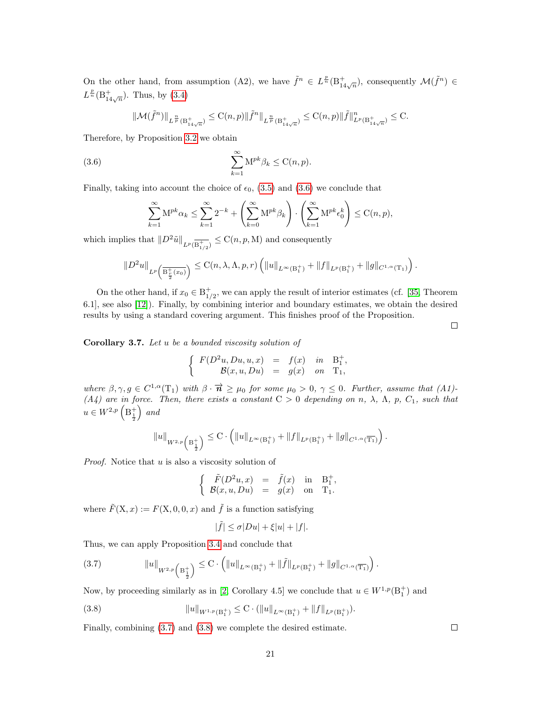On the other hand, from assumption (A2), we have  $\tilde{f}^n \in L^{\frac{p}{n}}(\mathbb{B}^+_{14\sqrt{n}})$ , consequently  $\mathcal{M}(\tilde{f}^n) \in$  $L^{\frac{p}{n}}(\mathbf{B}_{14\sqrt{n}}^{+})$ . Thus, by [\(3.4\)](#page-19-0)

$$
\|\mathcal{M}(\tilde{f}^n)\|_{L^{\frac{n}{p}}(\mathcal{B}^+_{14\sqrt{n}})} \leq \mathrm{C}(n,p) \|\tilde{f}^n\|_{L^{\frac{n}{p}}(\mathcal{B}^+_{14\sqrt{n}})} \leq \mathrm{C}(n,p) \|\tilde{f}\|_{L^p(\mathcal{B}^+_{14\sqrt{n}})}^n \leq \mathrm{C}.
$$

Therefore, by Proposition [3.2](#page-14-0) we obtain

(3.6) 
$$
\sum_{k=1}^{\infty} \mathbf{M}^{pk} \beta_k \leq \mathbf{C}(n, p).
$$

Finally, taking into account the choice of  $\epsilon_0$ , [\(3.5\)](#page-19-1) and [\(3.6\)](#page-20-0) we conclude that

<span id="page-20-0"></span>
$$
\sum_{k=1}^{\infty} \mathbf{M}^{pk} \alpha_k \le \sum_{k=1}^{\infty} 2^{-k} + \left( \sum_{k=0}^{\infty} \mathbf{M}^{pk} \beta_k \right) \cdot \left( \sum_{k=1}^{\infty} \mathbf{M}^{pk} \epsilon_0^k \right) \le C(n, p),
$$

which implies that  $||D^2\tilde{u}||_{L^p(\overline{\textbf{B}^+_{1/2}})} \leq \textbf{C}(n, p, \textbf{M})$  and consequently

$$
||D^2u||_{L^p\left(\overline{\mathbf{B}_{\frac{r}{2}}^+(x_0)}\right)} \leq \mathrm{C}(n,\lambda,\Lambda,p,r) \left(||u||_{L^{\infty}(\mathbf{B}_1^+)} + ||f||_{L^p(\mathbf{B}_1^+)} + ||g||_{C^{1,\alpha}(\mathbf{T}_1)}\right).
$$

On the other hand, if  $x_0 \in B_{1/2}^+$ , we can apply the result of interior estimates (cf. [\[35,](#page-32-2) Theorem 6.1], see also [\[12\]](#page-31-8)). Finally, by combining interior and boundary estimates, we obtain the desired results by using a standard covering argument. This finishes proof of the Proposition.

 $\Box$ 

Corollary 3.7. Let u be a bounded viscosity solution of

$$
\left\{ \begin{array}{rcl} F(D^2u,Du,u,x) &=& f(x) \quad in \quad {\bf B}^+_1, \\ {\mathcal B}(x,u,Du) &=& g(x) \quad on \quad {\bf T}_1, \end{array} \right.
$$

where  $\beta, \gamma, g \in C^{1,\alpha}(\mathbb{T}_1)$  with  $\beta \cdot \overrightarrow{n} \geq \mu_0$  for some  $\mu_0 > 0$ ,  $\gamma \leq 0$ . Further, assume that  $(A1)$ -(A4) are in force. Then, there exists a constant  $C > 0$  depending on n,  $\lambda$ ,  $\Lambda$ , p,  $C_1$ , such that  $u \in W^{2,p}\left( \mathrm{B}^+_{\frac{1}{2}}\right)$  $\big)$  and

$$
||u||_{W^{2,p}\left(\mathrm{B}_{\frac{1}{2}}^+\right)} \leq \mathrm{C} \cdot \left( ||u||_{L^{\infty}(\mathrm{B}_{1}^+)} + ||f||_{L^p(\mathrm{B}_{1}^+)} + ||g||_{C^{1,\alpha}(\overline{\mathrm{T}_{1}})} \right).
$$

Proof. Notice that u is also a viscosity solution of

$$
\left\{\begin{array}{rcl}\tilde{F}(D^2u,x)&=&\tilde{f}(x)&\text{in}&\mathrm{B}_1^+,\\ \mathcal{B}(x,u,Du)&=&g(x)&\text{on}&\mathrm{T}_1. \end{array}\right.
$$

where  $\tilde{F}(\mathbf{X}, x) := F(\mathbf{X}, 0, 0, x)$  and  $\tilde{f}$  is a function satisfying

<span id="page-20-2"></span>
$$
|\tilde{f}| \le \sigma |Du| + \xi |u| + |f|.
$$

Thus, we can apply Proposition [3.4](#page-15-1) and conclude that

<span id="page-20-1"></span>
$$
(3.7) \t\t\t\t\t\|u\|_{W^{2,p}\left(\mathcal{B}^+_{\frac{1}{2}}\right)} \leq C \cdot \left(\|u\|_{L^{\infty}(\mathcal{B}^+_1)} + \|\tilde{f}\|_{L^p(\mathcal{B}^+_1)} + \|g\|_{C^{1,\alpha}(\overline{\mathcal{T}_1})}\right).
$$

Now, by proceeding similarly as in [\[2,](#page-30-1) Corollary 4.5] we conclude that  $u \in W^{1,p}(\mathbb{B}^+_1)$  and

(3.8) 
$$
||u||_{W^{1,p}(\mathcal{B}_1^+)} \leq C \cdot (||u||_{L^{\infty}(\mathcal{B}_1^+)} + ||f||_{L^p(\mathcal{B}_1^+)}).
$$

Finally, combining [\(3.7\)](#page-20-1) and [\(3.8\)](#page-20-2) we complete the desired estimate.

 $\Box$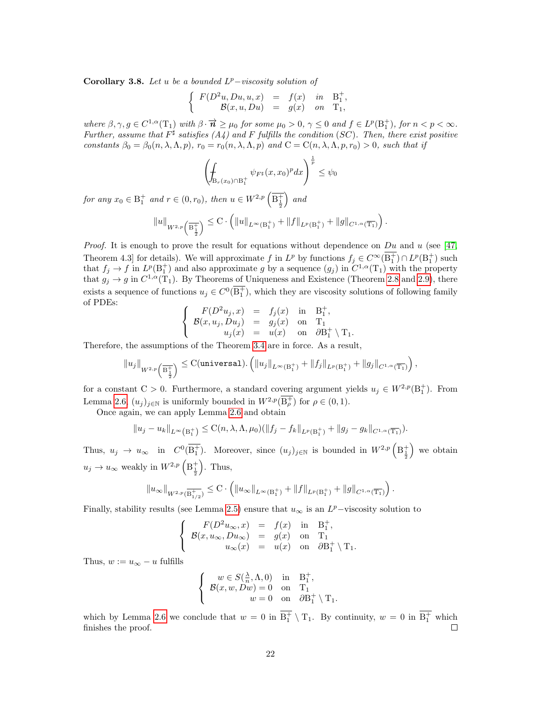<span id="page-21-0"></span>Corollary 3.8. Let u be a bounded  $L^p$ -viscosity solution of

$$
\begin{cases}\nF(D^2u, Du, u, x) = f(x) & \text{in} \quad B_1^+, \\
B(x, u, Du) = g(x) & \text{on} \quad T_1,\n\end{cases}
$$

where  $\beta, \gamma, g \in C^{1,\alpha}(\mathcal{T}_1)$  with  $\beta \cdot \overrightarrow{n} \geq \mu_0$  for some  $\mu_0 > 0$ ,  $\gamma \leq 0$  and  $f \in L^p(\mathcal{B}_1^+)$ , for  $n < p < \infty$ . Further, assume that  $F^{\sharp}$  satisfies (A4) and F fulfills the condition (SC). Then, there exist positive constants  $\beta_0 = \beta_0(n, \lambda, \Lambda, p)$ ,  $r_0 = r_0(n, \lambda, \Lambda, p)$  and  $C = C(n, \lambda, \Lambda, p, r_0) > 0$ , such that if

$$
\left(\oint_{\mathcal{B}_r(x_0)\cap\mathcal{B}_1^+}\psi_{F^\sharp}(x,x_0)^pdx\right)^{\frac{1}{p}}\leq\psi_0
$$

for any  $x_0 \in B_1^+$  and  $r \in (0, r_0)$ , then  $u \in W^{2,p}(\overline{B_{\frac{1}{2}}}$  $\big)$  and

$$
||u||_{W^{2,p}\left(\overline{\mathbf{B}^{+}_{\frac{1}{2}}}\right)} \leq \mathbf{C} \cdot \left(||u||_{L^{\infty}(\mathbf{B}^{+}_{1})} + ||f||_{L^{p}(\mathbf{B}^{+}_{1})} + ||g||_{C^{1,\alpha}(\overline{\mathbf{T}_{1}})}\right).
$$

*Proof.* It is enough to prove the result for equations without dependence on Du and u (see [\[47,](#page-33-8) Theorem 4.3] for details). We will approximate f in  $L^p$  by functions  $f_j \in C^\infty(B_1^+) \cap L^p(B_1^+)$  such that  $f_j \to f$  in  $L^p(\mathbb{B}^+_1)$  and also approximate g by a sequence  $(g_j)$  in  $C^{1,\alpha}(\mathbb{T}_1)$  with the property that  $g_j \to g$  in  $C^{1,\alpha}(\mathrm{T}_1)$ . By Theorems of Uniqueness and Existence (Theorem [2.8](#page-11-1) and [2.9\)](#page-11-2), there exists a sequence of functions  $u_j \in C^0(\overline{\mathrm{B}_1^+})$ , which they are viscosity solutions of following family of PDEs:  $\sqrt{ }$ 

$$
\begin{cases}\nF(D^2u_j, x) = f_j(x) & \text{in} \quad B_1^+, \\
\mathcal{B}(x, u_j, Du_j) = g_j(x) & \text{on} \quad T_1 \\
u_j(x) = u(x) & \text{on} \quad \partial B_1^+ \setminus T_1.\n\end{cases}
$$

Therefore, the assumptions of the Theorem [3.4](#page-15-1) are in force. As a result,

$$
||u_j||_{W^{2,p}\left(\overline{\mathbf{B}_{\frac{1}{2}}^+}\right)} \leq \text{C}(\text{universal}).\left(||u_j||_{L^{\infty}(\mathbf{B}_1^+)} + ||f_j||_{L^p(\mathbf{B}_1^+)} + ||g_j||_{C^{1,\alpha}(\overline{\mathbf{T}_1})}\right),
$$

for a constant C > 0. Furthermore, a standard covering argument yields  $u_j \in W^{2,p}(\mathbb{B}^+_1)$ . From Lemma [2](#page-10-2).6,  $(u_j)_{j \in \mathbb{N}}$  is uniformly bounded in  $W^{2,p}(\mathcal{B}_{\rho}^+)$  for  $\rho \in (0,1)$ .

Once again, we can apply Lemma [2.6](#page-10-2) and obtain

$$
||u_j - u_k||_{L^{\infty}(B_1^+)} \leq C(n, \lambda, \Lambda, \mu_0)(||f_j - f_k||_{L^p(B_1^+)} + ||g_j - g_k||_{C^{1,\alpha}(\overline{T_1})}).
$$

Thus,  $u_j \to u_\infty$  in  $C^0(\overline{\mathbf{B}_1^+})$ . Moreover, since  $(u_j)_{j\in\mathbb{N}}$  is bounded in  $W^{2,p}\left(\mathbf{B}_{\frac{1}{2}}^+\right)$  we obtain  $u_j \to u_\infty$  weakly in  $W^{2,p}\left( \mathbb{B}^+_{\frac{1}{2}} \right)$  $\big)$ . Thus,

$$
||u_{\infty}||_{W^{2,p}(\overline{\mathbf{B}^{+}_{1/2}})} \leq \mathbf{C} \cdot \left( ||u_{\infty}||_{L^{\infty}(\mathbf{B}^{+}_{1})} + ||f||_{L^{p}(\mathbf{B}^{+}_{1})} + ||g||_{C^{1,\alpha}(\overline{\mathbf{T}_{1}})} \right).
$$

Finally, stability results (see Lemma [2.5\)](#page-10-3) ensure that  $u_{\infty}$  is an  $L^p$ -viscosity solution to

$$
\left\{\begin{array}{rcl} F(D^2u_{\infty},x)&=&f(x)\quad\text{in}\quad \mathbf{B}^+_1,\\ \mathcal{B}(x,u_{\infty},Du_{\infty})&=&g(x)\quad\text{on}\quad \mathbf{T}_1\\ u_{\infty}(x)&=&u(x)\quad\text{on}\quad \partial\mathbf{B}^+_1\setminus\mathbf{T}_1. \end{array}\right.
$$

Thus,  $w := u_{\infty} - u$  fulfills

$$
\begin{cases}\nw \in S(\frac{\lambda}{n}, \Lambda, 0) & \text{in} \quad B_1^+, \\
\mathcal{B}(x, w, Dw) = 0 & \text{on} \quad T_1 \\
w = 0 & \text{on} \quad \partial B_1^+ \setminus T_1.\n\end{cases}
$$

which by Lemma [2](#page-10-2).6 we conclude that  $w = 0$  in  $\overline{B_1^+} \setminus T_1$ . By continuity,  $w = 0$  in  $\overline{B_1^+}$  which finishes the proof. П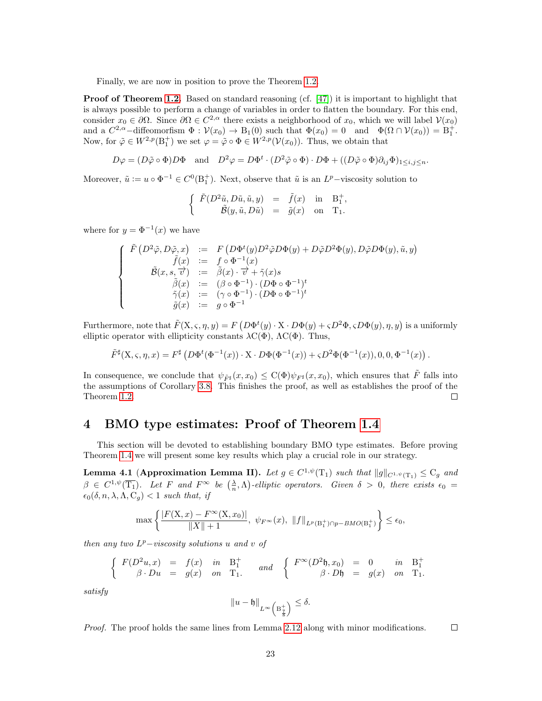Finally, we are now in position to prove the Theorem [1.2.](#page-4-1)

**Proof of Theorem [1.2.](#page-4-1)** Based on standard reasoning (cf. [\[47\]](#page-33-8)) it is important to highlight that is always possible to perform a change of variables in order to flatten the boundary. For this end, consider  $x_0 \in \partial\Omega$ . Since  $\partial\Omega \in C^{2,\alpha}$  there exists a neighborhood of  $x_0$ , which we will label  $\mathcal{V}(x_0)$ and a  $C^{2,\alpha}$ -diffeomorfism  $\Phi : \mathcal{V}(x_0) \to \mathcal{B}_1(0)$  such that  $\Phi(x_0) = 0$  and  $\Phi(\Omega \cap \mathcal{V}(x_0)) = \mathcal{B}_1^+$ . Now, for  $\tilde{\varphi} \in W^{2,p}(\mathbb{B}_1^+)$  we set  $\varphi = \tilde{\varphi} \circ \Phi \in W^{2,p}(\mathcal{V}(x_0))$ . Thus, we obtain that

$$
D\varphi = (D\tilde{\varphi}\circ\Phi)D\Phi \quad \text{and} \quad D^2\varphi = D\Phi^t \cdot (D^2\tilde{\varphi}\circ\Phi) \cdot D\Phi + ((D\tilde{\varphi}\circ\Phi)\partial_{ij}\Phi)_{1\leq i,j\leq n}.
$$

Moreover,  $\tilde{u} := u \circ \Phi^{-1} \in C^0(\mathbb{B}^+_1)$ . Next, observe that  $\tilde{u}$  is an  $L^p$ -viscosity solution to

$$
\left\{\begin{array}{rcll} \tilde{F}(D^2\tilde{u},D\tilde{u},\tilde{u},y)&=&\tilde{f}(x)&\text{in}&\mathrm{B}_1^+,\\ \tilde{\mathcal{B}}(y,\tilde{u},D\tilde{u})&=&\tilde{g}(x)&\text{on}&\mathrm{T}_1. \end{array}\right.
$$

where for  $y = \Phi^{-1}(x)$  we have

$$
\left\{\begin{array}{rcl} \tilde{F}\left(D^2\tilde{\varphi},D\tilde{\varphi},x\right)&:=&F\left(D\Phi^t(y)D^2\tilde{\varphi}D\Phi(y)+D\tilde{\varphi}D^2\Phi(y),D\tilde{\varphi}D\Phi(y),\tilde{u},y\right)\\ \tilde{f}(x)&:=&f\circ\Phi^{-1}(x)\\ \tilde{\mathcal{B}}(x,s,\overrightarrow{v})&:=&\tilde{\beta}(x)\cdot\overrightarrow{v}+\tilde{\gamma}(x)s\\ \tilde{\beta}(x)&:=&(\beta\circ\Phi^{-1})\cdot(D\Phi\circ\Phi^{-1})^t\\ \tilde{\gamma}(x)&:=&(\gamma\circ\Phi^{-1})\cdot(D\Phi\circ\Phi^{-1})^t\\ \tilde{g}(x)&:=&g\circ\Phi^{-1}\end{array}\right.
$$

Furthermore, note that  $\tilde{F}(X,\varsigma,\eta,y)=F(D\Phi^t(y)\cdot X\cdot D\Phi(y)+\varsigma D^2\Phi,\varsigma D\Phi(y),\eta,y)$  is a uniformly elliptic operator with ellipticity constants  $\lambda C(\Phi)$ ,  $\Lambda C(\Phi)$ . Thus,

$$
\tilde{F}^{\sharp}(\mathbf{X}, \varsigma, \eta, x) = F^{\sharp} \left( D \Phi^t (\Phi^{-1}(x)) \cdot \mathbf{X} \cdot D \Phi (\Phi^{-1}(x)) + \varsigma D^2 \Phi (\Phi^{-1}(x)), 0, 0, \Phi^{-1}(x) \right).
$$

In consequence, we conclude that  $\psi_{\tilde{F}^{\sharp}}(x, x_0) \leq C(\Phi) \psi_{F^{\sharp}}(x, x_0)$ , which ensures that  $\tilde{F}$  falls into the assumptions of Corollary [3.8.](#page-21-0) This finishes the proof, as well as establishes the proof of the Theorem [1.2.](#page-4-1) □

### <span id="page-22-0"></span>4 BMO type estimates: Proof of Theorem [1.4](#page-4-2)

This section will be devoted to establishing boundary BMO type estimates. Before proving Theorem [1.4](#page-4-2) we will present some key results which play a crucial role in our strategy.

<span id="page-22-1"></span>**Lemma 4.1 (Approximation Lemma II).** Let  $g \in C^{1,\psi}(\mathrm{T}_1)$  such that  $||g||_{C^{1,\psi}(\mathrm{T}_1)} \leq C_g$  and  $\beta \in C^{1,\psi}(\overline{T_1})$ . Let F and  $F^{\infty}$  be  $(\frac{\lambda}{n}, \Lambda)$ -elliptic operators. Given  $\delta > 0$ , there exists  $\epsilon_0 =$  $\epsilon_0(\delta, n, \lambda, \Lambda, C_g) < 1$  such that, if

$$
\max \left\{ \frac{|F(\mathbf{X}, x) - F^{\infty}(\mathbf{X}, x_0)|}{\|X\| + 1}, \ \psi_{F^{\infty}}(x), \ \|f\|_{L^p(\mathbf{B}_1^+)\cap p-BMO(\mathbf{B}_1^+)} \right\} \le \epsilon_0,
$$

then any two  $L^p$ -viscosity solutions u and v of

$$
\left\{ \begin{array}{rclcrcl} F(D^2u,x) & = & f(x) & in & B_1^+ & and & \left\{ \begin{array}{rcl} F^\infty(D^2\mathfrak{h},x_0) & = & 0 & in & B_1^+ \\ \beta \cdot Du & = & g(x) & on & T_1. & \end{array} \right. & and & \left\{ \begin{array}{rcl} F^\infty(D^2\mathfrak{h},x_0) & = & 0 & in & B_1^+ \\ \beta \cdot D\mathfrak{h} & = & g(x) & on & T_1. \end{array} \right.
$$

satisfy

$$
\|u-\mathfrak{h}\|_{L^{\infty}\left(B^+_{\frac{7}{8}}\right)}\leq\delta.
$$

Proof. The proof holds the same lines from Lemma [2.12](#page-12-3) along with minor modifications.  $\Box$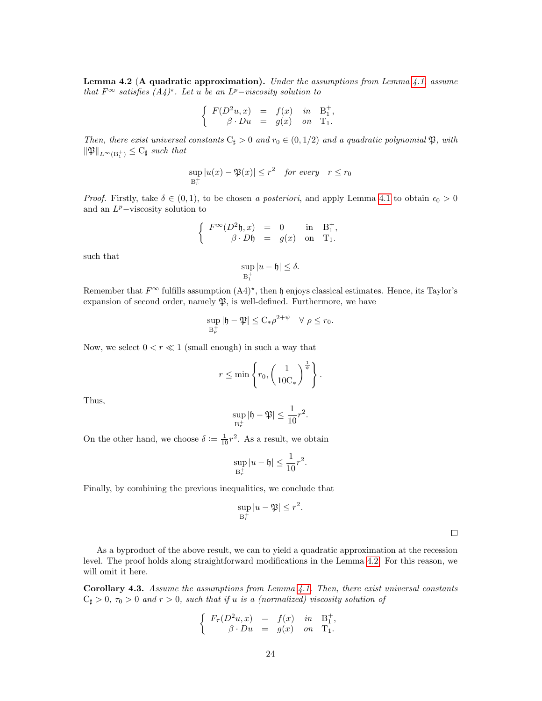<span id="page-23-0"></span>**Lemma 4.2 (A quadratic approximation).** Under the assumptions from Lemma  $4.1$ , assume that  $F^{\infty}$  satisfies  $(A_4)^*$ . Let u be an  $L^p$ -viscosity solution to

$$
\left\{ \begin{array}{rcl} F(D^2u,x) &=& f(x) \quad in \quad {\bf B}^+_1, \\ \beta \cdot Du &=& g(x) \quad on \quad {\bf T}_1. \end{array} \right.
$$

Then, there exist universal constants  $C_{\sharp} > 0$  and  $r_0 \in (0, 1/2)$  and a quadratic polynomial  $\mathfrak{P}$ , with  $\|\mathfrak{P}\|_{L^{\infty}(\mathcal{B}^+_1)} \leq \mathrm{C}_{\sharp}$  such that

$$
\sup_{B_r^+} |u(x) - \mathfrak{P}(x)| \le r^2 \quad \text{for every} \quad r \le r_0
$$

*Proof.* Firstly, take  $\delta \in (0, 1)$ , to be chosen a posteriori, and apply Lemma [4.1](#page-22-1) to obtain  $\epsilon_0 > 0$ and an  $L^p$ -viscosity solution to

$$
\left\{ \begin{array}{rcl} F^\infty(D^2\mathfrak{h},x) &=& 0 \qquad \textrm{in} \quad \mathbf{B}_1^+, \\ \beta \cdot D\mathfrak{h} &=& g(x) \quad \textrm{on} \quad \mathbf{T}_1. \end{array} \right.
$$

such that

$$
\sup_{B_1^+}|u-\mathfrak{h}|\leq \delta.
$$

Remember that  $F^{\infty}$  fulfills assumption  $(A4)^{*}$ , then  $\mathfrak h$  enjoys classical estimates. Hence, its Taylor's expansion of second order, namely  $\mathfrak{P}$ , is well-defined. Furthermore, we have

$$
\sup_{B_{\rho}^+} |\mathfrak{h} - \mathfrak{P}| \leq C_* \rho^{2+\psi} \quad \forall \ \rho \leq r_0.
$$

Now, we select  $0 < r \ll 1$  (small enough) in such a way that

$$
r \le \min\left\{r_0, \left(\frac{1}{10\mathrm{C_*}}\right)^{\frac{1}{\psi}}\right\}.
$$

Thus,

$$
\sup_{\mathbf{B}_r^+} |\mathbf{h} - \mathfrak{P}| \le \frac{1}{10} r^2.
$$

On the other hand, we choose  $\delta := \frac{1}{10}r^2$ . As a result, we obtain

$$
\sup_{\mathbf{B}_r^+}|u-\mathfrak{h}|\leq \frac{1}{10}r^2.
$$

Finally, by combining the previous inequalities, we conclude that

$$
\sup_{B_r^+}|u-\mathfrak{P}| \le r^2.
$$

 $\Box$ 

As a byproduct of the above result, we can to yield a quadratic approximation at the recession level. The proof holds along straightforward modifications in the Lemma [4.2.](#page-23-0) For this reason, we will omit it here.

<span id="page-23-1"></span>Corollary 4.3. Assume the assumptions from Lemma [4.1.](#page-22-1) Then, there exist universal constants  $C_{\sharp} > 0$ ,  $\tau_0 > 0$  and  $r > 0$ , such that if u is a (normalized) viscosity solution of

$$
\left\{\begin{array}{rcl} F_{\tau}(D^2u,x) &=& f(x) \quad in \quad \mathcal{B}_1^+, \\ \beta \cdot Du &=& g(x) \quad on \quad \mathcal{T}_1. \end{array}\right.
$$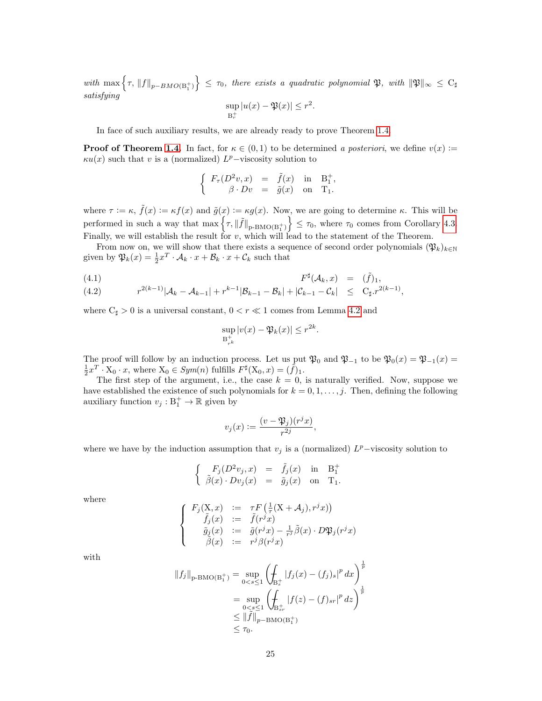$with \ \max\left\{\tau,\ {\left\|f\right\|}_{p-BMO(\mathrm{B}_1^+)}\right\}\ \le\ \tau_0, \ \textit{there \ exists\ a \ quadratic \ polynomial} \ \mathfrak{P}, \ \textit{with} \ \ {\left\|\mathfrak{P}\right\|}_{\infty} \ \le\ \mathrm{C}_\sharp$ satisfying

$$
\sup_{B_r^+}|u(x)-\mathfrak{P}(x)|\leq r^2.
$$

In face of such auxiliary results, we are already ready to prove Theorem [1.4.](#page-4-2)

**Proof of Theorem [1.4.](#page-4-2)** In fact, for  $\kappa \in (0,1)$  to be determined a posteriori, we define  $v(x)$  :=  $\kappa u(x)$  such that v is a (normalized)  $L^p$ -viscosity solution to

$$
\left\{\begin{array}{rcl} F_{\tau}(D^2v,x) &=& \tilde{f}(x) \quad \text{in} \quad \mathbf{B}_1^+ \\ \beta \cdot Dv &=& \tilde{g}(x) \quad \text{on} \quad \mathbf{T}_1. \end{array}\right.
$$

,

where  $\tau := \kappa$ ,  $\tilde{f}(x) := \kappa f(x)$  and  $\tilde{g}(x) := \kappa g(x)$ . Now, we are going to determine  $\kappa$ . This will be performed in such a way that  $\max \{ \tau, ||\tilde{f}||_{\text{p-BMO}(B_1^+)} \} \leq \tau_0$ , where  $\tau_0$  comes from Corollary [4.3.](#page-23-1) Finally, we will establish the result for v, which will lead to the statement of the Theorem.

From now on, we will show that there exists a sequence of second order polynomials  $(\mathfrak{P}_k)_{k\in\mathbb{N}}$ given by  $\mathfrak{P}_k(x) = \frac{1}{2}x^T \cdot \mathcal{A}_k \cdot x + \mathcal{B}_k \cdot x + \mathcal{C}_k$  such that

$$
F^{\sharp}(\mathcal{A}_k, x) = (\tilde{f})_1,
$$

(4.2) 
$$
r^{2(k-1)}|\mathcal{A}_k - \mathcal{A}_{k-1}| + r^{k-1}|\mathcal{B}_{k-1} - \mathcal{B}_k| + |\mathcal{C}_{k-1} - \mathcal{C}_k| \leq C_{\sharp} \cdot r^{2(k-1)},
$$

where  $C_{\sharp} > 0$  is a universal constant,  $0 < r \ll 1$  comes from Lemma [4.2](#page-23-0) and

<span id="page-24-0"></span>
$$
\sup_{\mathcal{B}_{r^k}^+} |v(x) - \mathfrak{P}_k(x)| \le r^{2k}.
$$

The proof will follow by an induction process. Let us put  $\mathfrak{P}_0$  and  $\mathfrak{P}_{-1}$  to be  $\mathfrak{P}_0(x) = \mathfrak{P}_{-1}(x) =$  $\frac{1}{2}x^T \cdot X_0 \cdot x$ , where  $X_0 \in Sym(n)$  fulfills  $F^{\sharp}(X_0, x) = (\tilde{f})_1$ .

The first step of the argument, i.e., the case  $k = 0$ , is naturally verified. Now, suppose we have established the existence of such polynomials for  $k = 0, 1, \ldots, j$ . Then, defining the following auxiliary function  $v_j: \mathbb{B}_1^+ \to \mathbb{R}$  given by

$$
v_j(x) := \frac{(v - \mathfrak{P}_j)(r^j x)}{r^{2j}}
$$

,

where we have by the induction assumption that  $v_j$  is a (normalized)  $L^p$ -viscosity solution to

$$
\left\{\begin{array}{rcll} F_j(D^2v_j,x)&=&\tilde f_j(x)&\text{in}&\mathrm{B}_1^+\\ \tilde\beta(x)\cdot Dv_j(x)&=&\tilde g_j(x)&\text{on}&\mathrm{T}_1. \end{array}\right.
$$

where

$$
\left\{\begin{array}{rcl} F_j(\mathrm{X},x) & := & \tau F\left(\frac{1}{\tau}(\mathrm{X}+\mathcal{A}_j),r^jx)\right) \\ \tilde{f}_j(x) & := & \tilde{f}(r^jx) \\ \tilde{g}_j(x) & := & \tilde{g}(r^jx) - \frac{1}{r^j}\tilde{\beta}(x)\cdot D\mathfrak{P}_j(r^jx) \\ \tilde{\beta}(x) & := & r^j\beta(r^jx) \end{array}\right.
$$

with

$$
||f_j||_{p-BMO(B_1^+)} = \sup_{0 < s \le 1} \left( \int_{B_s^+} |f_j(x) - (f_j)_s|^p \, dx \right)^{\frac{1}{p}}
$$
\n
$$
= \sup_{0 < s \le 1} \left( \int_{B_{sr}^+} |f(z) - (f)_{sr}|^p \, dz \right)^{\frac{1}{p}}
$$
\n
$$
\le ||\tilde{f}||_{p-BMO(B_1^+)} \le \tau_0.
$$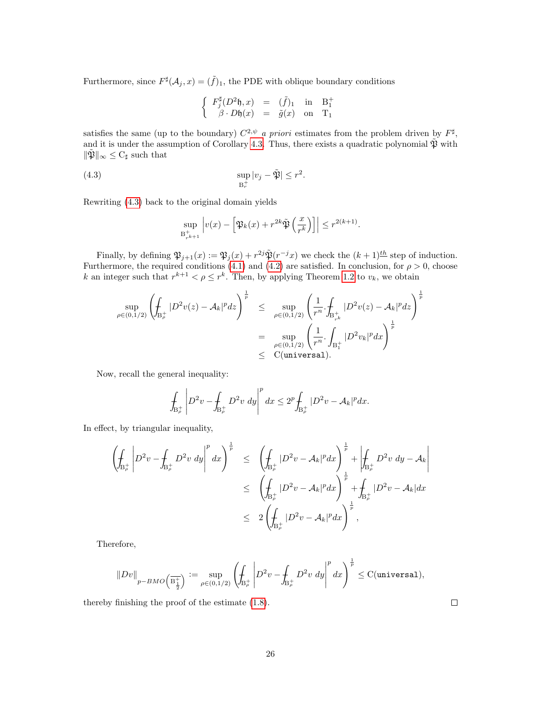Furthermore, since  $F^{\sharp}(\mathcal{A}_j, x) = (\tilde{f})_1$ , the PDE with oblique boundary conditions

$$
\left\{ \begin{array}{ccc} F_j^\sharp (D^2\mathfrak{h},x) &=& (\tilde{f})_1 \quad \text{in} \quad \mathbf{B}_1^+ \\ \beta \cdot D\mathfrak{h}(x) &=& \tilde{g}(x) \quad \text{on} \quad \mathbf{T}_1 \end{array} \right.
$$

satisfies the same (up to the boundary)  $C^{2,\psi}$  a priori estimates from the problem driven by  $F^{\sharp}$ , and it is under the assumption of Corollary [4.3.](#page-23-1) Thus, there exists a quadratic polynomial  $\tilde{\mathfrak{P}}$  with  $\|\hat{\mathfrak{P}}\|_{\infty} \leq C_{\sharp}$  such that

(4.3) 
$$
\sup_{\mathbf{B}_r^+} |v_j - \tilde{\mathfrak{P}}| \leq r^2.
$$

Rewriting [\(4.3\)](#page-25-0) back to the original domain yields

<span id="page-25-0"></span>
$$
\sup_{\mathcal{B}_{r^{k+1}}^+} \left| v(x) - \left[ \mathfrak{P}_k(x) + r^{2k} \tilde{\mathfrak{P}}\left( \frac{x}{r^k} \right) \right] \right| \le r^{2(k+1)}.
$$

Finally, by defining  $\mathfrak{P}_{j+1}(x) := \mathfrak{P}_j(x) + r^{2j} \tilde{\mathfrak{P}}(r^{-j}x)$  we check the  $(k+1)^{\underline{th}}$  step of induction. Furthermore, the required conditions [\(4.1\)](#page-24-0) and [\(4.2\)](#page-24-0) are satisfied. In conclusion, for  $\rho > 0$ , choose k an integer such that  $r^{k+1} < \rho \leq r^k$ . Then, by applying Theorem [1.2](#page-4-1) to  $v_k$ , we obtain

$$
\sup_{\rho \in (0,1/2)} \left( \oint_{B_{\rho}^+} |D^2 v(z) - A_k|^p dz \right)^{\frac{1}{p}} \leq \sup_{\rho \in (0,1/2)} \left( \frac{1}{r^n} \cdot \oint_{B_{r^k}^+} |D^2 v(z) - A_k|^p dz \right)^{\frac{1}{p}}
$$
  

$$
= \sup_{\rho \in (0,1/2)} \left( \frac{1}{r^n} \cdot \int_{B_1^+} |D^2 v_k|^p dx \right)^{\frac{1}{p}}
$$
  

$$
\leq C(\text{universal}).
$$

Now, recall the general inequality:

$$
\int_{\text{B}_{\rho}^+}\left|D^2v-\int_{\text{B}_{\rho}^+}D^2v\hspace{1mm}dy\right|^pdx\leq 2^p\int_{\text{B}_{\rho}^+}|D^2v-\mathcal{A}_k|^pdx.
$$

In effect, by triangular inequality,

$$
\left(\oint_{B_{\rho}^{+}}\left|D^{2}v-\oint_{B_{\rho}^{+}}D^{2}v\ dy\right|^{p}dx\right)^{\frac{1}{p}}\leq \left(\oint_{B_{\rho}^{+}}|D^{2}v-A_{k}|^{p}dx\right)^{\frac{1}{p}}+\left|\oint_{B_{\rho}^{+}}D^{2}v\ dy-\mathcal{A}_{k}\right|
$$

$$
\leq \left(\oint_{B_{\rho}^{+}}|D^{2}v-A_{k}|^{p}dx\right)^{\frac{1}{p}}+\oint_{B_{\rho}^{+}}|D^{2}v-A_{k}|dx
$$

$$
\leq 2\left(\oint_{B_{\rho}^{+}}|D^{2}v-A_{k}|^{p}dx\right)^{\frac{1}{p}},
$$

Therefore,

$$
\|Dv\|_{p-BMO\left(\overline{\mathrm{B}^{+}_{\frac{1}{2}}}\right)}:=\sup_{\rho\in(0,1/2)}\left(\!\!\int_{\mathrm{B}^{+}_{\rho}}\left\vert D^{2}v-\!\!\int_{\mathrm{B}^{+}_{\rho}}D^{2}v\;dy\right\vert^{p}dx\right)^{\frac{1}{p}}\leq\mathrm{C}(\text{universal}),
$$

thereby finishing the proof of the estimate [\(1.8\)](#page-4-4).

 $\Box$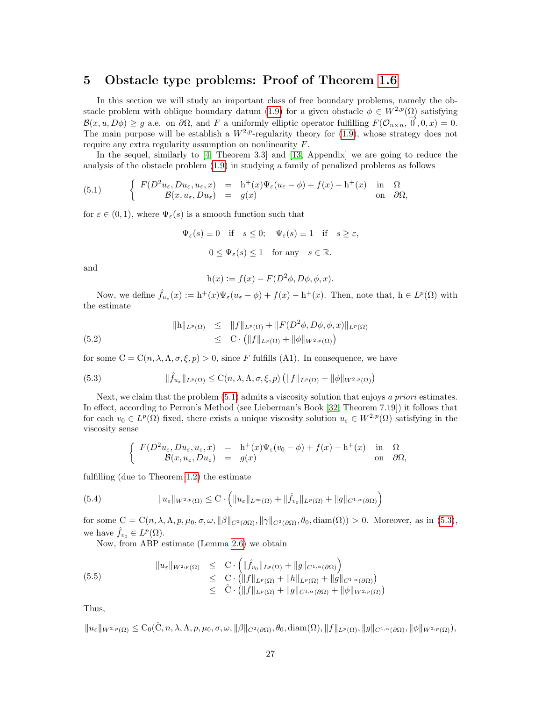### <span id="page-26-0"></span>5 Obstacle type problems: Proof of Theorem [1.6](#page-6-0)

In this section we will study an important class of free boundary problems, namely the ob-stacle problem with oblique boundary datum [\(1.9\)](#page-5-0) for a given obstacle  $\phi \in W^{2,p}(\Omega)$  satisfying  $\mathcal{B}(x, u, D\phi) \geq g$  a.e. on  $\partial\Omega$ , and F a uniformly elliptic operator fulfilling  $F(\mathcal{O}_{n\times n}, \overline{\mathcal{O}}, 0, x) = 0$ . The main purpose will be establish a  $W^{2,p}$ -regularity theory for [\(1.9\)](#page-5-0), whose strategy does not require any extra regularity assumption on nonlinearity F.

In the sequel, similarly to [\[4,](#page-31-13) Theorem 3.3] and [\[13,](#page-31-3) Appendix] we are going to reduce the analysis of the obstacle problem [\(1.9\)](#page-5-0) in studying a family of penalized problems as follows

<span id="page-26-1"></span>(5.1) 
$$
\begin{cases}\nF(D^2u_{\varepsilon}, Du_{\varepsilon}, u_{\varepsilon}, x) = h^+(x)\Psi_{\varepsilon}(u_{\varepsilon} - \phi) + f(x) - h^+(x) & \text{in} \quad \Omega \\
B(x, u_{\varepsilon}, Du_{\varepsilon}) = g(x) & \text{on} \quad \partial\Omega,\n\end{cases}
$$

for  $\varepsilon \in (0,1)$ , where  $\Psi_{\varepsilon}(s)$  is a smooth function such that

$$
\Psi_{\varepsilon}(s) \equiv 0
$$
 if  $s \le 0$ ;  $\Psi_{\varepsilon}(s) \equiv 1$  if  $s \ge \varepsilon$ ,  
\n $0 \le \Psi_{\varepsilon}(s) \le 1$  for any  $s \in \mathbb{R}$ .

and

$$
h(x) := f(x) - F(D^2\phi, D\phi, \phi, x).
$$

Now, we define  $\hat{f}_{u_{\varepsilon}}(x) := h^{+}(x)\Psi_{\varepsilon}(u_{\varepsilon} - \phi) + f(x) - h^{+}(x)$ . Then, note that,  $h \in L^{p}(\Omega)$  with the estimate

$$
||h||_{L^{p}(\Omega)} \leq ||f||_{L^{p}(\Omega)} + ||F(D^{2}\phi, D\phi, \phi, x)||_{L^{p}(\Omega)}
$$
  
(5.2) 
$$
\leq C \cdot (||f||_{L^{p}(\Omega)} + ||\phi||_{W^{2,p}(\Omega)})
$$

for some  $C = C(n, \lambda, \Lambda, \sigma, \xi, p) > 0$ , since F fulfills (A1). In consequence, we have

(5.3) 
$$
\|\hat{f}_{u_{\varepsilon}}\|_{L^{p}(\Omega)} \leq C(n,\lambda,\Lambda,\sigma,\xi,p) \left( \|f\|_{L^{p}(\Omega)} + \|\phi\|_{W^{2,p}(\Omega)} \right)
$$

Next, we claim that the problem  $(5.1)$  admits a viscosity solution that enjoys a priori estimates. In effect, according to Perron's Method (see Lieberman's Book [\[32,](#page-32-15) Theorem 7.19]) it follows that for each  $v_0 \in L^p(\Omega)$  fixed, there exists a unique viscosity solution  $u_{\varepsilon} \in W^{2,p}(\Omega)$  satisfying in the viscosity sense

<span id="page-26-2"></span>
$$
\begin{cases}\nF(D^2 u_{\varepsilon}, Du_{\varepsilon}, u_{\varepsilon}, x) = h^+(x)\Psi_{\varepsilon}(v_0 - \phi) + f(x) - h^+(x) & \text{in } \Omega \\
\mathcal{B}(x, u_{\varepsilon}, Du_{\varepsilon}) = g(x) & \text{on } \partial\Omega,\n\end{cases}
$$

fulfilling (due to Theorem [1.2\)](#page-4-1) the estimate

(5.4) 
$$
\|u_{\varepsilon}\|_{W^{2,p}(\Omega)} \leq C \cdot \left( \|u_{\varepsilon}\|_{L^{\infty}(\Omega)} + \|\hat{f}_{v_0}\|_{L^p(\Omega)} + \|g\|_{C^{1,\alpha}(\partial\Omega)} \right)
$$

for some  $C = C(n, \lambda, \Lambda, p, \mu_0, \sigma, \omega, \|\beta\|_{C^2(\partial\Omega)}, \|\gamma\|_{C^2(\partial\Omega)}, \theta_0, \text{diam}(\Omega)) > 0$ . Moreover, as in [\(5.3\)](#page-26-2), we have  $\hat{f}_{v_0} \in L^p(\Omega)$ .

<span id="page-26-3"></span>Now, from ABP estimate (Lemma [2.6\)](#page-10-2) we obtain

$$
(5.5) \t\t\t \|u_{\varepsilon}\|_{W^{2,p}(\Omega)} \leq C \cdot \left( \|\hat{f}_{v_0}\|_{L^p(\Omega)} + \|g\|_{C^{1,\alpha}(\partial\Omega)} \right) \n\leq C \cdot \left( \|f\|_{L^p(\Omega)} + \|h\|_{L^p(\Omega)} + \|g\|_{C^{1,\alpha}(\partial\Omega)} \right) \n\leq \hat{C} \cdot \left( \|f\|_{L^p(\Omega)} + \|g\|_{C^{1,\alpha}(\partial\Omega)} + \|\phi\|_{W^{2,p}(\Omega)} \right)
$$

Thus,

 $\|u_{\varepsilon}\|_{W^{2,p}(\Omega)} \leq C_0(\hat{C}, n, \lambda, \Lambda, p, \mu_0, \sigma, \omega, \|\beta\|_{C^2(\partial\Omega)}, \theta_0, \text{diam}(\Omega), \|f\|_{L^p(\Omega)}, \|g\|_{C^{1,\alpha}(\partial\Omega)}, \|\phi\|_{W^{2,p}(\Omega)}),$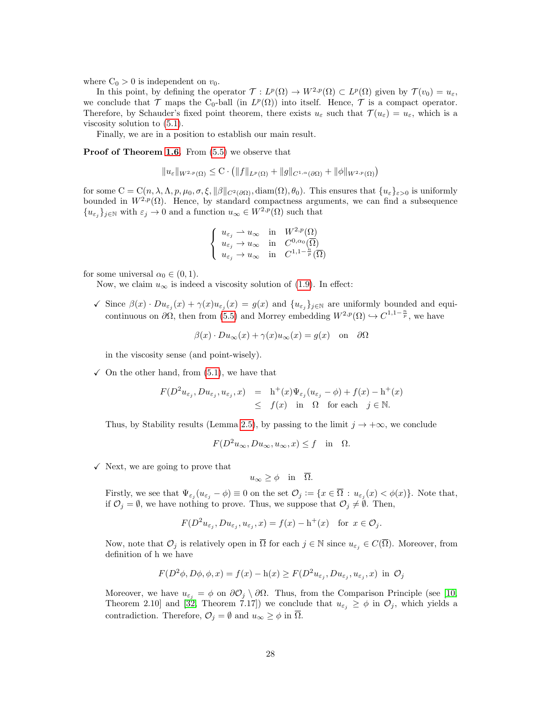where  $C_0 > 0$  is independent on  $v_0$ .

In this point, by defining the operator  $\mathcal{T}: L^p(\Omega) \to W^{2,p}(\Omega) \subset L^p(\Omega)$  given by  $\mathcal{T}(v_0) = u_{\varepsilon}$ , we conclude that  $\mathcal T$  maps the C<sub>0</sub>-ball (in  $L^p(\Omega)$ ) into itself. Hence,  $\mathcal T$  is a compact operator. Therefore, by Schauder's fixed point theorem, there exists  $u_{\varepsilon}$  such that  $\mathcal{T}(u_{\varepsilon}) = u_{\varepsilon}$ , which is a viscosity solution to [\(5.1\)](#page-26-1).

Finally, we are in a position to establish our main result.

Proof of Theorem [1.6.](#page-6-0) From  $(5.5)$  we observe that

$$
||u_{\varepsilon}||_{W^{2,p}(\Omega)} \leq C \cdot (||f||_{L^p(\Omega)} + ||g||_{C^{1,\alpha}(\partial\Omega)} + ||\phi||_{W^{2,p}(\Omega)})
$$

for some  $C = C(n, \lambda, \Lambda, p, \mu_0, \sigma, \xi, \|\beta\|_{C^2(\partial\Omega)}, \text{diam}(\Omega), \theta_0)$ . This ensures that  $\{u_{\varepsilon}\}_{\varepsilon>0}$  is uniformly bounded in  $W^{2,p}(\Omega)$ . Hence, by standard compactness arguments, we can find a subsequence  ${u_{\varepsilon}}_j$ <sub>j</sub> $\in \mathbb{N}$  with  $\varepsilon_j \to 0$  and a function  $u_\infty \in W^{2,p}(\Omega)$  such that

$$
\begin{cases}\n u_{\varepsilon_j} \rightharpoonup u_{\infty} & \text{in} \quad W^{2,p}(\Omega) \\
 u_{\varepsilon_j} \rightharpoonup u_{\infty} & \text{in} \quad C^{0,\alpha_0}(\overline{\Omega}) \\
 u_{\varepsilon_j} \rightharpoonup u_{\infty} & \text{in} \quad C^{1,1-\frac{n}{p}}(\overline{\Omega})\n\end{cases}
$$

for some universal  $\alpha_0 \in (0,1)$ .

Now, we claim  $u_{\infty}$  is indeed a viscosity solution of [\(1.9\)](#page-5-0). In effect:

 $\checkmark$  Since  $\beta(x) \cdot Du_{\varepsilon_j}(x) + \gamma(x)u_{\varepsilon_j}(x) = g(x)$  and  $\{u_{\varepsilon_j}\}_{j \in \mathbb{N}}$  are uniformly bounded and equicontinuous on  $\partial\Omega$ , then from [\(5.5\)](#page-26-3) and Morrey embedding  $W^{2,p}(\Omega) \hookrightarrow C^{1,1-\frac{n}{p}}$ , we have

 $\beta(x) \cdot Du_{\infty}(x) + \gamma(x)u_{\infty}(x) = g(x)$  on  $\partial\Omega$ 

in the viscosity sense (and point-wisely).

 $\checkmark$  On the other hand, from [\(5.1\)](#page-26-1), we have that

$$
F(D^2 u_{\varepsilon_j}, Du_{\varepsilon_j}, u_{\varepsilon_j}, x) = h^+(x) \Psi_{\varepsilon_j}(u_{\varepsilon_j} - \phi) + f(x) - h^+(x)
$$
  

$$
\leq f(x) \text{ in } \Omega \text{ for each } j \in \mathbb{N}.
$$

Thus, by Stability results (Lemma [2.5\)](#page-10-3), by passing to the limit  $j \to +\infty$ , we conclude

$$
F(D^2u_{\infty}, Du_{\infty}, u_{\infty}, x) \le f \quad \text{in} \quad \Omega.
$$

 $\checkmark$  Next, we are going to prove that

$$
u_{\infty} \ge \phi \quad \text{in} \quad \overline{\Omega}.
$$

Firstly, we see that  $\Psi_{\varepsilon_j}(u_{\varepsilon_j}-\phi)\equiv 0$  on the set  $\mathcal{O}_j\coloneqq\{x\in\overline{\Omega}:u_{\varepsilon_j}(x)<\phi(x)\}\.$  Note that, if  $\mathcal{O}_j = \emptyset$ , we have nothing to prove. Thus, we suppose that  $\mathcal{O}_j \neq \emptyset$ . Then,

$$
F(D^2 u_{\varepsilon_j}, Du_{\varepsilon_j}, u_{\varepsilon_j}, x) = f(x) - h^+(x) \text{ for } x \in \mathcal{O}_j.
$$

Now, note that  $\mathcal{O}_j$  is relatively open in  $\overline{\Omega}$  for each  $j \in \mathbb{N}$  since  $u_{\varepsilon_j} \in C(\overline{\Omega})$ . Moreover, from definition of h we have

$$
F(D^2\phi, D\phi, \phi, x) = f(x) - h(x) \ge F(D^2 u_{\varepsilon_j}, Du_{\varepsilon_j}, u_{\varepsilon_j}, x) \text{ in } \mathcal{O}_j
$$

Moreover, we have  $u_{\varepsilon_j} = \phi$  on  $\partial \mathcal{O}_j \setminus \partial \Omega$ . Thus, from the Comparison Principle (see [\[10,](#page-31-12) Theorem 2.10] and [\[32,](#page-32-15) Theorem 7.17]) we conclude that  $u_{\varepsilon_j} \geq \phi$  in  $\mathcal{O}_j$ , which yields a contradiction. Therefore,  $\mathcal{O}_i = \emptyset$  and  $u_{\infty} \geq \phi$  in  $\overline{\Omega}$ .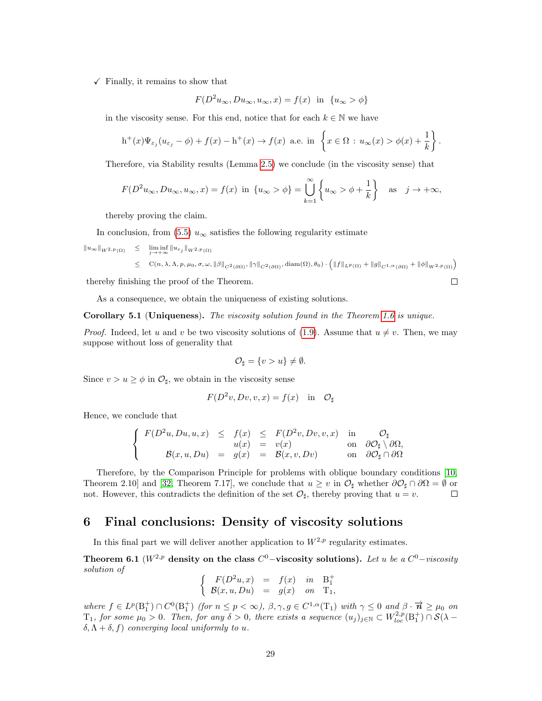$\checkmark$  Finally, it remains to show that

$$
F(D^2u_{\infty}, Du_{\infty}, u_{\infty}, x) = f(x) \text{ in } \{u_{\infty} > \phi\}
$$

in the viscosity sense. For this end, notice that for each  $k \in \mathbb{N}$  we have

$$
h^+(x)\Psi_{\varepsilon_j}(u_{\varepsilon_j}-\phi)+f(x)-h^+(x)\to f(x)\ \text{a.e. in }\left\{x\in\Omega\,:\,u_\infty(x)>\phi(x)+\frac{1}{k}\right\}.
$$

Therefore, via Stability results (Lemma [2.5\)](#page-10-3) we conclude (in the viscosity sense) that

$$
F(D^2u_{\infty}, Du_{\infty}, u_{\infty}, x) = f(x) \text{ in } \{u_{\infty} > \phi\} = \bigcup_{k=1}^{\infty} \left\{u_{\infty} > \phi + \frac{1}{k}\right\} \text{ as } j \to +\infty,
$$

thereby proving the claim.

In conclusion, from [\(5.5\)](#page-26-3)  $u_{\infty}$  satisfies the following regularity estimate

 $||u_\infty||_{W^{2,p}(\Omega)} \leq \liminf_{j\to+\infty} ||u_{\varepsilon_j}||_{W^{2,p}(\Omega)}$  $\leq C(n, \lambda, \Lambda, p, \mu_0, \sigma, \omega, \|\beta\|_{C^2(\partial\Omega)}, \|\gamma\|_{C^2(\partial\Omega)}, \text{diam}(\Omega), \theta_0) \cdot \left( \|f\|_{L^p(\Omega)} + \|g\|_{C^{1,\alpha}(\partial\Omega)} + \|\phi\|_{W^{2,p}(\Omega)} \right)$ 

thereby finishing the proof of the Theorem.

As a consequence, we obtain the uniqueness of existing solutions.

Corollary 5.1 (Uniqueness). The viscosity solution found in the Theorem [1.6](#page-6-0) is unique.

*Proof.* Indeed, let u and v be two viscosity solutions of [\(1.9\)](#page-5-0). Assume that  $u \neq v$ . Then, we may suppose without loss of generality that

$$
\mathcal{O}_{\sharp} = \{v > u\} \neq \emptyset.
$$

Since  $v > u \ge \phi$  in  $\mathcal{O}_{\sharp}$ , we obtain in the viscosity sense

$$
F(D^2v, Dv, v, x) = f(x) \text{ in } \mathcal{O}_{\sharp}
$$

Hence, we conclude that

$$
\begin{cases}\nF(D^2u, Du, u, x) & \leq f(x) \leq F(D^2v, Dv, v, x) & \text{in} \quad \mathcal{O}_{\sharp} \\
u(x) & = v(x) & \text{on} \quad \partial \mathcal{O}_{\sharp} \setminus \partial \Omega, \\
\mathcal{B}(x, u, Du) & = g(x) & = \mathcal{B}(x, v, Dv) & \text{on} \quad \partial \mathcal{O}_{\sharp} \cap \partial \Omega\n\end{cases}
$$

Therefore, by the Comparison Principle for problems with oblique boundary conditions [\[10,](#page-31-12) Theorem 2.10] and [\[32,](#page-32-15) Theorem 7.17], we conclude that  $u \geq v$  in  $\mathcal{O}_{\sharp}$  whether  $\partial \mathcal{O}_{\sharp} \cap \partial \Omega = \emptyset$  or not. However, this contradicts the definition of the set  $\mathcal{O}_{\sharp}$ , thereby proving that  $u = v$ .  $\Box$ 

## <span id="page-28-0"></span>6 Final conclusions: Density of viscosity solutions

In this final part we will deliver another application to  $W^{2,p}$  regularity estimates.

Theorem 6.1 ( $W^{2,p}$  density on the class  $C^0$ –viscosity solutions). Let u be a  $C^0$ –viscosity solution of

$$
\left\{\begin{array}{ccc} F(D^2u,x) &=& f(x) \quad in \quad \mathbf{B}_1^+ \\ \mathcal{B}(x,u,Du) &=& g(x) \quad on \quad \mathbf{T}_1, \end{array}\right.
$$

where  $f \in L^p(\mathbb{B}_1^+) \cap C^0(\mathbb{B}_1^+)$  (for  $n \leq p < \infty$ ),  $\beta, \gamma, g \in C^{1,\alpha}(\mathbb{T}_1)$  with  $\gamma \leq 0$  and  $\beta \cdot \overrightarrow{n} \geq \mu_0$  on  $T_1$ , for some  $\mu_0 > 0$ . Then, for any  $\delta > 0$ , there exists a sequence  $(u_j)_{j \in \mathbb{N}} \subset W_{loc}^{2,p}(\mathcal{B}_1^+) \cap \mathcal{S}(\lambda - 1)$  $\delta, \Lambda + \delta, f$  converging local uniformly to u.

 $\Box$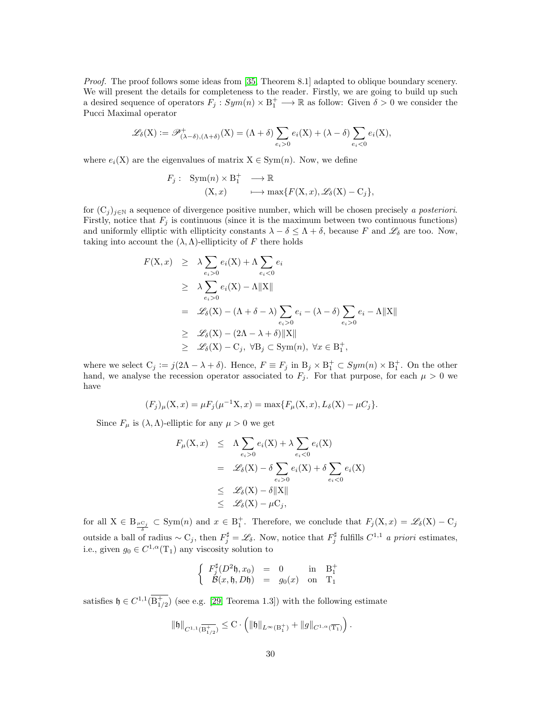Proof. The proof follows some ideas from [\[35,](#page-32-2) Theorem 8.1] adapted to oblique boundary scenery. We will present the details for completeness to the reader. Firstly, we are going to build up such a desired sequence of operators  $F_j: Sym(n) \times B_1^+ \longrightarrow \mathbb{R}$  as follow: Given  $\delta > 0$  we consider the Pucci Maximal operator

$$
\mathscr{L}_{\delta}(\mathbf{X}) := \mathscr{P}^+_{(\lambda-\delta),(\Lambda+\delta)}(\mathbf{X}) = (\Lambda+\delta)\sum_{e_i>0} e_i(\mathbf{X}) + (\lambda-\delta)\sum_{e_i<0} e_i(\mathbf{X}),
$$

where  $e_i(X)$  are the eigenvalues of matrix  $X \in Sym(n)$ . Now, we define

$$
F_j: \operatorname{Sym}(n) \times B_1^+ \longrightarrow \mathbb{R}
$$
  

$$
(X, x) \longmapsto \max\{F(X, x), \mathscr{L}_{\delta}(X) - C_j\},\
$$

for  $(C_j)_{j\in\mathbb{N}}$  a sequence of divergence positive number, which will be chosen precisely a posteriori. Firstly, notice that  $F_i$  is continuous (since it is the maximum between two continuous functions) and uniformly elliptic with ellipticity constants  $\lambda - \delta \leq \Lambda + \delta$ , because F and  $\mathscr{L}_{\delta}$  are too. Now, taking into account the  $(\lambda, \Lambda)$ -ellipticity of F there holds

$$
F(X, x) \geq \lambda \sum_{e_i > 0} e_i(X) + \Lambda \sum_{e_i < 0} e_i
$$
  
\n
$$
\geq \lambda \sum_{e_i > 0} e_i(X) - \Lambda ||X||
$$
  
\n
$$
= \mathcal{L}_{\delta}(X) - (\Lambda + \delta - \lambda) \sum_{e_i > 0} e_i - (\lambda - \delta) \sum_{e_i > 0} e_i - \Lambda ||X||
$$
  
\n
$$
\geq \mathcal{L}_{\delta}(X) - (2\Lambda - \lambda + \delta) ||X||
$$
  
\n
$$
\geq \mathcal{L}_{\delta}(X) - C_j, \ \forall B_j \subset \text{Sym}(n), \ \forall x \in B_1^+,
$$

where we select  $C_j := j(2\Lambda - \lambda + \delta)$ . Hence,  $F \equiv F_j$  in  $B_j \times B_1^+ \subset Sym(n) \times B_1^+$ . On the other hand, we analyse the recession operator associated to  $F_j$ . For that purpose, for each  $\mu > 0$  we have

$$
(F_j)_{\mu}(\mathbf{X},x) = \mu F_j(\mu^{-1}\mathbf{X},x) = \max\{F_{\mu}(\mathbf{X},x),L_{\delta}(\mathbf{X}) - \mu C_j\}.
$$

Since  $F_{\mu}$  is  $(\lambda, \Lambda)$ -elliptic for any  $\mu > 0$  we get

$$
F_{\mu}(X, x) \leq \Lambda \sum_{e_i > 0} e_i(X) + \lambda \sum_{e_i < 0} e_i(X)
$$
  
=  $\mathscr{L}_{\delta}(X) - \delta \sum_{e_i > 0} e_i(X) + \delta \sum_{e_i < 0} e_i(X)$   
 $\leq \mathscr{L}_{\delta}(X) - \delta ||X||$   
 $\leq \mathscr{L}_{\delta}(X) - \mu C_j,$ 

for all  $X \in B_{\frac{\mu C_j}{\delta}} \subset \text{Sym}(n)$  and  $x \in B_1^+$ . Therefore, we conclude that  $F_j(X, x) = \mathscr{L}_{\delta}(X) - C_j$ outside a ball of radius  $\sim C_j$ , then  $F_j^{\sharp} = \mathscr{L}_{\delta}$ . Now, notice that  $F_j^{\sharp}$  fulfills  $C^{1,1}$  a priori estimates, i.e., given  $g_0 \in C^{1,\alpha}(\mathcal{T}_1)$  any viscosity solution to

$$
\left\{\begin{array}{ccc} F_j^\sharp (D^2\mathfrak{h},x_0) &=& 0 \ \ 0 & \text{in} & \mathrm{B}_1^+ \\ \mathcal{B}(x,\mathfrak{h},D\mathfrak{h}) &=& g_0(x) \ \ \text{on} & \mathrm{T}_1 \end{array}\right.
$$

satisfies  $\mathfrak{h} \in C^{1,1}(\overline{\mathrm{B}^+_{1/2}})$  (see e.g. [\[29,](#page-32-8) Teorema 1.3]) with the following estimate

$$
\|\mathfrak{h}\|_{C^{1,1}(\overline{\mathrm{B}^{+}_{1/2}})} \leq \mathrm{C} \cdot \left( \|\mathfrak{h}\|_{L^{\infty}(\mathrm{B}^{+}_{1})} + \|g\|_{C^{1,\alpha}(\overline{\mathrm{T}_{1}})} \right).
$$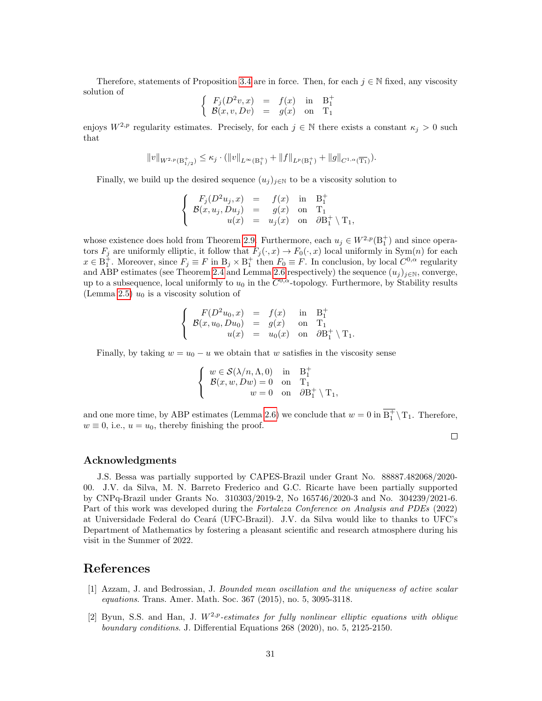Therefore, statements of Proposition [3.4](#page-15-1) are in force. Then, for each  $j \in \mathbb{N}$  fixed, any viscosity solution of

$$
\begin{cases}\nF_j(D^2v, x) = f(x) & \text{in} & B_1^+ \\
B(x, v, Dv) = g(x) & \text{on} & T_1\n\end{cases}
$$

enjoys  $W^{2,p}$  regularity estimates. Precisely, for each  $j \in \mathbb{N}$  there exists a constant  $\kappa_j > 0$  such that

$$
||v||_{W^{2,p}(\mathcal{B}^+_{1/2})} \leq \kappa_j \cdot (||v||_{L^{\infty}(\mathcal{B}^+_1)} + ||f||_{L^p(\mathcal{B}^+_1)} + ||g||_{C^{1,\alpha}(\overline{\mathcal{T}_1})}).
$$

Finally, we build up the desired sequence  $(u_j)_{j\in\mathbb{N}}$  to be a viscosity solution to

$$
\begin{cases}\nF_j(D^2u_j, x) = f(x) \text{ in } B_1^+ \\
\mathcal{B}(x, u_j, Du_j) = g(x) \text{ on } T_1 \\
u(x) = u_j(x) \text{ on } \partial B_1^+ \setminus T_1,\n\end{cases}
$$

whose existence does hold from Theorem [2.9.](#page-11-2) Furthermore, each  $u_j \in W^{2,p}(\mathbb{B}^+_1)$  and since operators  $F_j$  are uniformly elliptic, it follow that  $F_j(\cdot, x) \to F_0(\cdot, x)$  local uniformly in  $Sym(n)$  for each  $x \in \overline{B_1^+}$ . Moreover, since  $F_j \equiv F$  in  $B_j \times B_1^+$  then  $F_0 \equiv F$ . In conclusion, by local  $C^{0,\alpha}$  regularity and ABP estimates (see Theorem [2.4](#page-9-2) and Lemma [2.6](#page-10-2) respectively) the sequence  $(u_j)_{j\in\mathbb{N}}$ , converge, up to a subsequence, local uniformly to  $u_0$  in the  $C^{0,\alpha}$ -topology. Furthermore, by Stability results (Lemma [2.5\)](#page-10-3)  $u_0$  is a viscosity solution of

$$
\begin{cases}\nF(D^2u_0, x) &= f(x) \text{ in } B_1^+ \\
B(x, u_0, Du_0) &= g(x) \text{ on } T_1 \\
u(x) &= u_0(x) \text{ on } \partial B_1^+ \setminus T_1.\n\end{cases}
$$

Finally, by taking  $w = u_0 - u$  we obtain that w satisfies in the viscosity sense

$$
\begin{cases} w \in \mathcal{S}(\lambda/n, \Lambda, 0) & \text{in} \quad \mathbf{B}_1^+ \\ \mathcal{B}(x, w, Dw) = 0 & \text{on} \quad \mathbf{T}_1 \\ w = 0 & \text{on} \quad \partial \mathbf{B}_1^+ \setminus \mathbf{T}_1, \end{cases}
$$

and one more time, by ABP estimates (Lemma [2.6\)](#page-10-2) we conclude that  $w = 0$  in  $\overline{B_1^+} \setminus T_1$ . Therefore,  $w \equiv 0$ , i.e.,  $u = u_0$ , thereby finishing the proof.

#### Acknowledgments

J.S. Bessa was partially supported by CAPES-Brazil under Grant No. 88887.482068/2020- 00. J.V. da Silva, M. N. Barreto Frederico and G.C. Ricarte have been partially supported by CNPq-Brazil under Grants No. 310303/2019-2, No 165746/2020-3 and No. 304239/2021-6. Part of this work was developed during the Fortaleza Conference on Analysis and PDEs (2022) at Universidade Federal do Cear´a (UFC-Brazil). J.V. da Silva would like to thanks to UFC's Department of Mathematics by fostering a pleasant scientific and research atmosphere during his visit in the Summer of 2022.

## References

- <span id="page-30-0"></span>[1] Azzam, J. and Bedrossian, J. Bounded mean oscillation and the uniqueness of active scalar equations. Trans. Amer. Math. Soc. 367 (2015), no. 5, 3095-3118.
- <span id="page-30-1"></span>[2] Byun, S.S. and Han, J.  $W^{2,p}$ -estimates for fully nonlinear elliptic equations with oblique boundary conditions. J. Differential Equations 268 (2020), no. 5, 2125-2150.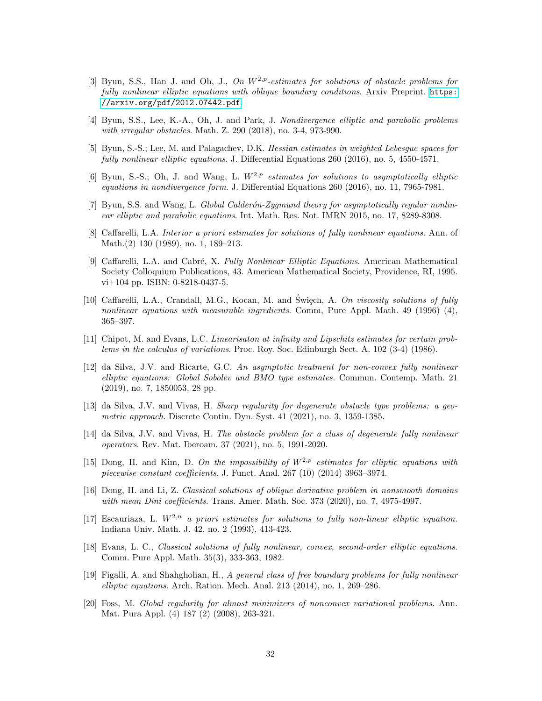- <span id="page-31-14"></span>[3] Byun, S.S., Han J. and Oh, J., On  $W^{2,p}$ -estimates for solutions of obstacle problems for fully nonlinear elliptic equations with oblique boundary conditions. Arxiv Preprint. [https:](https://arxiv.org/pdf/2012.07442.pdf) [//arxiv.org/pdf/2012.07442.pdf](https://arxiv.org/pdf/2012.07442.pdf).
- <span id="page-31-13"></span>[4] Byun, S.S., Lee, K.-A., Oh, J. and Park, J. Nondivergence elliptic and parabolic problems with irregular obstacles. Math. Z. 290 (2018), no. 3-4, 973-990.
- <span id="page-31-17"></span>[5] Byun, S.-S.; Lee, M. and Palagachev, D.K. Hessian estimates in weighted Lebesgue spaces for fully nonlinear elliptic equations. J. Differential Equations 260 (2016), no. 5, 4550-4571.
- <span id="page-31-7"></span>[6] Byun, S.-S.; Oh, J. and Wang, L.  $W^{2,p}$  estimates for solutions to asymptotically elliptic equations in nondivergence form. J. Differential Equations 260 (2016), no. 11, 7965-7981.
- <span id="page-31-10"></span>[7] Byun, S.S. and Wang, L. Global Calderón-Zygmund theory for asymptotically regular nonlinear elliptic and parabolic equations. Int. Math. Res. Not. IMRN 2015, no. 17, 8289-8308.
- <span id="page-31-0"></span>[8] Caffarelli, L.A. Interior a priori estimates for solutions of fully nonlinear equations. Ann. of Math.(2) 130 (1989), no. 1, 189–213.
- <span id="page-31-1"></span>[9] Caffarelli, L.A. and Cabré, X. Fully Nonlinear Elliptic Equations. American Mathematical Society Colloquium Publications, 43. American Mathematical Society, Providence, RI, 1995. vi+104 pp. ISBN: 0-8218-0437-5.
- <span id="page-31-12"></span>[10] Caffarelli, L.A., Crandall, M.G., Kocan, M. and Święch, A. On viscosity solutions of fully nonlinear equations with measurable ingredients. Comm, Pure Appl. Math. 49 (1996) (4), 365–397.
- <span id="page-31-9"></span>[11] Chipot, M. and Evans, L.C. Linearisaton at infinity and Lipschitz estimates for certain problems in the calculus of variations. Proc. Roy. Soc. Edinburgh Sect. A. 102 (3-4) (1986).
- <span id="page-31-8"></span>[12] da Silva, J.V. and Ricarte, G.C. An asymptotic treatment for non-convex fully nonlinear elliptic equations: Global Sobolev and BMO type estimates. Commun. Contemp. Math. 21 (2019), no. 7, 1850053, 28 pp.
- <span id="page-31-3"></span>[13] da Silva, J.V. and Vivas, H. Sharp regularity for degenerate obstacle type problems: a geometric approach. Discrete Contin. Dyn. Syst. 41 (2021), no. 3, 1359-1385.
- <span id="page-31-4"></span>[14] da Silva, J.V. and Vivas, H. The obstacle problem for a class of degenerate fully nonlinear operators. Rev. Mat. Iberoam. 37 (2021), no. 5, 1991-2020.
- <span id="page-31-15"></span>[15] Dong, H. and Kim, D. On the impossibility of  $W^{2,p}$  estimates for elliptic equations with piecewise constant coefficients. J. Funct. Anal. 267 (10) (2014) 3963–3974.
- <span id="page-31-6"></span>[16] Dong, H. and Li, Z. Classical solutions of oblique derivative problem in nonsmooth domains with mean Dini coefficients. Trans. Amer. Math. Soc. 373 (2020), no. 7, 4975-4997.
- <span id="page-31-16"></span>[17] Escauriaza, L.  $W^{2,n}$  a priori estimates for solutions to fully non-linear elliptic equation. Indiana Univ. Math. J. 42, no. 2 (1993), 413-423.
- <span id="page-31-2"></span>[18] Evans, L. C., Classical solutions of fully nonlinear, convex, second-order elliptic equations. Comm. Pure Appl. Math. 35(3), 333-363, 1982.
- <span id="page-31-5"></span>[19] Figalli, A. and Shahgholian, H., A general class of free boundary problems for fully nonlinear elliptic equations. Arch. Ration. Mech. Anal. 213 (2014), no. 1, 269–286.
- <span id="page-31-11"></span>[20] Foss, M. Global regularity for almost minimizers of nonconvex variational problems. Ann. Mat. Pura Appl. (4) 187 (2) (2008), 263-321.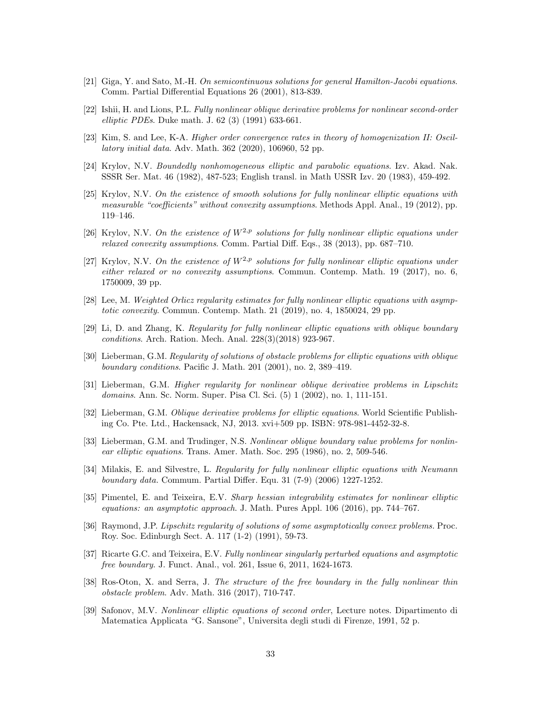- <span id="page-32-3"></span>[21] Giga, Y. and Sato, M.-H. On semicontinuous solutions for general Hamilton-Jacobi equations. Comm. Partial Differential Equations 26 (2001), 813-839.
- <span id="page-32-18"></span>[22] Ishii, H. and Lions, P.L. Fully nonlinear oblique derivative problems for nonlinear second-order elliptic PDEs. Duke math. J. 62 (3) (1991) 633-661.
- <span id="page-32-5"></span>[23] Kim, S. and Lee, K-A. Higher order convergence rates in theory of homogenization II: Oscillatory initial data. Adv. Math. 362 (2020), 106960, 52 pp.
- <span id="page-32-6"></span>[24] Krylov, N.V. Boundedly nonhomogeneous elliptic and parabolic equations. Izv. Akad. Nak. SSSR Ser. Mat. 46 (1982), 487-523; English transl. in Math USSR Izv. 20 (1983), 459-492.
- <span id="page-32-17"></span>[25] Krylov, N.V. On the existence of smooth solutions for fully nonlinear elliptic equations with measurable "coefficients" without convexity assumptions. Methods Appl. Anal., 19 (2012), pp. 119–146.
- <span id="page-32-1"></span>[26] Krylov, N.V. On the existence of  $W^{2,p}$  solutions for fully nonlinear elliptic equations under relaxed convexity assumptions. Comm. Partial Diff. Eqs., 38 (2013), pp. 687–710.
- <span id="page-32-13"></span>[27] Krylov, N.V. On the existence of  $W^{2,p}$  solutions for fully nonlinear elliptic equations under either relaxed or no convexity assumptions. Commun. Contemp. Math. 19 (2017), no. 6, 1750009, 39 pp.
- <span id="page-32-16"></span>[28] Lee, M. Weighted Orlicz regularity estimates for fully nonlinear elliptic equations with asymptotic convexity. Commun. Contemp. Math. 21 (2019), no. 4, 1850024, 29 pp.
- <span id="page-32-8"></span>[29] Li, D. and Zhang, K. Regularity for fully nonlinear elliptic equations with oblique boundary conditions. Arch. Ration. Mech. Anal. 228(3)(2018) 923-967.
- <span id="page-32-14"></span>[30] Lieberman, G.M. Regularity of solutions of obstacle problems for elliptic equations with oblique boundary conditions. Pacific J. Math. 201 (2001), no. 2, 389–419.
- <span id="page-32-9"></span>[31] Lieberman, G.M. Higher regularity for nonlinear oblique derivative problems in Lipschitz domains. Ann. Sc. Norm. Super. Pisa Cl. Sci. (5) 1 (2002), no. 1, 111-151.
- <span id="page-32-15"></span>[32] Lieberman, G.M. Oblique derivative problems for elliptic equations. World Scientific Publishing Co. Pte. Ltd., Hackensack, NJ, 2013. xvi+509 pp. ISBN: 978-981-4452-32-8.
- <span id="page-32-0"></span>[33] Lieberman, G.M. and Trudinger, N.S. Nonlinear oblique boundary value problems for nonlinear elliptic equations. Trans. Amer. Math. Soc. 295 (1986), no. 2, 509-546.
- <span id="page-32-11"></span>[34] Milakis, E. and Silvestre, L. Regularity for fully nonlinear elliptic equations with Neumann boundary data. Commum. Partial Differ. Equ. 31 (7-9) (2006) 1227-1252.
- <span id="page-32-2"></span>[35] Pimentel, E. and Teixeira, E.V. Sharp hessian integrability estimates for nonlinear elliptic equations: an asymptotic approach. J. Math. Pures Appl. 106 (2016), pp. 744–767.
- <span id="page-32-12"></span>[36] Raymond, J.P. Lipschitz regularity of solutions of some asymptotically convex problems. Proc. Roy. Soc. Edinburgh Sect. A. 117 (1-2) (1991), 59-73.
- <span id="page-32-4"></span>[37] Ricarte G.C. and Teixeira, E.V. Fully nonlinear singularly perturbed equations and asymptotic free boundary. J. Funct. Anal., vol. 261, Issue 6, 2011, 1624-1673.
- <span id="page-32-7"></span>[38] Ros-Oton, X. and Serra, J. The structure of the free boundary in the fully nonlinear thin obstacle problem. Adv. Math. 316 (2017), 710-747.
- <span id="page-32-10"></span>[39] Safonov, M.V. Nonlinear elliptic equations of second order, Lecture notes. Dipartimento di Matematica Applicata "G. Sansone", Universita degli studi di Firenze, 1991, 52 p.